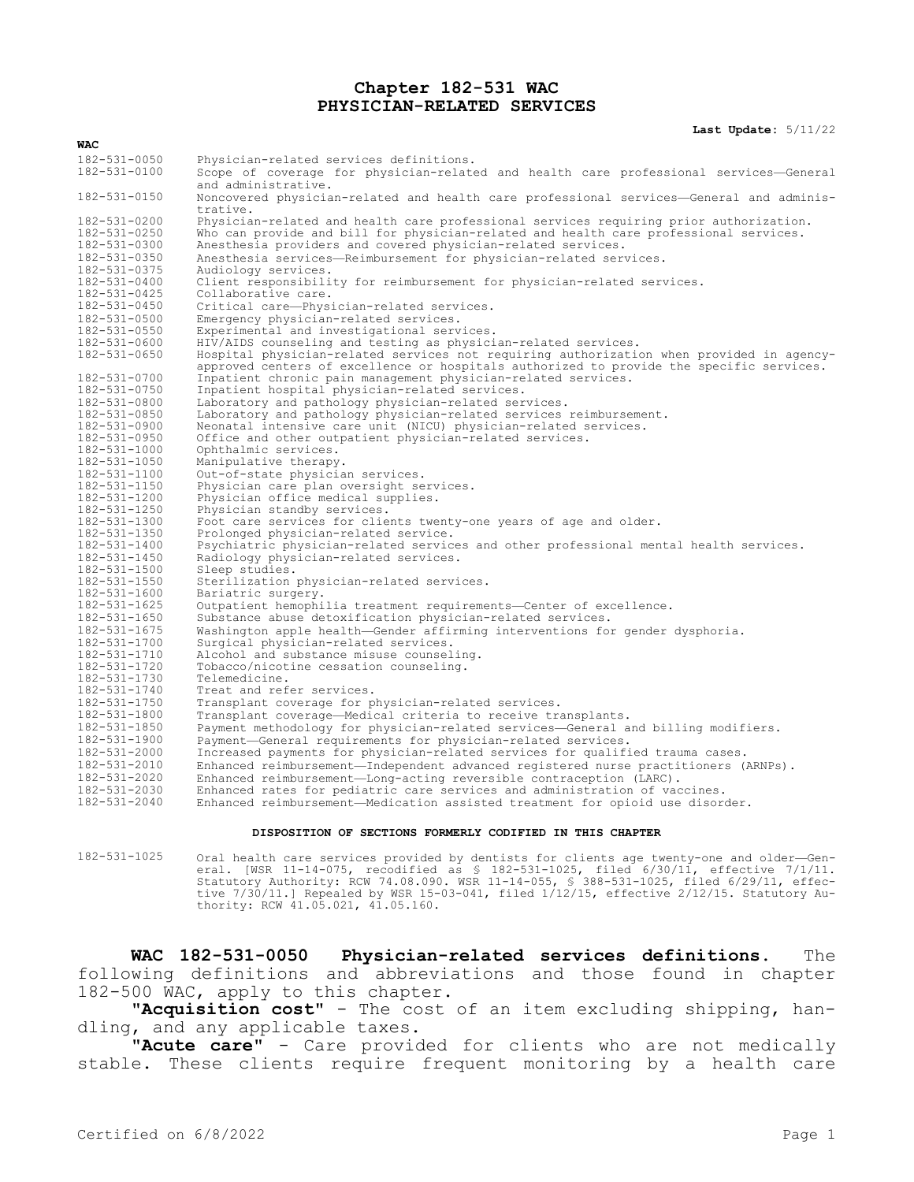#### **Chapter 182-531 WAC PHYSICIAN-RELATED SERVICES**

**Last Update:** 5/11/22

| <b>WAC</b>                   |                                                                                                                                                                                      |
|------------------------------|--------------------------------------------------------------------------------------------------------------------------------------------------------------------------------------|
| 182-531-0050                 | Physician-related services definitions.                                                                                                                                              |
| 182-531-0100                 | Scope of coverage for physician-related and health care professional services-General<br>and administrative.                                                                         |
| 182-531-0150                 | Noncovered physician-related and health care professional services-General and adminis-<br>trative.                                                                                  |
| 182-531-0200                 | Physician-related and health care professional services requiring prior authorization.                                                                                               |
| 182-531-0250                 | Who can provide and bill for physician-related and health care professional services.                                                                                                |
| 182-531-0300                 | Anesthesia providers and covered physician-related services.                                                                                                                         |
| 182-531-0350                 | Anesthesia services—Reimbursement for physician-related services.                                                                                                                    |
| 182-531-0375                 | Audiology services.                                                                                                                                                                  |
| 182-531-0400                 | Client responsibility for reimbursement for physician-related services.                                                                                                              |
| 182-531-0425                 | Collaborative care.                                                                                                                                                                  |
| 182-531-0450                 | Critical care-Physician-related services.                                                                                                                                            |
| 182-531-0500                 | Emergency physician-related services.                                                                                                                                                |
| 182-531-0550                 | Experimental and investigational services.                                                                                                                                           |
| 182-531-0600                 | HIV/AIDS counseling and testing as physician-related services.                                                                                                                       |
| 182-531-0650                 | Hospital physician-related services not requiring authorization when provided in agency-<br>approved centers of excellence or hospitals authorized to provide the specific services. |
| 182-531-0700                 | Inpatient chronic pain management physician-related services.                                                                                                                        |
| 182-531-0750                 | Inpatient hospital physician-related services.                                                                                                                                       |
| 182-531-0800                 | Laboratory and pathology physician-related services.                                                                                                                                 |
| 182-531-0850                 | Laboratory and pathology physician-related services reimbursement.                                                                                                                   |
| 182-531-0900                 | Neonatal intensive care unit (NICU) physician-related services.                                                                                                                      |
| 182-531-0950                 | Office and other outpatient physician-related services.                                                                                                                              |
| 182-531-1000                 | Ophthalmic services.                                                                                                                                                                 |
| 182-531-1050                 | Manipulative therapy.                                                                                                                                                                |
| 182-531-1100                 | Out-of-state physician services.                                                                                                                                                     |
| 182-531-1150                 | Physician care plan oversight services.                                                                                                                                              |
| 182-531-1200                 | Physician office medical supplies.                                                                                                                                                   |
| 182-531-1250                 | Physician standby services.                                                                                                                                                          |
| 182-531-1300                 | Foot care services for clients twenty-one years of age and older.                                                                                                                    |
| 182-531-1350                 | Prolonged physician-related service.                                                                                                                                                 |
| 182-531-1400<br>182-531-1450 | Psychiatric physician-related services and other professional mental health services.                                                                                                |
| 182-531-1500                 | Radiology physician-related services.<br>Sleep studies.                                                                                                                              |
| 182-531-1550                 | Sterilization physician-related services.                                                                                                                                            |
| 182-531-1600                 | Bariatric surgery.                                                                                                                                                                   |
| 182-531-1625                 | Outpatient hemophilia treatment requirements-Center of excellence.                                                                                                                   |
| 182-531-1650                 | Substance abuse detoxification physician-related services.                                                                                                                           |
| 182-531-1675                 | Washington apple health-Gender affirming interventions for gender dysphoria.                                                                                                         |
| 182-531-1700                 | Surgical physician-related services.                                                                                                                                                 |
| 182-531-1710                 | Alcohol and substance misuse counseling.                                                                                                                                             |
| 182-531-1720                 | Tobacco/nicotine cessation counseling.                                                                                                                                               |
| 182-531-1730                 | Telemedicine.                                                                                                                                                                        |
| 182-531-1740                 | Treat and refer services.                                                                                                                                                            |
| 182-531-1750                 | Transplant coverage for physician-related services.                                                                                                                                  |
| 182-531-1800                 | Transplant coverage—Medical criteria to receive transplants.                                                                                                                         |
| 182-531-1850                 | Payment methodology for physician-related services-General and billing modifiers.                                                                                                    |
| 182-531-1900                 | Payment-General requirements for physician-related services.                                                                                                                         |
| 182-531-2000                 | Increased payments for physician-related services for qualified trauma cases.                                                                                                        |
| 182-531-2010                 | Enhanced reimbursement—Independent advanced registered nurse practitioners (ARNPs).                                                                                                  |
| 182-531-2020                 | Enhanced reimbursement-Long-acting reversible contraception (LARC).                                                                                                                  |
| 182-531-2030                 | Enhanced rates for pediatric care services and administration of vaccines.                                                                                                           |
| 182-531-2040                 | Enhanced reimbursement-Medication assisted treatment for opioid use disorder.                                                                                                        |
|                              |                                                                                                                                                                                      |

#### **DISPOSITION OF SECTIONS FORMERLY CODIFIED IN THIS CHAPTER**

182-531-1025 Oral health care services provided by dentists for clients age twenty-one and older—General. [WSR 11-14-075, recodified as § 182-531-1025, filed 6/30/11, effective 7/1/11. Statutory Authority: RCW 74.08.090. WSR 11-14-055, § 388-531-1025, filed 6/29/11, effective 7/30/11.] Repealed by WSR 15-03-041, filed 1/12/15, effective 2/12/15. Statutory Authority: RCW 41.05.021, 41.05.160.

**WAC 182-531-0050 Physician-related services definitions.** The following definitions and abbreviations and those found in chapter 182-500 WAC, apply to this chapter.

**"Acquisition cost"** - The cost of an item excluding shipping, handling, and any applicable taxes.

**"Acute care"** - Care provided for clients who are not medically stable. These clients require frequent monitoring by a health care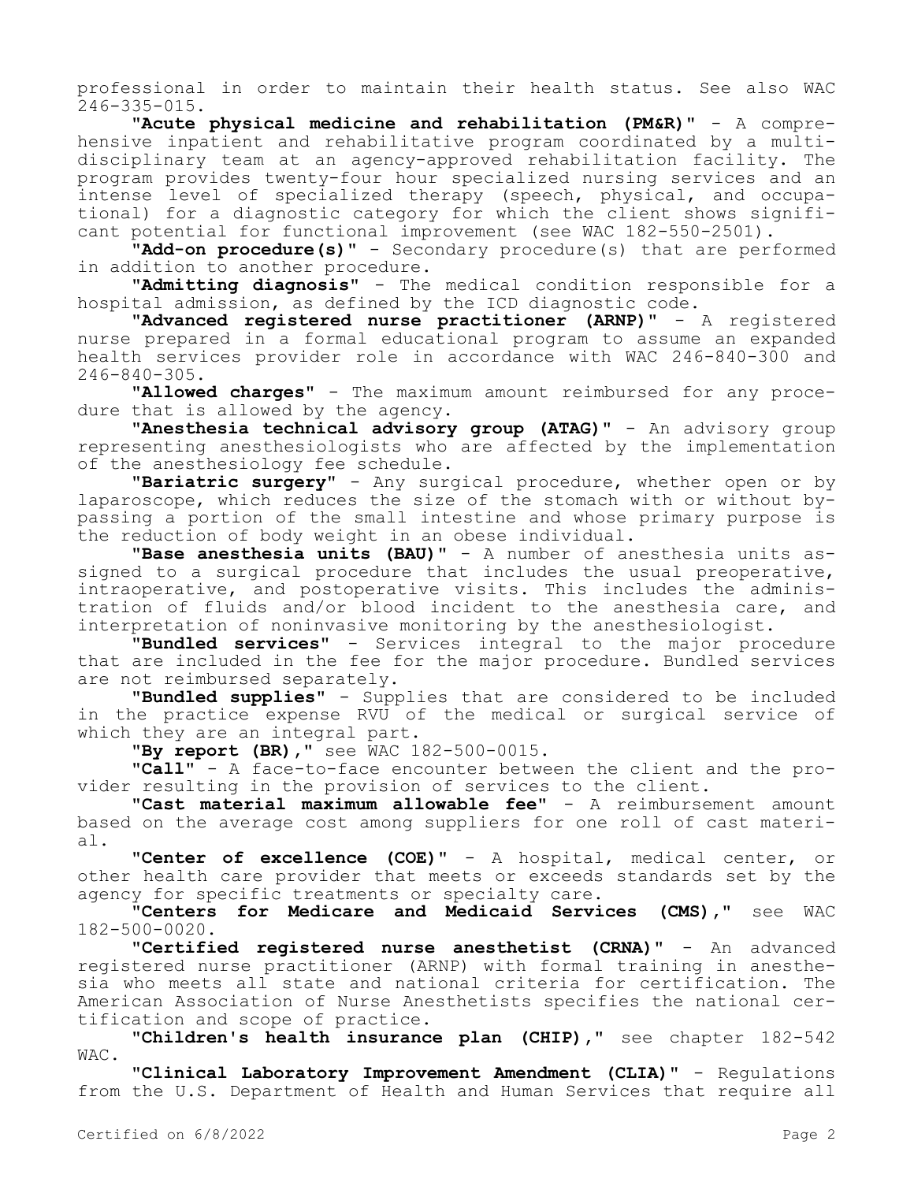professional in order to maintain their health status. See also WAC 246-335-015.

**"Acute physical medicine and rehabilitation (PM&R)"** - A comprehensive inpatient and rehabilitative program coordinated by a multidisciplinary team at an agency-approved rehabilitation facility. The program provides twenty-four hour specialized nursing services and an intense level of specialized therapy (speech, physical, and occupational) for a diagnostic category for which the client shows significant potential for functional improvement (see WAC 182-550-2501).

**"Add-on procedure(s)"** - Secondary procedure(s) that are performed in addition to another procedure.

**"Admitting diagnosis"** - The medical condition responsible for a hospital admission, as defined by the ICD diagnostic code.

**"Advanced registered nurse practitioner (ARNP)"** - A registered nurse prepared in a formal educational program to assume an expanded health services provider role in accordance with WAC 246-840-300 and 246-840-305.

**"Allowed charges"** - The maximum amount reimbursed for any procedure that is allowed by the agency.

**"Anesthesia technical advisory group (ATAG)"** - An advisory group representing anesthesiologists who are affected by the implementation of the anesthesiology fee schedule.

**"Bariatric surgery"** - Any surgical procedure, whether open or by laparoscope, which reduces the size of the stomach with or without bypassing a portion of the small intestine and whose primary purpose is the reduction of body weight in an obese individual.

**"Base anesthesia units (BAU)"** - A number of anesthesia units assigned to a surgical procedure that includes the usual preoperative, intraoperative, and postoperative visits. This includes the administration of fluids and/or blood incident to the anesthesia care, and interpretation of noninvasive monitoring by the anesthesiologist.

**"Bundled services"** - Services integral to the major procedure that are included in the fee for the major procedure. Bundled services are not reimbursed separately.

**"Bundled supplies"** - Supplies that are considered to be included in the practice expense RVU of the medical or surgical service of which they are an integral part.

**"By report (BR),"** see WAC 182-500-0015.

**"Call"** - A face-to-face encounter between the client and the provider resulting in the provision of services to the client.

**"Cast material maximum allowable fee"** - A reimbursement amount based on the average cost among suppliers for one roll of cast material.

**"Center of excellence (COE)"** - A hospital, medical center, or other health care provider that meets or exceeds standards set by the agency for specific treatments or specialty care.

**"Centers for Medicare and Medicaid Services (CMS),"** see WAC 182-500-0020.

**"Certified registered nurse anesthetist (CRNA)"** - An advanced registered nurse practitioner (ARNP) with formal training in anesthesia who meets all state and national criteria for certification. The American Association of Nurse Anesthetists specifies the national certification and scope of practice.

**"Children's health insurance plan (CHIP),"** see chapter 182-542 WAC.

**"Clinical Laboratory Improvement Amendment (CLIA)"** - Regulations from the U.S. Department of Health and Human Services that require all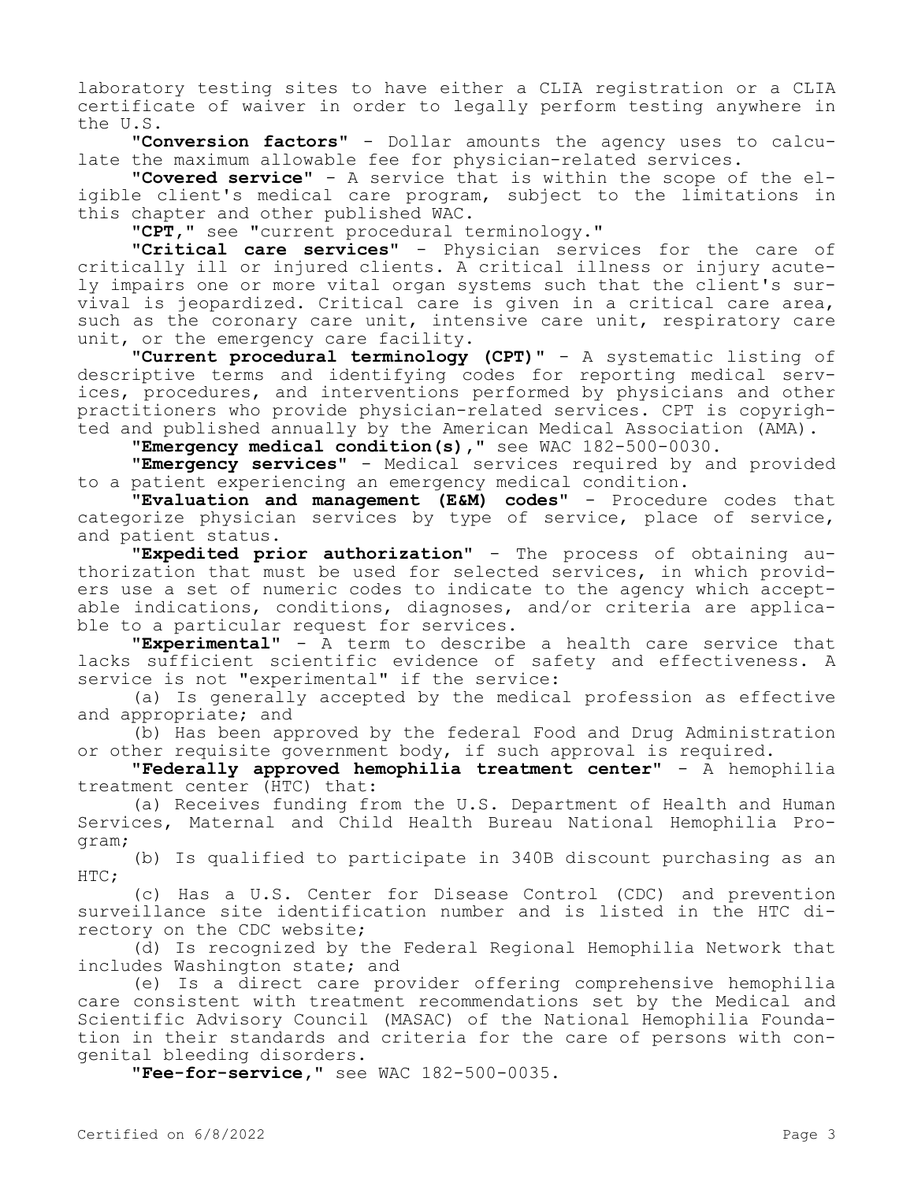laboratory testing sites to have either a CLIA registration or a CLIA certificate of waiver in order to legally perform testing anywhere in the U.S.

**"Conversion factors"** - Dollar amounts the agency uses to calculate the maximum allowable fee for physician-related services.

**"Covered service"** - A service that is within the scope of the eligible client's medical care program, subject to the limitations in this chapter and other published WAC.

**"CPT,"** see "current procedural terminology."

**"Critical care services"** - Physician services for the care of critically ill or injured clients. A critical illness or injury acutely impairs one or more vital organ systems such that the client's survival is jeopardized. Critical care is given in a critical care area, such as the coronary care unit, intensive care unit, respiratory care unit, or the emergency care facility.

**"Current procedural terminology (CPT)"** - A systematic listing of descriptive terms and identifying codes for reporting medical services, procedures, and interventions performed by physicians and other practitioners who provide physician-related services. CPT is copyrighted and published annually by the American Medical Association (AMA).

**"Emergency medical condition(s),"** see WAC 182-500-0030.

**"Emergency services"** - Medical services required by and provided to a patient experiencing an emergency medical condition.

**"Evaluation and management (E&M) codes"** - Procedure codes that categorize physician services by type of service, place of service, and patient status.

**"Expedited prior authorization"** - The process of obtaining authorization that must be used for selected services, in which providers use a set of numeric codes to indicate to the agency which acceptable indications, conditions, diagnoses, and/or criteria are applicable to a particular request for services.

**"Experimental"** - A term to describe a health care service that lacks sufficient scientific evidence of safety and effectiveness. A service is not "experimental" if the service:

(a) Is generally accepted by the medical profession as effective and appropriate; and

(b) Has been approved by the federal Food and Drug Administration or other requisite government body, if such approval is required.

**"Federally approved hemophilia treatment center"** - A hemophilia treatment center (HTC) that:

(a) Receives funding from the U.S. Department of Health and Human Services, Maternal and Child Health Bureau National Hemophilia Program;

(b) Is qualified to participate in 340B discount purchasing as an HTC;

(c) Has a U.S. Center for Disease Control (CDC) and prevention surveillance site identification number and is listed in the HTC directory on the CDC website;

(d) Is recognized by the Federal Regional Hemophilia Network that includes Washington state; and

(e) Is a direct care provider offering comprehensive hemophilia care consistent with treatment recommendations set by the Medical and Scientific Advisory Council (MASAC) of the National Hemophilia Foundation in their standards and criteria for the care of persons with congenital bleeding disorders.

**"Fee-for-service,"** see WAC 182-500-0035.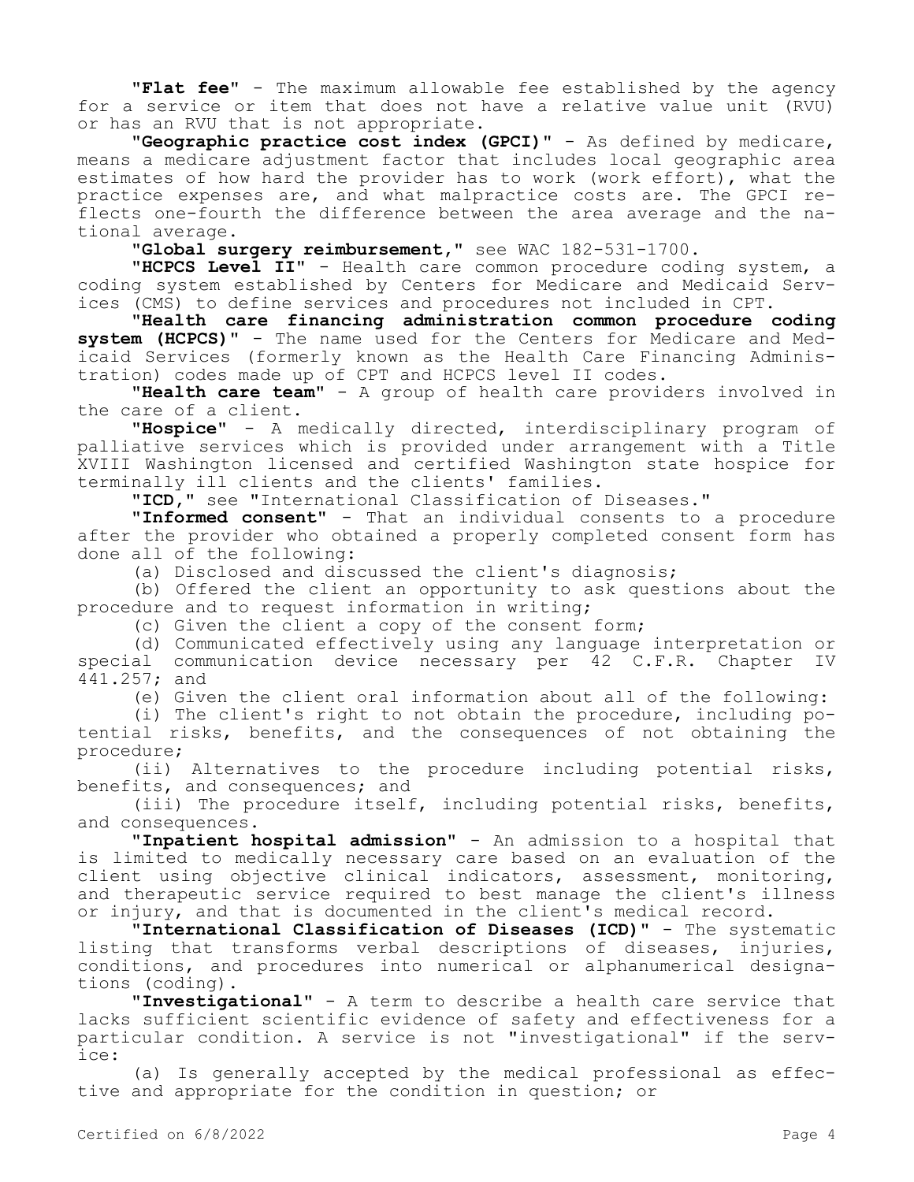**"Flat fee"** - The maximum allowable fee established by the agency for a service or item that does not have a relative value unit (RVU) or has an RVU that is not appropriate.

**"Geographic practice cost index (GPCI)"** - As defined by medicare, means a medicare adjustment factor that includes local geographic area estimates of how hard the provider has to work (work effort), what the practice expenses are, and what malpractice costs are. The GPCI reflects one-fourth the difference between the area average and the national average.

**"Global surgery reimbursement,"** see WAC 182-531-1700.

**"HCPCS Level II"** - Health care common procedure coding system, a coding system established by Centers for Medicare and Medicaid Services (CMS) to define services and procedures not included in CPT.

**"Health care financing administration common procedure coding system (HCPCS)"** - The name used for the Centers for Medicare and Medicaid Services (formerly known as the Health Care Financing Administration) codes made up of CPT and HCPCS level II codes.

**"Health care team"** - A group of health care providers involved in the care of a client.

**"Hospice"** - A medically directed, interdisciplinary program of palliative services which is provided under arrangement with a Title XVIII Washington licensed and certified Washington state hospice for terminally ill clients and the clients' families.

**"ICD,"** see "International Classification of Diseases."

**"Informed consent"** - That an individual consents to a procedure after the provider who obtained a properly completed consent form has done all of the following:

(a) Disclosed and discussed the client's diagnosis;

(b) Offered the client an opportunity to ask questions about the procedure and to request information in writing;

(c) Given the client a copy of the consent form;

(d) Communicated effectively using any language interpretation or<br>al communication device necessary per 42 C.F.R. Chapter IV special communication device necessary per 42 C.F.R. Chapter IV 441.257; and

(e) Given the client oral information about all of the following:

(i) The client's right to not obtain the procedure, including potential risks, benefits, and the consequences of not obtaining the procedure;

(ii) Alternatives to the procedure including potential risks, benefits, and consequences; and

(iii) The procedure itself, including potential risks, benefits, and consequences.

**"Inpatient hospital admission"** - An admission to a hospital that is limited to medically necessary care based on an evaluation of the client using objective clinical indicators, assessment, monitoring, and therapeutic service required to best manage the client's illness or injury, and that is documented in the client's medical record.

**"International Classification of Diseases (ICD)"** - The systematic listing that transforms verbal descriptions of diseases, injuries, conditions, and procedures into numerical or alphanumerical designations (coding).

**"Investigational"** - A term to describe a health care service that lacks sufficient scientific evidence of safety and effectiveness for a particular condition. A service is not "investigational" if the service:

(a) Is generally accepted by the medical professional as effective and appropriate for the condition in question; or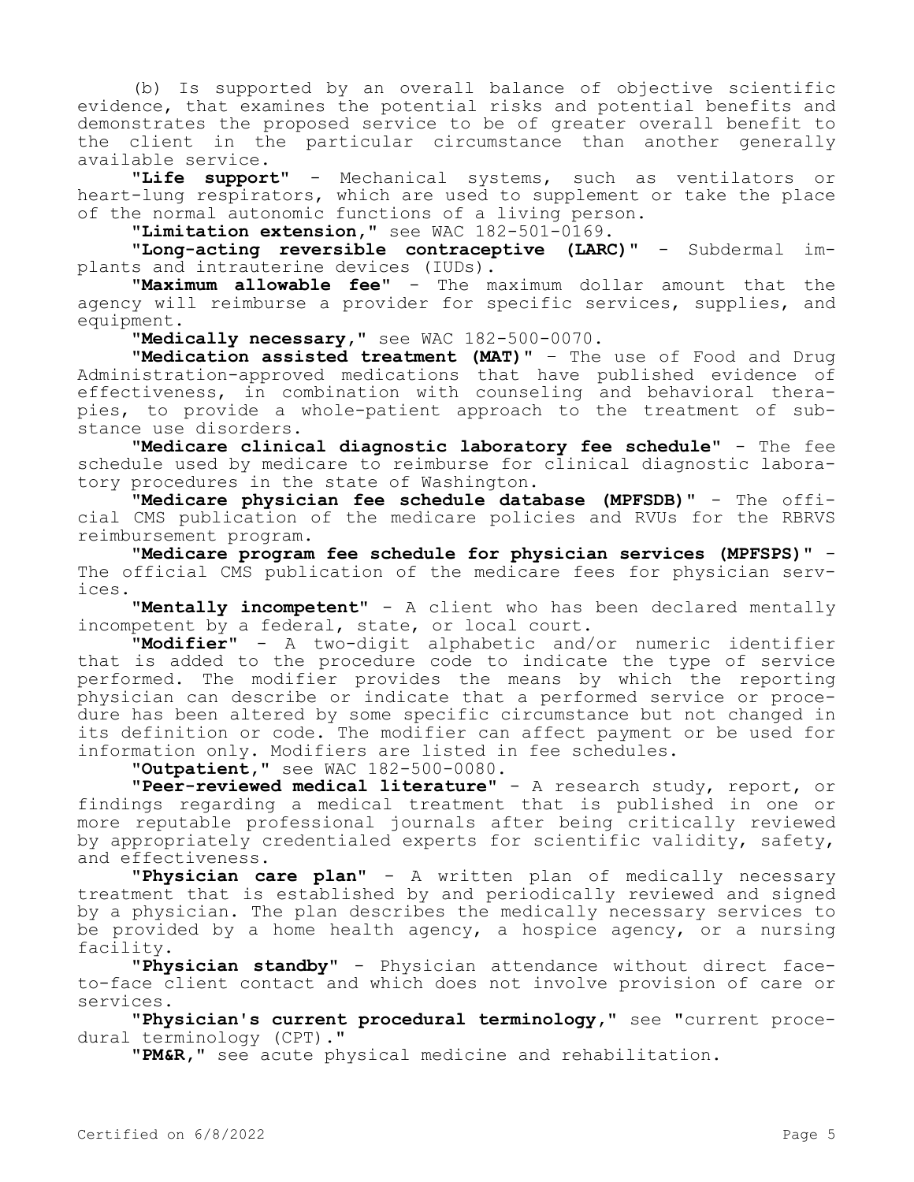(b) Is supported by an overall balance of objective scientific evidence, that examines the potential risks and potential benefits and demonstrates the proposed service to be of greater overall benefit to the client in the particular circumstance than another generally available service.

**"Life support"** - Mechanical systems, such as ventilators or heart-lung respirators, which are used to supplement or take the place of the normal autonomic functions of a living person.

**"Limitation extension,"** see WAC 182-501-0169.

**"Long-acting reversible contraceptive (LARC)"** - Subdermal implants and intrauterine devices (IUDs).

**"Maximum allowable fee"** - The maximum dollar amount that the agency will reimburse a provider for specific services, supplies, and equipment.

**"Medically necessary,"** see WAC 182-500-0070.

**"Medication assisted treatment (MAT)"** – The use of Food and Drug Administration-approved medications that have published evidence of effectiveness, in combination with counseling and behavioral therapies, to provide a whole-patient approach to the treatment of substance use disorders.

**"Medicare clinical diagnostic laboratory fee schedule"** - The fee schedule used by medicare to reimburse for clinical diagnostic laboratory procedures in the state of Washington.

**"Medicare physician fee schedule database (MPFSDB)"** - The official CMS publication of the medicare policies and RVUs for the RBRVS reimbursement program.

**"Medicare program fee schedule for physician services (MPFSPS)"** - The official CMS publication of the medicare fees for physician services.

**"Mentally incompetent"** - A client who has been declared mentally incompetent by a federal, state, or local court.

**"Modifier"** - A two-digit alphabetic and/or numeric identifier that is added to the procedure code to indicate the type of service performed. The modifier provides the means by which the reporting physician can describe or indicate that a performed service or procedure has been altered by some specific circumstance but not changed in its definition or code. The modifier can affect payment or be used for information only. Modifiers are listed in fee schedules.

**"Outpatient,"** see WAC 182-500-0080.

**"Peer-reviewed medical literature"** - A research study, report, or findings regarding a medical treatment that is published in one or more reputable professional journals after being critically reviewed by appropriately credentialed experts for scientific validity, safety, and effectiveness.

**"Physician care plan"** - A written plan of medically necessary treatment that is established by and periodically reviewed and signed by a physician. The plan describes the medically necessary services to be provided by a home health agency, a hospice agency, or a nursing facility.

**"Physician standby"** - Physician attendance without direct faceto-face client contact and which does not involve provision of care or services.

**"Physician's current procedural terminology,"** see "current procedural terminology (CPT)."

**"PM&R,"** see acute physical medicine and rehabilitation.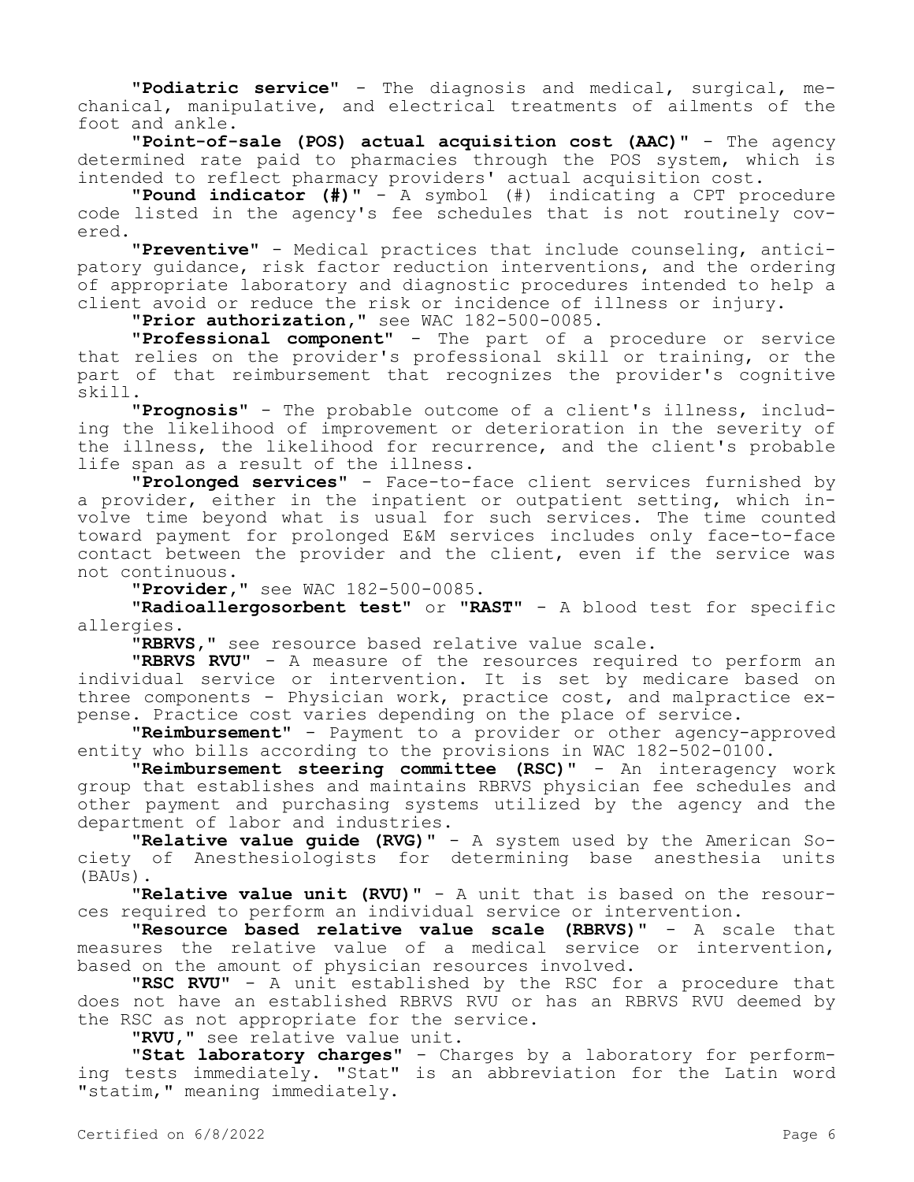**"Podiatric service"** - The diagnosis and medical, surgical, mechanical, manipulative, and electrical treatments of ailments of the foot and ankle.

**"Point-of-sale (POS) actual acquisition cost (AAC)"** - The agency determined rate paid to pharmacies through the POS system, which is intended to reflect pharmacy providers' actual acquisition cost.

**"Pound indicator (#)"** - A symbol (#) indicating a CPT procedure code listed in the agency's fee schedules that is not routinely covered.

**"Preventive"** - Medical practices that include counseling, anticipatory quidance, risk factor reduction interventions, and the ordering of appropriate laboratory and diagnostic procedures intended to help a client avoid or reduce the risk or incidence of illness or injury.

**"Prior authorization,"** see WAC 182-500-0085.

**"Professional component"** - The part of a procedure or service that relies on the provider's professional skill or training, or the part of that reimbursement that recognizes the provider's cognitive skill.

**"Prognosis"** - The probable outcome of a client's illness, including the likelihood of improvement or deterioration in the severity of the illness, the likelihood for recurrence, and the client's probable life span as a result of the illness.

**"Prolonged services"** - Face-to-face client services furnished by a provider, either in the inpatient or outpatient setting, which involve time beyond what is usual for such services. The time counted toward payment for prolonged E&M services includes only face-to-face contact between the provider and the client, even if the service was not continuous.

**"Provider,"** see WAC 182-500-0085.

**"Radioallergosorbent test"** or **"RAST"** - A blood test for specific allergies.

**"RBRVS,"** see resource based relative value scale.

**"RBRVS RVU"** - A measure of the resources required to perform an individual service or intervention. It is set by medicare based on three components - Physician work, practice cost, and malpractice expense. Practice cost varies depending on the place of service.

**"Reimbursement"** - Payment to a provider or other agency-approved entity who bills according to the provisions in WAC 182-502-0100.

**"Reimbursement steering committee (RSC)"** - An interagency work group that establishes and maintains RBRVS physician fee schedules and other payment and purchasing systems utilized by the agency and the department of labor and industries.

**"Relative value guide (RVG)"** - A system used by the American Society of Anesthesiologists for determining base anesthesia units (BAUs).

**"Relative value unit (RVU)"** - A unit that is based on the resources required to perform an individual service or intervention.

**"Resource based relative value scale (RBRVS)"** - A scale that measures the relative value of a medical service or intervention, based on the amount of physician resources involved.

**"RSC RVU"** - A unit established by the RSC for a procedure that does not have an established RBRVS RVU or has an RBRVS RVU deemed by the RSC as not appropriate for the service.

**"RVU,"** see relative value unit.

**"Stat laboratory charges"** - Charges by a laboratory for performing tests immediately. "Stat" is an abbreviation for the Latin word "statim," meaning immediately.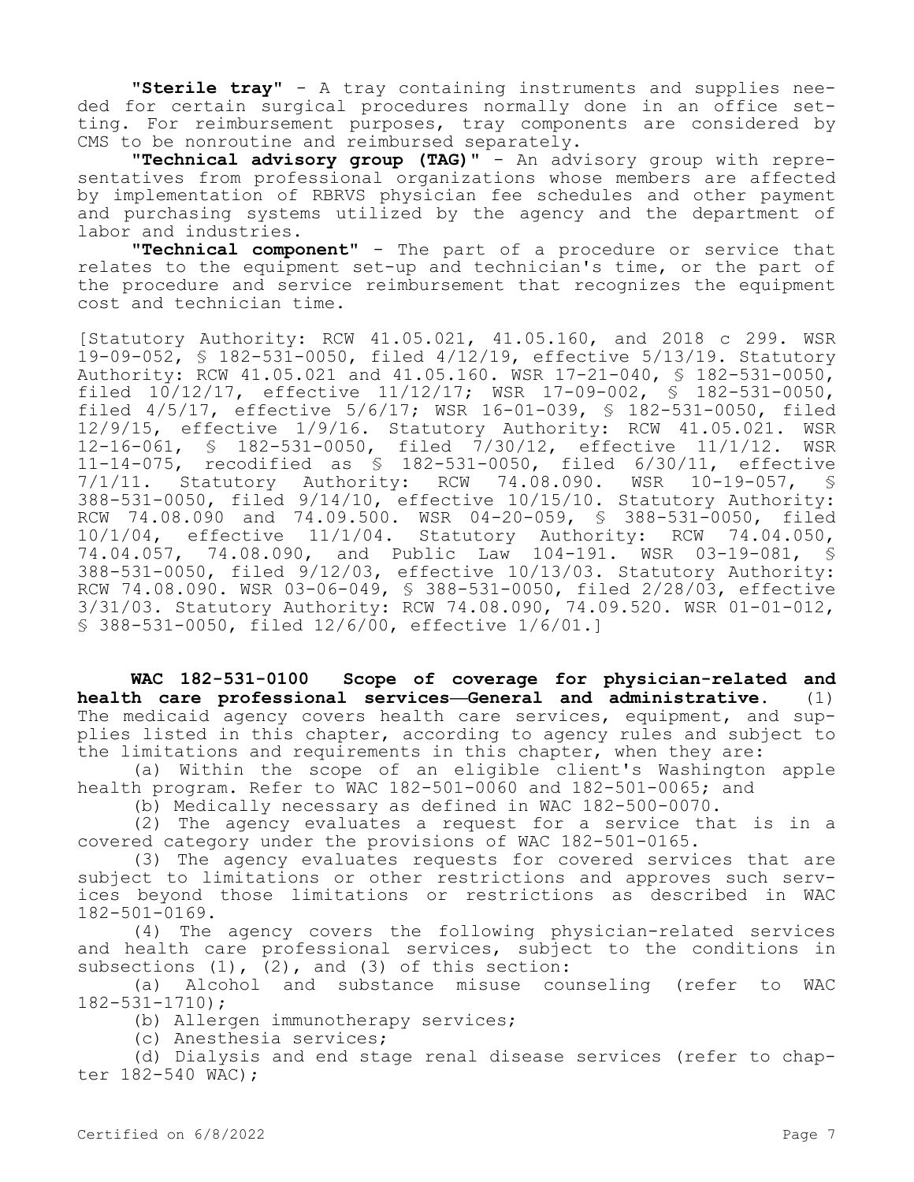**"Sterile tray"** - A tray containing instruments and supplies needed for certain surgical procedures normally done in an office setting. For reimbursement purposes, tray components are considered by CMS to be nonroutine and reimbursed separately.

**"Technical advisory group (TAG)"** - An advisory group with representatives from professional organizations whose members are affected by implementation of RBRVS physician fee schedules and other payment and purchasing systems utilized by the agency and the department of labor and industries.

**"Technical component"** - The part of a procedure or service that relates to the equipment set-up and technician's time, or the part of the procedure and service reimbursement that recognizes the equipment cost and technician time.

[Statutory Authority: RCW 41.05.021, 41.05.160, and 2018 c 299. WSR 19-09-052, § 182-531-0050, filed 4/12/19, effective 5/13/19. Statutory Authority: RCW 41.05.021 and 41.05.160. WSR 17-21-040, § 182-531-0050, filed 10/12/17, effective 11/12/17; WSR 17-09-002, § 182-531-0050, filed 4/5/17, effective 5/6/17; WSR 16-01-039, § 182-531-0050, filed 12/9/15, effective 1/9/16. Statutory Authority: RCW 41.05.021. WSR 12-16-061, § 182-531-0050, filed 7/30/12, effective 11/1/12. WSR 11-14-075, recodified as § 182-531-0050, filed 6/30/11, effective 7/1/11. Statutory Authority: RCW 74.08.090. WSR 10-19-057, § 388-531-0050, filed 9/14/10, effective 10/15/10. Statutory Authority: RCW 74.08.090 and 74.09.500. WSR 04-20-059, § 388-531-0050, filed 10/1/04, effective 11/1/04. Statutory Authority: RCW 74.04.050, 74.04.057, 74.08.090, and Public Law 104-191. WSR 03-19-081, § 388-531-0050, filed 9/12/03, effective 10/13/03. Statutory Authority: RCW 74.08.090. WSR 03-06-049, § 388-531-0050, filed 2/28/03, effective 3/31/03. Statutory Authority: RCW 74.08.090, 74.09.520. WSR 01-01-012, § 388-531-0050, filed 12/6/00, effective 1/6/01.]

**WAC 182-531-0100 Scope of coverage for physician-related and health care professional services—General and administrative.** (1) The medicaid agency covers health care services, equipment, and supplies listed in this chapter, according to agency rules and subject to the limitations and requirements in this chapter, when they are:

(a) Within the scope of an eligible client's Washington apple health program. Refer to WAC 182-501-0060 and 182-501-0065; and

(b) Medically necessary as defined in WAC 182-500-0070.

(2) The agency evaluates a request for a service that is in a covered category under the provisions of WAC 182-501-0165.

(3) The agency evaluates requests for covered services that are subject to limitations or other restrictions and approves such services beyond those limitations or restrictions as described in WAC 182-501-0169.

(4) The agency covers the following physician-related services and health care professional services, subject to the conditions in subsections  $(1)$ ,  $(2)$ , and  $(3)$  of this section:

(a) Alcohol and substance misuse counseling (refer to WAC 182-531-1710);

(b) Allergen immunotherapy services;

(c) Anesthesia services;

(d) Dialysis and end stage renal disease services (refer to chapter 182-540 WAC);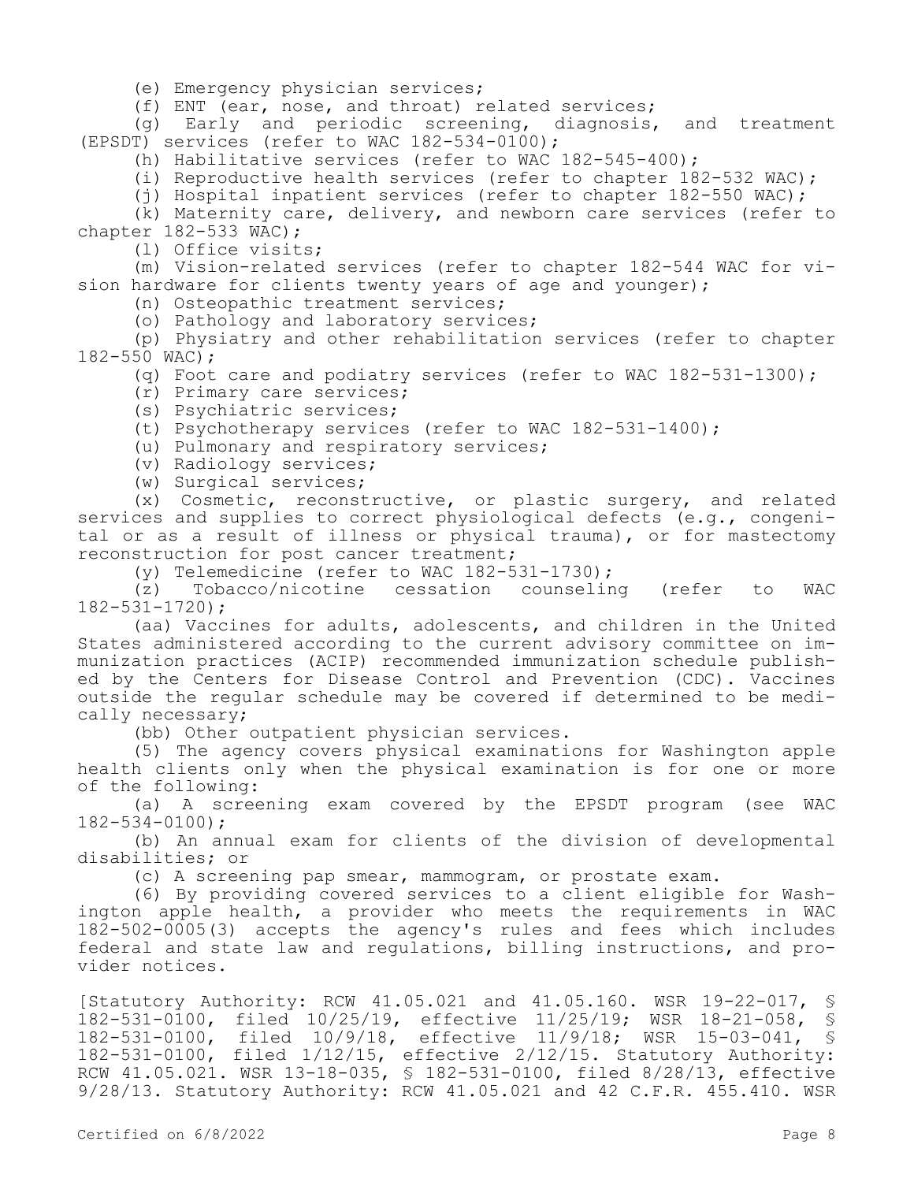(e) Emergency physician services;

(f) ENT (ear, nose, and throat) related services;

(g) Early and periodic screening, diagnosis, and treatment (EPSDT) services (refer to WAC 182-534-0100);

(h) Habilitative services (refer to WAC 182-545-400);

(i) Reproductive health services (refer to chapter 182-532 WAC);

(j) Hospital inpatient services (refer to chapter 182-550 WAC);

(k) Maternity care, delivery, and newborn care services (refer to chapter 182-533 WAC);

(l) Office visits;

(m) Vision-related services (refer to chapter 182-544 WAC for vision hardware for clients twenty years of age and younger);

(n) Osteopathic treatment services;

(o) Pathology and laboratory services;

(p) Physiatry and other rehabilitation services (refer to chapter 182-550 WAC);

(q) Foot care and podiatry services (refer to WAC 182-531-1300);

(r) Primary care services;

(s) Psychiatric services;

(t) Psychotherapy services (refer to WAC 182-531-1400);

(u) Pulmonary and respiratory services;

(v) Radiology services;

(w) Surgical services;

(x) Cosmetic, reconstructive, or plastic surgery, and related services and supplies to correct physiological defects (e.g., congenital or as a result of illness or physical trauma), or for mastectomy reconstruction for post cancer treatment;

(y) Telemedicine (refer to WAC  $182-531-1730$ );<br>(z) Tobacco/nicotine cessation counselin

Tobacco/nicotine cessation counseling (refer to WAC 182-531-1720);

(aa) Vaccines for adults, adolescents, and children in the United States administered according to the current advisory committee on immunization practices (ACIP) recommended immunization schedule published by the Centers for Disease Control and Prevention (CDC). Vaccines outside the regular schedule may be covered if determined to be medically necessary;

(bb) Other outpatient physician services.

(5) The agency covers physical examinations for Washington apple health clients only when the physical examination is for one or more of the following:

(a) A screening exam covered by the EPSDT program (see WAC 182-534-0100);

(b) An annual exam for clients of the division of developmental disabilities; or

(c) A screening pap smear, mammogram, or prostate exam.

(6) By providing covered services to a client eligible for Washington apple health, a provider who meets the requirements in WAC 182-502-0005(3) accepts the agency's rules and fees which includes federal and state law and regulations, billing instructions, and provider notices.

[Statutory Authority: RCW 41.05.021 and 41.05.160. WSR 19-22-017, §<br>182-531-0100, filed 10/25/19, effective 11/25/19; WSR 18-21-058, § 182-531-0100, filed 10/25/19, effective 11/25/19; WSR 18-21-058, § 182-531-0100, filed 10/9/18, effective 11/9/18; WSR 15-03-041, § 182-531-0100, filed 1/12/15, effective 2/12/15. Statutory Authority: RCW 41.05.021. WSR 13-18-035, § 182-531-0100, filed 8/28/13, effective 9/28/13. Statutory Authority: RCW 41.05.021 and 42 C.F.R. 455.410. WSR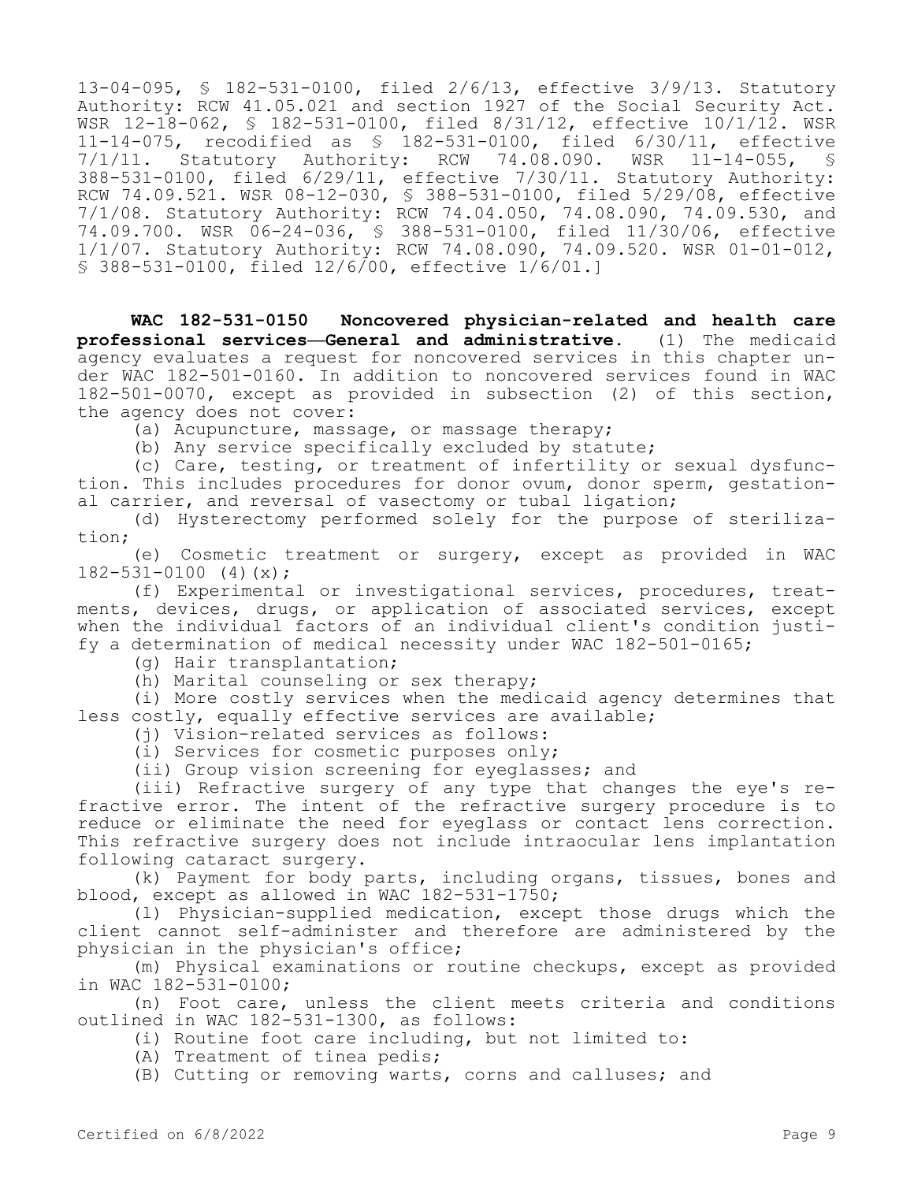13-04-095, § 182-531-0100, filed 2/6/13, effective 3/9/13. Statutory Authority: RCW 41.05.021 and section 1927 of the Social Security Act. WSR 12-18-062, § 182-531-0100, filed 8/31/12, effective 10/1/12. WSR 11-14-075, recodified as \$ 182-531-0100, filed 6/30/11, effective<br>7/1/11. Statutory Authority: RCW 74.08.090. WSR 11-14-055, \$ 7/1/11. Statutory Authority: RCW 74.08.090. WSR 11-14-055, § 388-531-0100, filed 6/29/11, effective 7/30/11. Statutory Authority: RCW 74.09.521. WSR 08-12-030, § 388-531-0100, filed 5/29/08, effective 7/1/08. Statutory Authority: RCW 74.04.050, 74.08.090, 74.09.530, and 74.09.700. WSR 06-24-036, § 388-531-0100, filed 11/30/06, effective 1/1/07. Statutory Authority: RCW 74.08.090, 74.09.520. WSR 01-01-012, § 388-531-0100, filed 12/6/00, effective 1/6/01.]

**WAC 182-531-0150 Noncovered physician-related and health care professional services—General and administrative.** (1) The medicaid agency evaluates a request for noncovered services in this chapter under WAC 182-501-0160. In addition to noncovered services found in WAC 182-501-0070, except as provided in subsection (2) of this section, the agency does not cover:

(a) Acupuncture, massage, or massage therapy;

(b) Any service specifically excluded by statute;

(c) Care, testing, or treatment of infertility or sexual dysfunction. This includes procedures for donor ovum, donor sperm, gestational carrier, and reversal of vasectomy or tubal ligation;

(d) Hysterectomy performed solely for the purpose of sterilization;

(e) Cosmetic treatment or surgery, except as provided in WAC  $182 - 531 - 0100$  (4)(x);

(f) Experimental or investigational services, procedures, treatments, devices, drugs, or application of associated services, except when the individual factors of an individual client's condition justify a determination of medical necessity under WAC 182-501-0165;

(g) Hair transplantation;

(h) Marital counseling or sex therapy;

(i) More costly services when the medicaid agency determines that less costly, equally effective services are available;

(j) Vision-related services as follows:

(i) Services for cosmetic purposes only;

(ii) Group vision screening for eyeglasses; and

(iii) Refractive surgery of any type that changes the eye's refractive error. The intent of the refractive surgery procedure is to reduce or eliminate the need for eyeglass or contact lens correction. This refractive surgery does not include intraocular lens implantation following cataract surgery.

(k) Payment for body parts, including organs, tissues, bones and blood, except as allowed in WAC 182-531-1750;

(l) Physician-supplied medication, except those drugs which the client cannot self-administer and therefore are administered by the physician in the physician's office;

(m) Physical examinations or routine checkups, except as provided in WAC 182-531-0100;

(n) Foot care, unless the client meets criteria and conditions outlined in WAC 182-531-1300, as follows:

(i) Routine foot care including, but not limited to:

(A) Treatment of tinea pedis;

(B) Cutting or removing warts, corns and calluses; and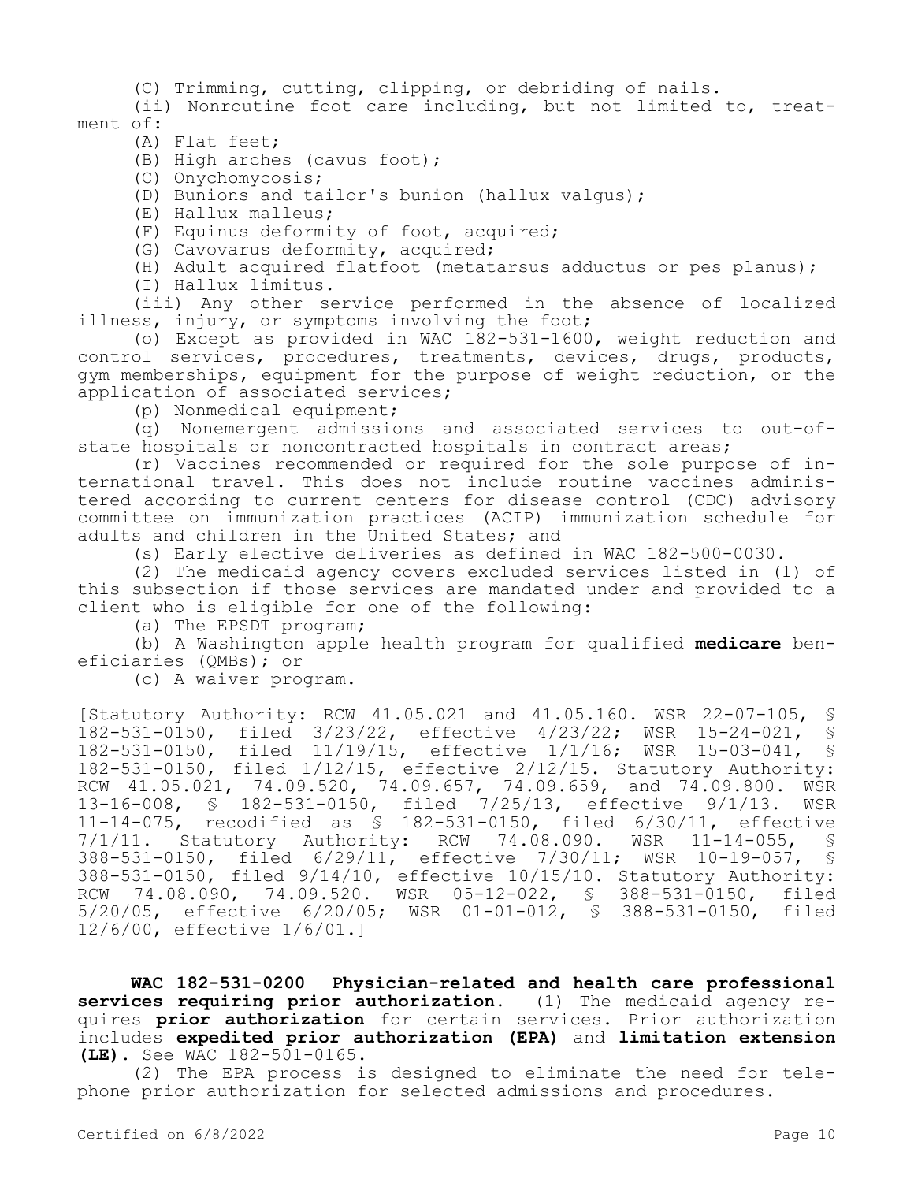(C) Trimming, cutting, clipping, or debriding of nails.

(ii) Nonroutine foot care including, but not limited to, treatment of:

(A) Flat feet;

(B) High arches (cavus foot);

(C) Onychomycosis;

(D) Bunions and tailor's bunion (hallux valgus);

(E) Hallux malleus;

(F) Equinus deformity of foot, acquired;

(G) Cavovarus deformity, acquired;

(H) Adult acquired flatfoot (metatarsus adductus or pes planus);

(I) Hallux limitus.

(iii) Any other service performed in the absence of localized illness, injury, or symptoms involving the foot;

(o) Except as provided in WAC 182-531-1600, weight reduction and control services, procedures, treatments, devices, drugs, products, gym memberships, equipment for the purpose of weight reduction, or the application of associated services;

(p) Nonmedical equipment;

(q) Nonemergent admissions and associated services to out-ofstate hospitals or noncontracted hospitals in contract areas;

(r) Vaccines recommended or required for the sole purpose of international travel. This does not include routine vaccines administered according to current centers for disease control (CDC) advisory committee on immunization practices (ACIP) immunization schedule for adults and children in the United States; and

(s) Early elective deliveries as defined in WAC 182-500-0030.

(2) The medicaid agency covers excluded services listed in (1) of this subsection if those services are mandated under and provided to a client who is eligible for one of the following:

(a) The EPSDT program;

(b) A Washington apple health program for qualified **medicare** beneficiaries (QMBs); or

(c) A waiver program.

[Statutory Authority: RCW 41.05.021 and 41.05.160. WSR 22-07-105, 182-531-0150, filed 3/23/22, effective 4/23/22; WSR 15-24-021, § 182-531-0150, filed 11/19/15, effective 1/1/16; WSR 15-03-041, § 182-531-0150, filed 1/12/15, effective 2/12/15. Statutory Authority: RCW 41.05.021, 74.09.520, 74.09.657, 74.09.659, and 74.09.800. WSR 13-16-008, § 182-531-0150, filed 7/25/13, effective 9/1/13. WSR 11-14-075, recodified as § 182-531-0150, filed 6/30/11, effective 7/1/11. Statutory Authority: RCW 74.08.090. WSR 11-14-055, § 388-531-0150, filed 6/29/11, effective 7/30/11; WSR 10-19-057, § 388-531-0150, filed 9/14/10, effective 10/15/10. Statutory Authority: RCW 74.08.090, 74.09.520. WSR 05-12-022, § 388-531-0150, filed 5/20/05, effective 6/20/05; WSR 01-01-012, § 388-531-0150, filed 12/6/00, effective 1/6/01.]

**WAC 182-531-0200 Physician-related and health care professional services requiring prior authorization.** (1) The medicaid agency requires **prior authorization** for certain services. Prior authorization includes **expedited prior authorization (EPA)** and **limitation extension (LE).** See WAC 182-501-0165.

(2) The EPA process is designed to eliminate the need for telephone prior authorization for selected admissions and procedures.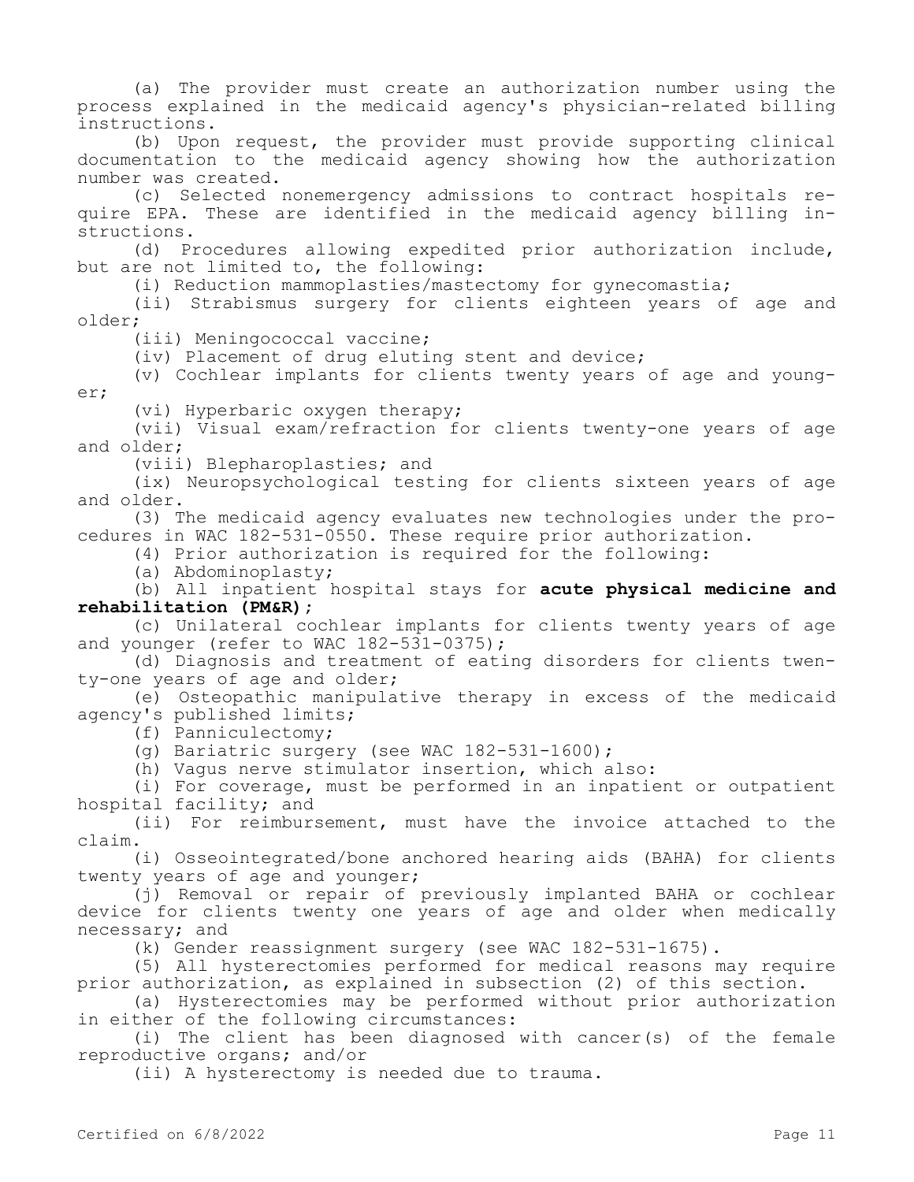(a) The provider must create an authorization number using the process explained in the medicaid agency's physician-related billing instructions.

(b) Upon request, the provider must provide supporting clinical documentation to the medicaid agency showing how the authorization number was created.

(c) Selected nonemergency admissions to contract hospitals require EPA. These are identified in the medicaid agency billing instructions.

(d) Procedures allowing expedited prior authorization include, but are not limited to, the following:

(i) Reduction mammoplasties/mastectomy for gynecomastia;

(ii) Strabismus surgery for clients eighteen years of age and older;

(iii) Meningococcal vaccine;

(iv) Placement of drug eluting stent and device;

(v) Cochlear implants for clients twenty years of age and younger;

(vi) Hyperbaric oxygen therapy;

(vii) Visual exam/refraction for clients twenty-one years of age and older;

(viii) Blepharoplasties; and

(ix) Neuropsychological testing for clients sixteen years of age and older.

(3) The medicaid agency evaluates new technologies under the procedures in WAC 182-531-0550. These require prior authorization.

(4) Prior authorization is required for the following:

(a) Abdominoplasty;

(b) All inpatient hospital stays for **acute physical medicine and rehabilitation (PM&R);**

(c) Unilateral cochlear implants for clients twenty years of age and younger (refer to WAC 182-531-0375);

(d) Diagnosis and treatment of eating disorders for clients twenty-one years of age and older;

(e) Osteopathic manipulative therapy in excess of the medicaid agency's published limits;

(f) Panniculectomy;

(g) Bariatric surgery (see WAC 182-531-1600);

(h) Vagus nerve stimulator insertion, which also:

(i) For coverage, must be performed in an inpatient or outpatient hospital facility; and

(ii) For reimbursement, must have the invoice attached to the claim.

(i) Osseointegrated/bone anchored hearing aids (BAHA) for clients twenty years of age and younger;

(j) Removal or repair of previously implanted BAHA or cochlear device for clients twenty one years of age and older when medically necessary; and

(k) Gender reassignment surgery (see WAC 182-531-1675).

(5) All hysterectomies performed for medical reasons may require prior authorization, as explained in subsection (2) of this section.

(a) Hysterectomies may be performed without prior authorization in either of the following circumstances:

(i) The client has been diagnosed with cancer(s) of the female reproductive organs; and/or

(ii) A hysterectomy is needed due to trauma.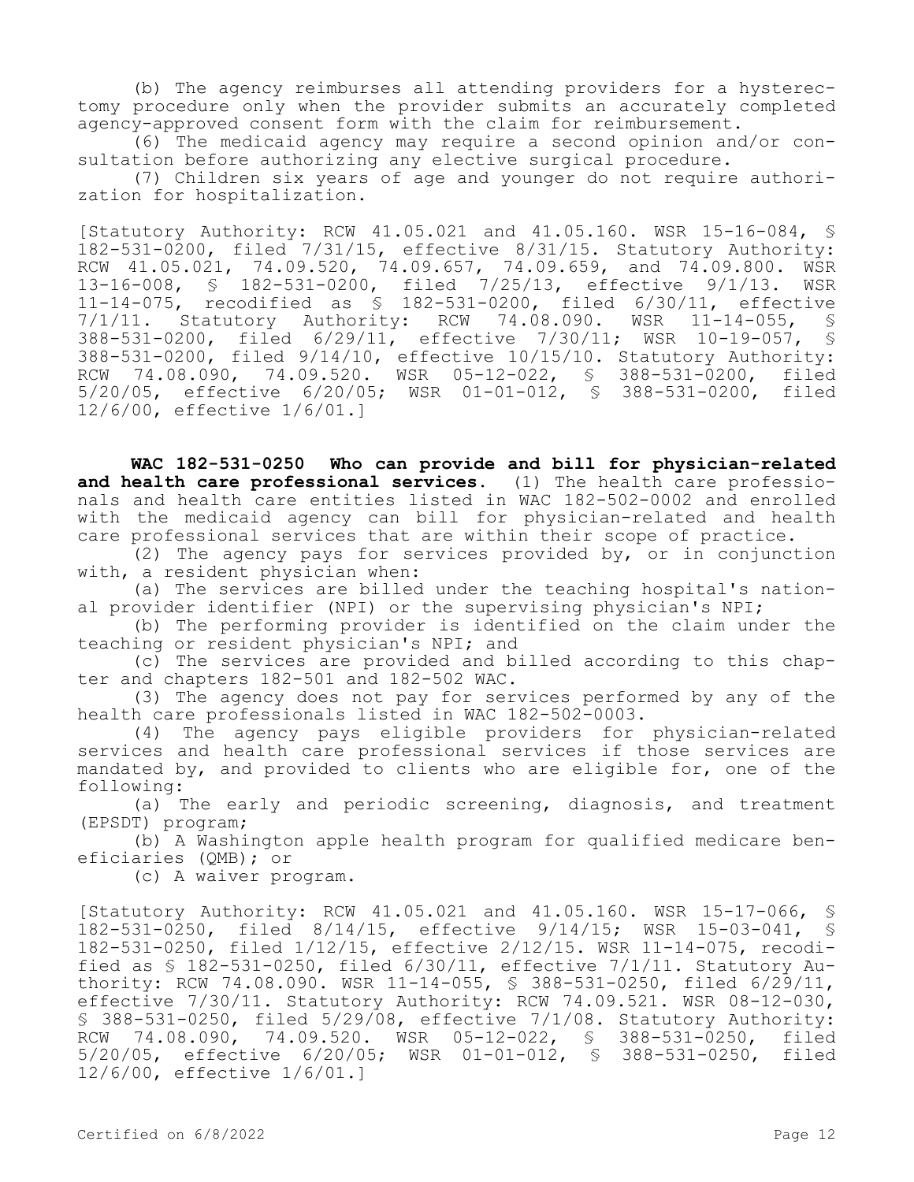(b) The agency reimburses all attending providers for a hysterectomy procedure only when the provider submits an accurately completed agency-approved consent form with the claim for reimbursement.

(6) The medicaid agency may require a second opinion and/or consultation before authorizing any elective surgical procedure.

(7) Children six years of age and younger do not require authorization for hospitalization.

[Statutory Authority: RCW 41.05.021 and 41.05.160. WSR 15-16-084, § 182-531-0200, filed 7/31/15, effective 8/31/15. Statutory Authority: RCW 41.05.021, 74.09.520, 74.09.657, 74.09.659, and 74.09.800. WSR 13-16-008, § 182-531-0200, filed 7/25/13, effective 9/1/13. WSR 11-14-075, recodified as § 182-531-0200, filed 6/30/11, effective 7/1/11. Statutory Authority: RCW 74.08.090. WSR 11-14-055, § 388-531-0200, filed 6/29/11, effective 7/30/11; WSR 10-19-057, § 388-531-0200, filed 9/14/10, effective 10/15/10. Statutory Authority: RCW 74.08.090, 74.09.520. WSR 05-12-022, § 388-531-0200, filed 5/20/05, effective 6/20/05; WSR 01-01-012, § 388-531-0200, filed 12/6/00, effective 1/6/01.]

**WAC 182-531-0250 Who can provide and bill for physician-related and health care professional services.** (1) The health care professionals and health care entities listed in WAC 182-502-0002 and enrolled with the medicaid agency can bill for physician-related and health care professional services that are within their scope of practice.

(2) The agency pays for services provided by, or in conjunction with, a resident physician when:

(a) The services are billed under the teaching hospital's national provider identifier (NPI) or the supervising physician's NPI;

(b) The performing provider is identified on the claim under the teaching or resident physician's NPI; and

(c) The services are provided and billed according to this chapter and chapters 182-501 and 182-502 WAC.

(3) The agency does not pay for services performed by any of the health care professionals listed in WAC 182-502-0003.

(4) The agency pays eligible providers for physician-related services and health care professional services if those services are mandated by, and provided to clients who are eligible for, one of the following:

(a) The early and periodic screening, diagnosis, and treatment (EPSDT) program;

(b) A Washington apple health program for qualified medicare beneficiaries (QMB); or

(c) A waiver program.

[Statutory Authority: RCW 41.05.021 and 41.05.160. WSR 15-17-066, § 182-531-0250, filed 8/14/15, effective 9/14/15; WSR 15-03-041, § 182-531-0250, filed 1/12/15, effective 2/12/15. WSR 11-14-075, recodified as § 182-531-0250, filed 6/30/11, effective 7/1/11. Statutory Authority: RCW 74.08.090. WSR 11-14-055, § 388-531-0250, filed 6/29/11, effective 7/30/11. Statutory Authority: RCW 74.09.521. WSR 08-12-030, § 388-531-0250, filed 5/29/08, effective 7/1/08. Statutory Authority: RCW 74.08.090, 74.09.520. WSR 05-12-022, § 388-531-0250, filed 5/20/05, effective 6/20/05; WSR 01-01-012, § 388-531-0250, filed 12/6/00, effective 1/6/01.]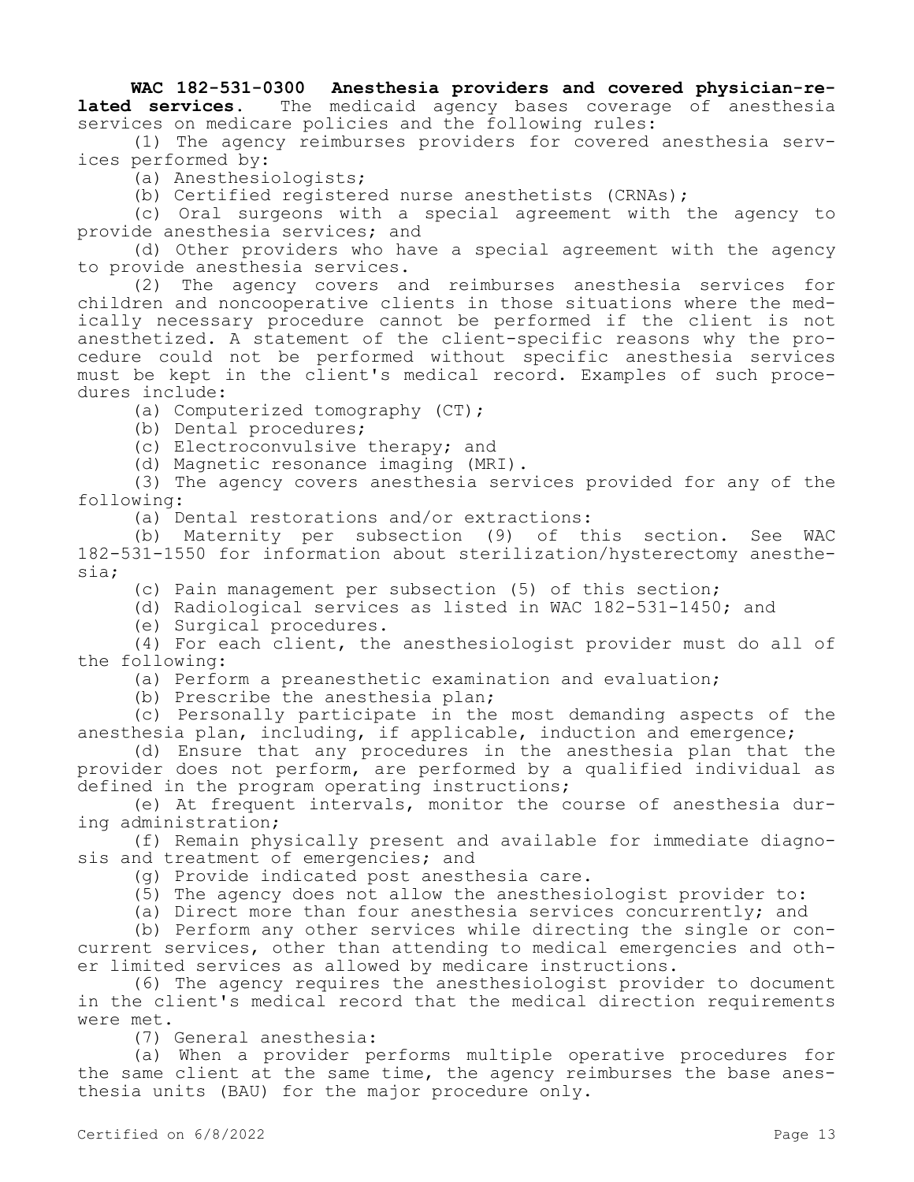### **WAC 182-531-0300 Anesthesia providers and covered physician-re-<br>lated services.** The medicaid agency bases coverage of anesthesia The medicaid agency bases coverage of anesthesia services on medicare policies and the following rules:

(1) The agency reimburses providers for covered anesthesia services performed by:

(a) Anesthesiologists;

(b) Certified registered nurse anesthetists (CRNAs);

(c) Oral surgeons with a special agreement with the agency to provide anesthesia services; and

(d) Other providers who have a special agreement with the agency to provide anesthesia services.

(2) The agency covers and reimburses anesthesia services for children and noncooperative clients in those situations where the medically necessary procedure cannot be performed if the client is not anesthetized. A statement of the client-specific reasons why the procedure could not be performed without specific anesthesia services must be kept in the client's medical record. Examples of such procedures include:

(a) Computerized tomography (CT);

(b) Dental procedures;

(c) Electroconvulsive therapy; and

(d) Magnetic resonance imaging (MRI).

(3) The agency covers anesthesia services provided for any of the following:

(a) Dental restorations and/or extractions:

(b) Maternity per subsection (9) of this section. See WAC 182-531-1550 for information about sterilization/hysterectomy anesthesia;

(c) Pain management per subsection (5) of this section;

(d) Radiological services as listed in WAC 182-531-1450; and

(e) Surgical procedures.

(4) For each client, the anesthesiologist provider must do all of the following:

(a) Perform a preanesthetic examination and evaluation;

(b) Prescribe the anesthesia plan;

(c) Personally participate in the most demanding aspects of the anesthesia plan, including, if applicable, induction and emergence;

(d) Ensure that any procedures in the anesthesia plan that the provider does not perform, are performed by a qualified individual as defined in the program operating instructions;

(e) At frequent intervals, monitor the course of anesthesia during administration;

(f) Remain physically present and available for immediate diagnosis and treatment of emergencies; and

(g) Provide indicated post anesthesia care.

(5) The agency does not allow the anesthesiologist provider to:

(a) Direct more than four anesthesia services concurrently; and

(b) Perform any other services while directing the single or concurrent services, other than attending to medical emergencies and other limited services as allowed by medicare instructions.

(6) The agency requires the anesthesiologist provider to document in the client's medical record that the medical direction requirements were met.

(7) General anesthesia:

(a) When a provider performs multiple operative procedures for the same client at the same time, the agency reimburses the base anesthesia units (BAU) for the major procedure only.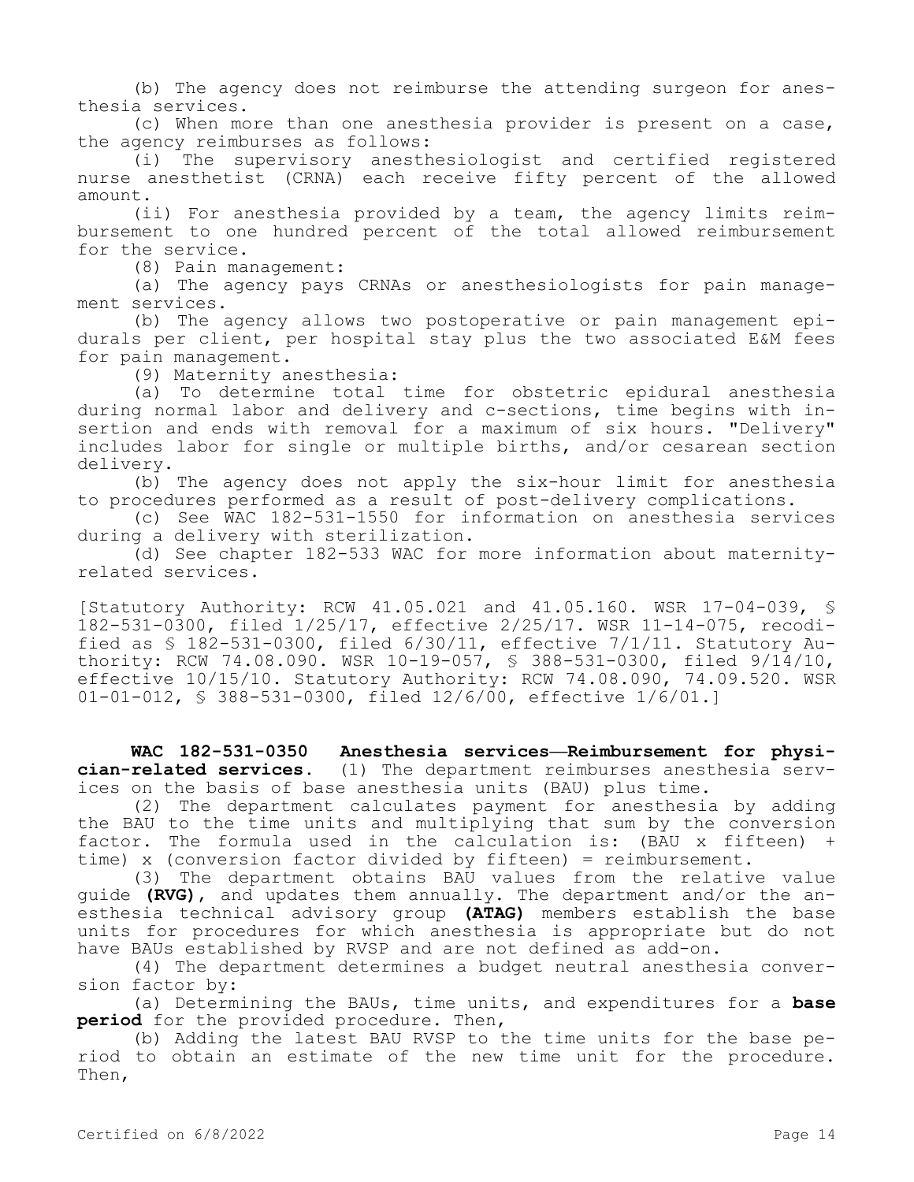(b) The agency does not reimburse the attending surgeon for anesthesia services.

(c) When more than one anesthesia provider is present on a case, the agency reimburses as follows:

(i) The supervisory anesthesiologist and certified registered nurse anesthetist (CRNA) each receive fifty percent of the allowed amount.

(ii) For anesthesia provided by a team, the agency limits reimbursement to one hundred percent of the total allowed reimbursement for the service.

(8) Pain management:

(a) The agency pays CRNAs or anesthesiologists for pain management services.

(b) The agency allows two postoperative or pain management epidurals per client, per hospital stay plus the two associated E&M fees for pain management.

(9) Maternity anesthesia:

(a) To determine total time for obstetric epidural anesthesia during normal labor and delivery and c-sections, time begins with insertion and ends with removal for a maximum of six hours. "Delivery" includes labor for single or multiple births, and/or cesarean section delivery.

(b) The agency does not apply the six-hour limit for anesthesia to procedures performed as a result of post-delivery complications.

(c) See WAC 182-531-1550 for information on anesthesia services during a delivery with sterilization.

(d) See chapter 182-533 WAC for more information about maternityrelated services.

[Statutory Authority: RCW 41.05.021 and 41.05.160. WSR 17-04-039, § 182-531-0300, filed 1/25/17, effective 2/25/17. WSR 11-14-075, recodified as § 182-531-0300, filed 6/30/11, effective 7/1/11. Statutory Authority: RCW 74.08.090. WSR 10-19-057, § 388-531-0300, filed 9/14/10, effective 10/15/10. Statutory Authority: RCW 74.08.090, 74.09.520. WSR 01-01-012, § 388-531-0300, filed 12/6/00, effective 1/6/01.]

**WAC 182-531-0350 Anesthesia services—Reimbursement for physician-related services.** (1) The department reimburses anesthesia services on the basis of base anesthesia units (BAU) plus time.

(2) The department calculates payment for anesthesia by adding the BAU to the time units and multiplying that sum by the conversion factor. The formula used in the calculation is: (BAU x fifteen) + time) x (conversion factor divided by fifteen) = reimbursement.

(3) The department obtains BAU values from the relative value guide **(RVG)**, and updates them annually. The department and/or the anesthesia technical advisory group **(ATAG)** members establish the base units for procedures for which anesthesia is appropriate but do not have BAUs established by RVSP and are not defined as add-on.

(4) The department determines a budget neutral anesthesia conversion factor by:

(a) Determining the BAUs, time units, and expenditures for a **base period** for the provided procedure. Then,

(b) Adding the latest BAU RVSP to the time units for the base period to obtain an estimate of the new time unit for the procedure. Then,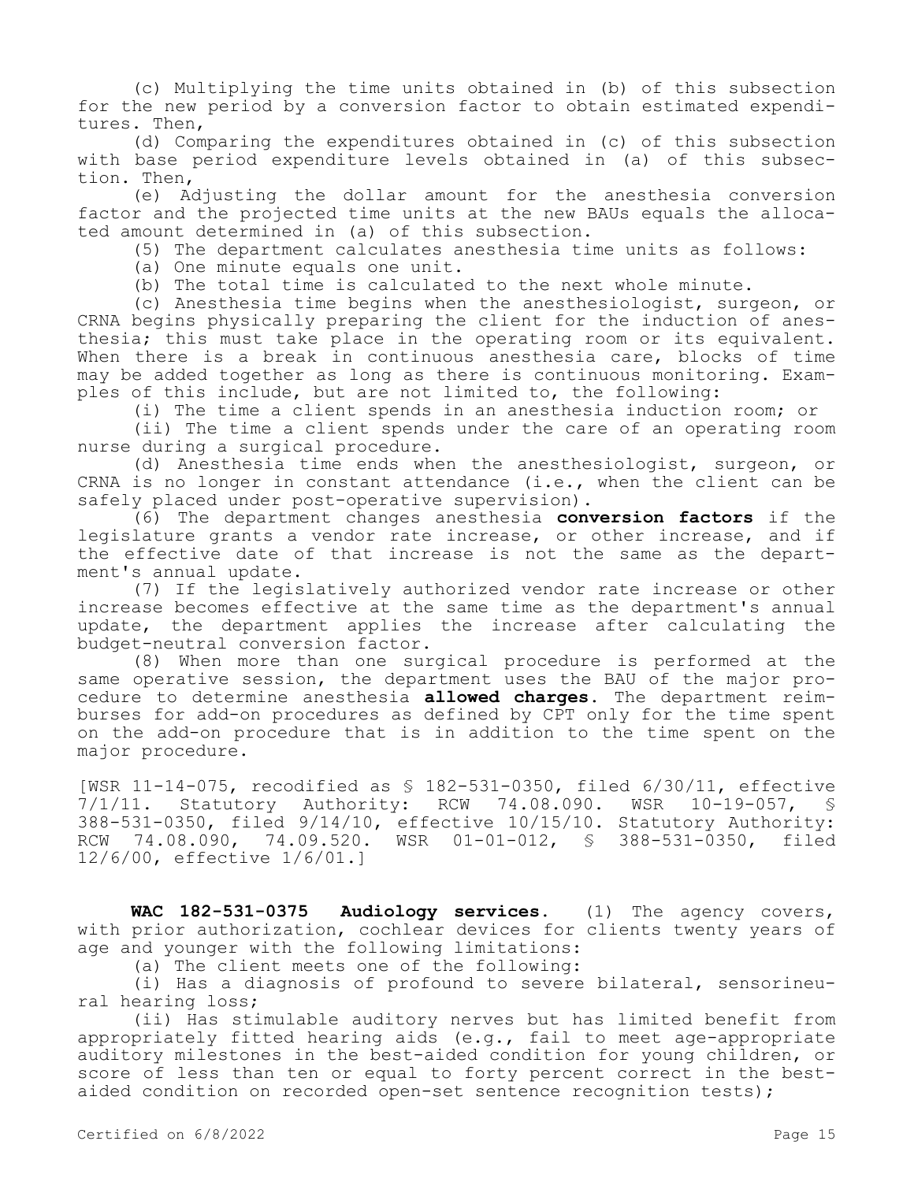(c) Multiplying the time units obtained in (b) of this subsection for the new period by a conversion factor to obtain estimated expenditures. Then,

(d) Comparing the expenditures obtained in (c) of this subsection with base period expenditure levels obtained in (a) of this subsection. Then,

(e) Adjusting the dollar amount for the anesthesia conversion factor and the projected time units at the new BAUs equals the allocated amount determined in (a) of this subsection.

(5) The department calculates anesthesia time units as follows:

(a) One minute equals one unit.

(b) The total time is calculated to the next whole minute.

(c) Anesthesia time begins when the anesthesiologist, surgeon, or CRNA begins physically preparing the client for the induction of anesthesia; this must take place in the operating room or its equivalent. When there is a break in continuous anesthesia care, blocks of time may be added together as long as there is continuous monitoring. Examples of this include, but are not limited to, the following:

(i) The time a client spends in an anesthesia induction room; or

(ii) The time a client spends under the care of an operating room nurse during a surgical procedure.

(d) Anesthesia time ends when the anesthesiologist, surgeon, or CRNA is no longer in constant attendance (i.e., when the client can be safely placed under post-operative supervision).

(6) The department changes anesthesia **conversion factors** if the legislature grants a vendor rate increase, or other increase, and if the effective date of that increase is not the same as the department's annual update.

(7) If the legislatively authorized vendor rate increase or other increase becomes effective at the same time as the department's annual update, the department applies the increase after calculating the budget-neutral conversion factor.

(8) When more than one surgical procedure is performed at the same operative session, the department uses the BAU of the major procedure to determine anesthesia **allowed charges.** The department reimburses for add-on procedures as defined by CPT only for the time spent on the add-on procedure that is in addition to the time spent on the major procedure.

[WSR 11-14-075, recodified as \$ 182-531-0350, filed 6/30/11, effective<br>7/1/11. Statutory Authority: RCW 74.08.090. WSR 10-19-057, \$ Statutory Authority: RCW 74.08.090. WSR 10-19-057, § 388-531-0350, filed 9/14/10, effective 10/15/10. Statutory Authority: RCW 74.08.090, 74.09.520. WSR 01-01-012, § 388-531-0350, filed 12/6/00, effective 1/6/01.]

**WAC 182-531-0375 Audiology services.** (1) The agency covers, with prior authorization, cochlear devices for clients twenty years of age and younger with the following limitations:

(a) The client meets one of the following:

(i) Has a diagnosis of profound to severe bilateral, sensorineural hearing loss;

(ii) Has stimulable auditory nerves but has limited benefit from appropriately fitted hearing aids (e.g., fail to meet age-appropriate auditory milestones in the best-aided condition for young children, or score of less than ten or equal to forty percent correct in the bestaided condition on recorded open-set sentence recognition tests);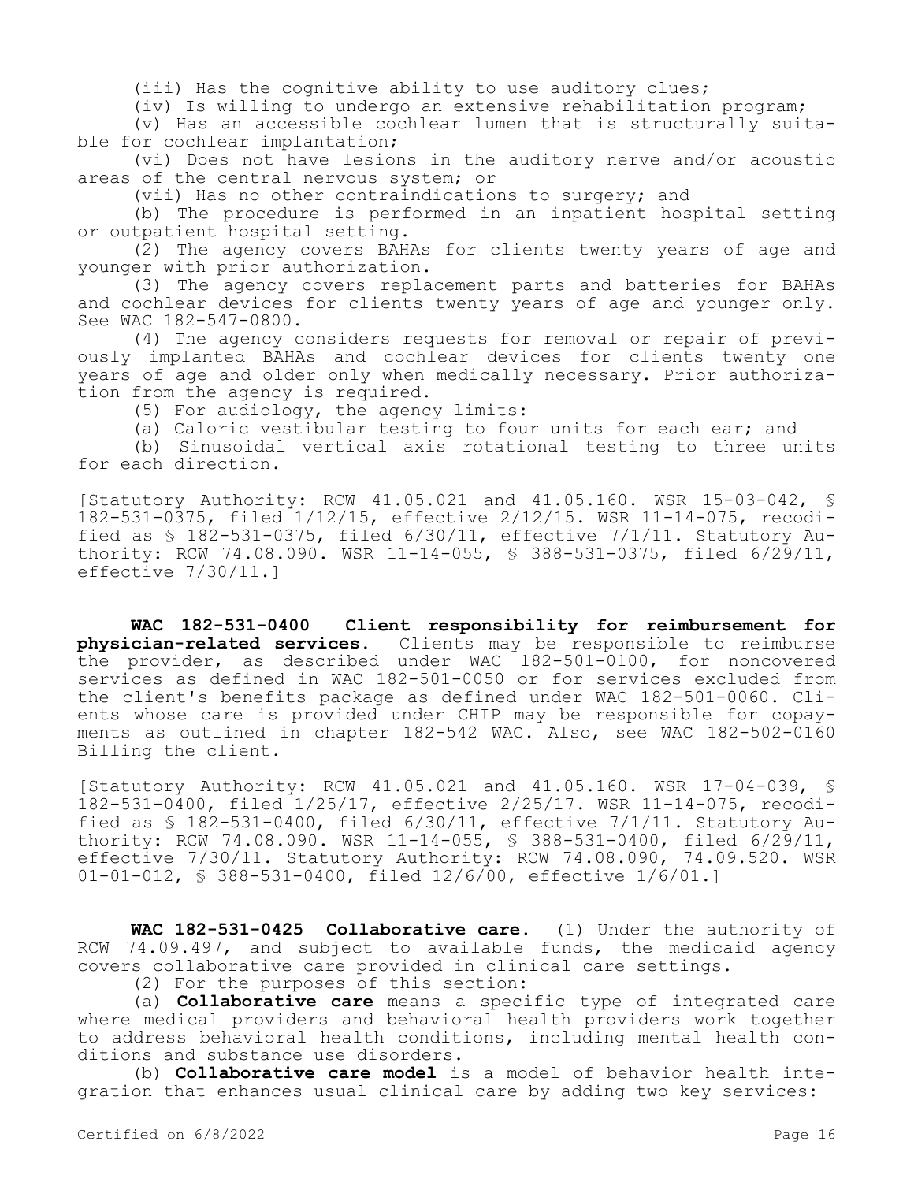(iii) Has the cognitive ability to use auditory clues;

(iv) Is willing to undergo an extensive rehabilitation program;

(v) Has an accessible cochlear lumen that is structurally suitable for cochlear implantation;

(vi) Does not have lesions in the auditory nerve and/or acoustic areas of the central nervous system; or

(vii) Has no other contraindications to surgery; and

(b) The procedure is performed in an inpatient hospital setting or outpatient hospital setting.

(2) The agency covers BAHAs for clients twenty years of age and younger with prior authorization.

(3) The agency covers replacement parts and batteries for BAHAs and cochlear devices for clients twenty years of age and younger only. See WAC 182-547-0800.

(4) The agency considers requests for removal or repair of previously implanted BAHAs and cochlear devices for clients twenty one years of age and older only when medically necessary. Prior authorization from the agency is required.

(5) For audiology, the agency limits:

(a) Caloric vestibular testing to four units for each ear; and

(b) Sinusoidal vertical axis rotational testing to three units for each direction.

[Statutory Authority: RCW 41.05.021 and 41.05.160. WSR 15-03-042, § 182-531-0375, filed 1/12/15, effective 2/12/15. WSR 11-14-075, recodified as § 182-531-0375, filed 6/30/11, effective 7/1/11. Statutory Authority: RCW 74.08.090. WSR 11-14-055, § 388-531-0375, filed 6/29/11, effective 7/30/11.]

**WAC 182-531-0400 Client responsibility for reimbursement for physician-related services.** Clients may be responsible to reimburse the provider, as described under WAC 182-501-0100, for noncovered services as defined in WAC 182-501-0050 or for services excluded from the client's benefits package as defined under WAC 182-501-0060. Clients whose care is provided under CHIP may be responsible for copayments as outlined in chapter 182-542 WAC. Also, see WAC 182-502-0160 Billing the client.

[Statutory Authority: RCW 41.05.021 and 41.05.160. WSR 17-04-039, § 182-531-0400, filed 1/25/17, effective 2/25/17. WSR 11-14-075, recodified as  $$182-531-0400$ , filed  $6/30/11$ , effective  $7/1/11$ . Statutory Authority: RCW 74.08.090. WSR 11-14-055, § 388-531-0400, filed 6/29/11, effective 7/30/11. Statutory Authority: RCW 74.08.090, 74.09.520. WSR 01-01-012, § 388-531-0400, filed 12/6/00, effective 1/6/01.]

**WAC 182-531-0425 Collaborative care.** (1) Under the authority of RCW 74.09.497, and subject to available funds, the medicaid agency covers collaborative care provided in clinical care settings.

(2) For the purposes of this section:

(a) **Collaborative care** means a specific type of integrated care where medical providers and behavioral health providers work together to address behavioral health conditions, including mental health conditions and substance use disorders.

(b) **Collaborative care model** is a model of behavior health integration that enhances usual clinical care by adding two key services: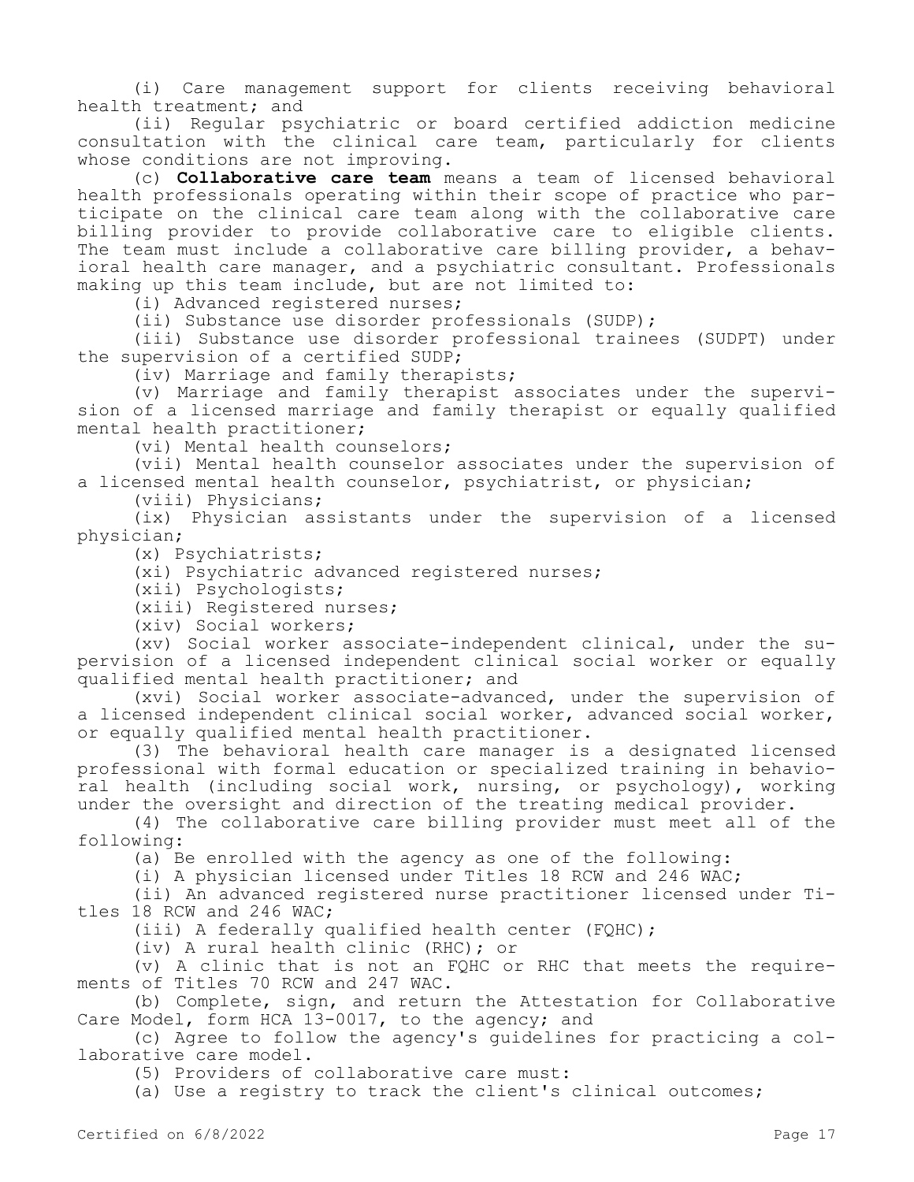(i) Care management support for clients receiving behavioral health treatment; and

(ii) Regular psychiatric or board certified addiction medicine consultation with the clinical care team, particularly for clients whose conditions are not improving.

(c) **Collaborative care team** means a team of licensed behavioral health professionals operating within their scope of practice who participate on the clinical care team along with the collaborative care billing provider to provide collaborative care to eligible clients. The team must include a collaborative care billing provider, a behavioral health care manager, and a psychiatric consultant. Professionals making up this team include, but are not limited to:

(i) Advanced registered nurses;

(ii) Substance use disorder professionals (SUDP);

(iii) Substance use disorder professional trainees (SUDPT) under the supervision of a certified SUDP;

(iv) Marriage and family therapists;

(v) Marriage and family therapist associates under the supervision of a licensed marriage and family therapist or equally qualified mental health practitioner;

(vi) Mental health counselors;

(vii) Mental health counselor associates under the supervision of a licensed mental health counselor, psychiatrist, or physician;

(viii) Physicians;

(ix) Physician assistants under the supervision of a licensed physician;

(x) Psychiatrists;

(xi) Psychiatric advanced registered nurses;

(xii) Psychologists;

(xiii) Registered nurses;

(xiv) Social workers;

(xv) Social worker associate-independent clinical, under the supervision of a licensed independent clinical social worker or equally qualified mental health practitioner; and

(xvi) Social worker associate-advanced, under the supervision of a licensed independent clinical social worker, advanced social worker, or equally qualified mental health practitioner.

(3) The behavioral health care manager is a designated licensed professional with formal education or specialized training in behavioral health (including social work, nursing, or psychology), working under the oversight and direction of the treating medical provider.

(4) The collaborative care billing provider must meet all of the following:

(a) Be enrolled with the agency as one of the following:

(i) A physician licensed under Titles 18 RCW and 246 WAC;

(ii) An advanced registered nurse practitioner licensed under Titles 18 RCW and 246 WAC;

(iii) A federally qualified health center (FQHC);

(iv) A rural health clinic (RHC); or

(v) A clinic that is not an FQHC or RHC that meets the requirements of Titles 70 RCW and 247 WAC.

(b) Complete, sign, and return the Attestation for Collaborative Care Model, form HCA 13-0017, to the agency; and

(c) Agree to follow the agency's guidelines for practicing a collaborative care model.

(5) Providers of collaborative care must:

(a) Use a registry to track the client's clinical outcomes;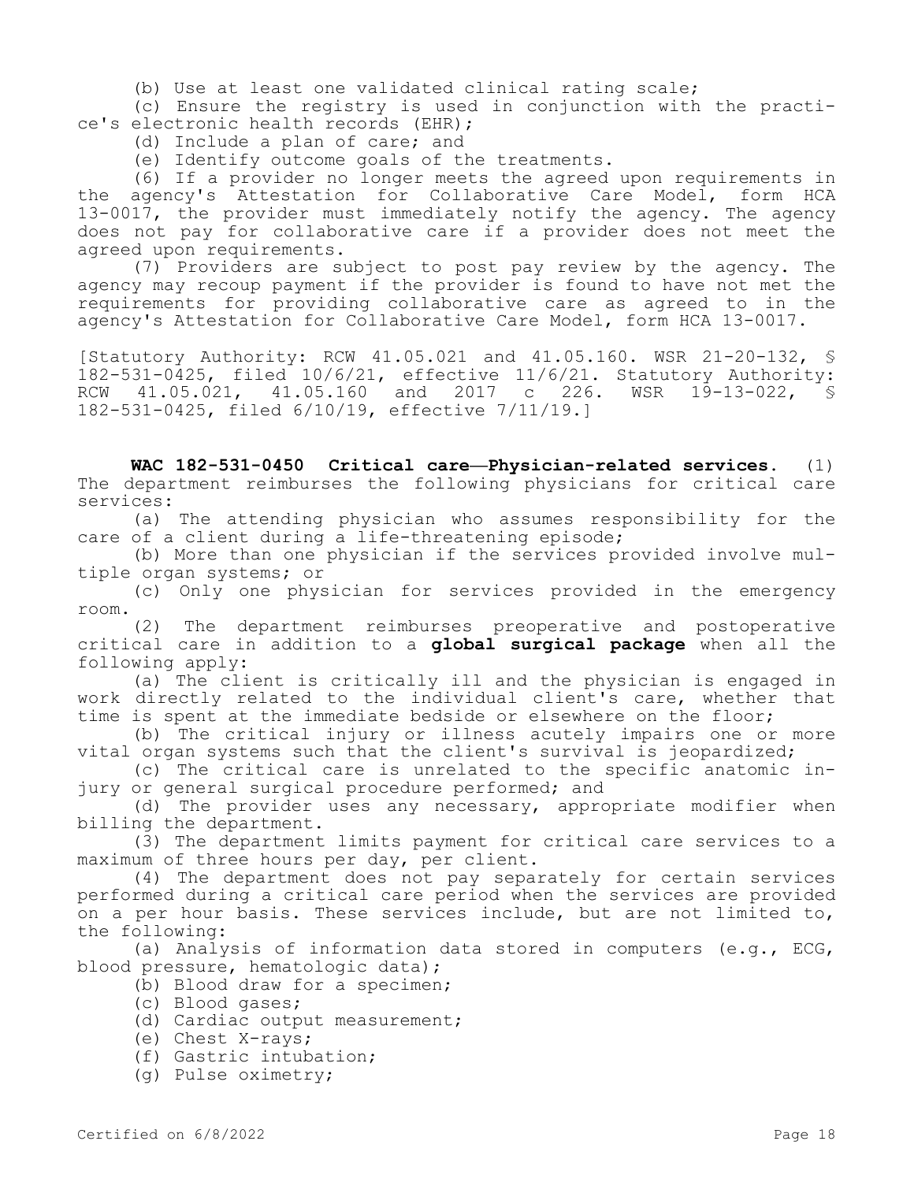(b) Use at least one validated clinical rating scale;

(c) Ensure the registry is used in conjunction with the practice's electronic health records (EHR);

(d) Include a plan of care; and

(e) Identify outcome goals of the treatments.

(6) If a provider no longer meets the agreed upon requirements in the agency's Attestation for Collaborative Care Model, form HCA 13-0017, the provider must immediately notify the agency. The agency does not pay for collaborative care if a provider does not meet the agreed upon requirements.

(7) Providers are subject to post pay review by the agency. The agency may recoup payment if the provider is found to have not met the requirements for providing collaborative care as agreed to in the agency's Attestation for Collaborative Care Model, form HCA 13-0017.

[Statutory Authority: RCW 41.05.021 and 41.05.160. WSR 21-20-132, § 182-531-0425, filed 10/6/21, effective 11/6/21. Statutory Authority: RCW 41.05.021, 41.05.160 and 2017 c 226. WSR 19-13-022, § 182-531-0425, filed 6/10/19, effective 7/11/19.]

**WAC 182-531-0450 Critical care—Physician-related services.** (1) The department reimburses the following physicians for critical care services:

(a) The attending physician who assumes responsibility for the care of a client during a life-threatening episode;

(b) More than one physician if the services provided involve multiple organ systems; or

(c) Only one physician for services provided in the emergency room.

(2) The department reimburses preoperative and postoperative critical care in addition to a **global surgical package** when all the following apply:

(a) The client is critically ill and the physician is engaged in work directly related to the individual client's care, whether that time is spent at the immediate bedside or elsewhere on the floor;

(b) The critical injury or illness acutely impairs one or more vital organ systems such that the client's survival is jeopardized;

(c) The critical care is unrelated to the specific anatomic injury or general surgical procedure performed; and

(d) The provider uses any necessary, appropriate modifier when billing the department.

(3) The department limits payment for critical care services to a maximum of three hours per day, per client.

(4) The department does not pay separately for certain services performed during a critical care period when the services are provided on a per hour basis. These services include, but are not limited to, the following:

(a) Analysis of information data stored in computers (e.g.,  $ECG$ , blood pressure, hematologic data);

- (b) Blood draw for a specimen;
- (c) Blood gases;
- (d) Cardiac output measurement;
- (e) Chest X-rays;
- (f) Gastric intubation;
- (g) Pulse oximetry;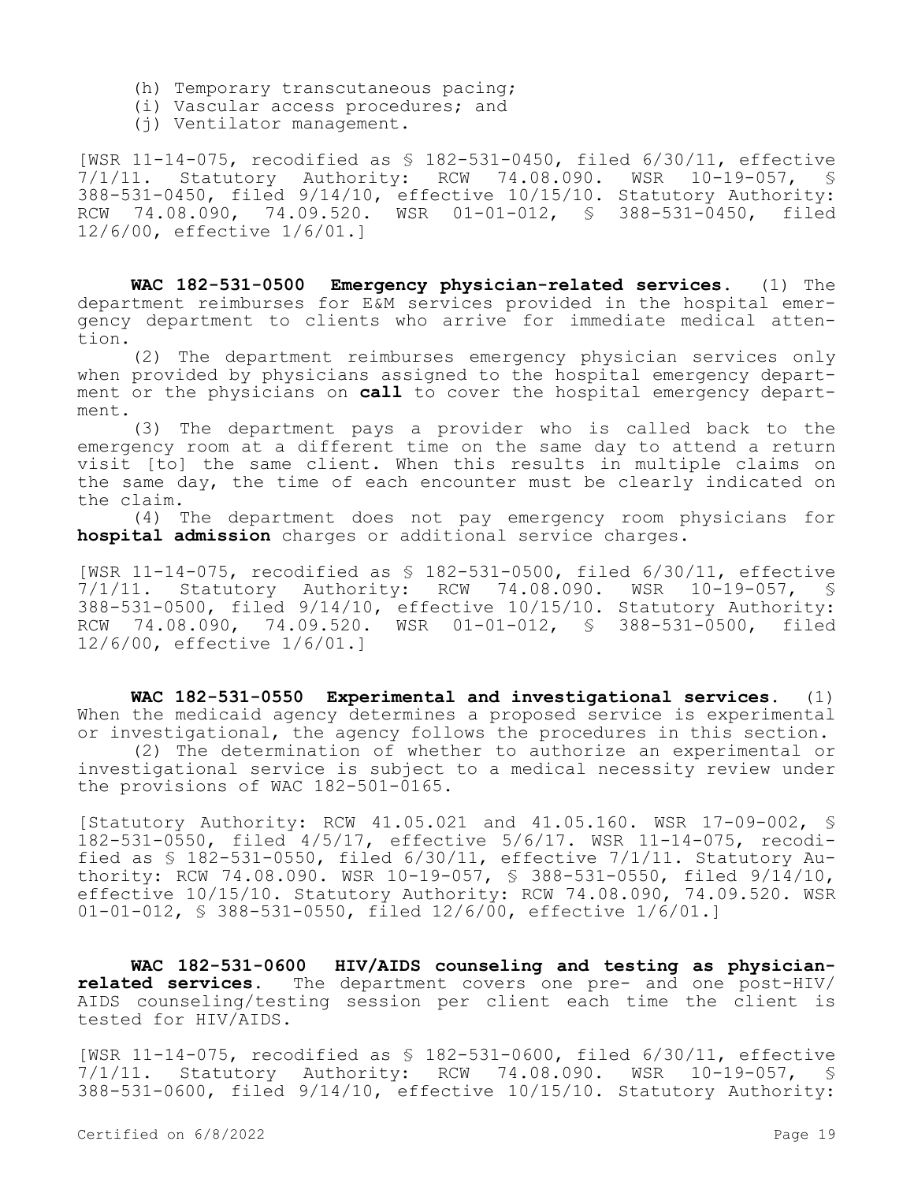- (h) Temporary transcutaneous pacing;
- (i) Vascular access procedures; and
- (j) Ventilator management.

[WSR 11-14-075, recodified as § 182-531-0450, filed 6/30/11, effective 7/1/11. Statutory Authority: RCW 74.08.090. WSR 10-19-057, § 388-531-0450, filed 9/14/10, effective 10/15/10. Statutory Authority: RCW 74.08.090, 74.09.520. WSR 01-01-012, § 388-531-0450, filed 12/6/00, effective 1/6/01.]

**WAC 182-531-0500 Emergency physician-related services.** (1) The department reimburses for E&M services provided in the hospital emergency department to clients who arrive for immediate medical attention.

(2) The department reimburses emergency physician services only when provided by physicians assigned to the hospital emergency department or the physicians on **call** to cover the hospital emergency department.

(3) The department pays a provider who is called back to the emergency room at a different time on the same day to attend a return visit [to] the same client. When this results in multiple claims on the same day, the time of each encounter must be clearly indicated on the claim.

(4) The department does not pay emergency room physicians for **hospital admission** charges or additional service charges.

[WSR 11-14-075, recodified as \$ 182-531-0500, filed 6/30/11, effective<br>7/1/11. Statutory Authority: RCW 74.08.090. WSR 10-19-057, \$ Statutory Authority: RCW 74.08.090. WSR 10-19-057, § 388-531-0500, filed 9/14/10, effective 10/15/10. Statutory Authority: RCW 74.08.090, 74.09.520. WSR 01-01-012, § 388-531-0500, filed 12/6/00, effective 1/6/01.]

**WAC 182-531-0550 Experimental and investigational services.** (1) When the medicaid agency determines a proposed service is experimental or investigational, the agency follows the procedures in this section.

(2) The determination of whether to authorize an experimental or investigational service is subject to a medical necessity review under the provisions of WAC 182-501-0165.

[Statutory Authority: RCW 41.05.021 and 41.05.160. WSR 17-09-002, § 182-531-0550, filed 4/5/17, effective 5/6/17. WSR 11-14-075, recodified as § 182-531-0550, filed 6/30/11, effective 7/1/11. Statutory Authority: RCW 74.08.090. WSR 10-19-057, § 388-531-0550, filed 9/14/10, effective 10/15/10. Statutory Authority: RCW 74.08.090, 74.09.520. WSR 01-01-012, § 388-531-0550, filed 12/6/00, effective 1/6/01.]

**WAC 182-531-0600 HIV/AIDS counseling and testing as physicianrelated services.** The department covers one pre- and one post-HIV/ AIDS counseling/testing session per client each time the client is tested for HIV/AIDS.

[WSR 11-14-075, recodified as § 182-531-0600, filed 6/30/11, effective 7/1/11. Statutory Authority: RCW 74.08.090. WSR 10-19-057, § 388-531-0600, filed 9/14/10, effective 10/15/10. Statutory Authority: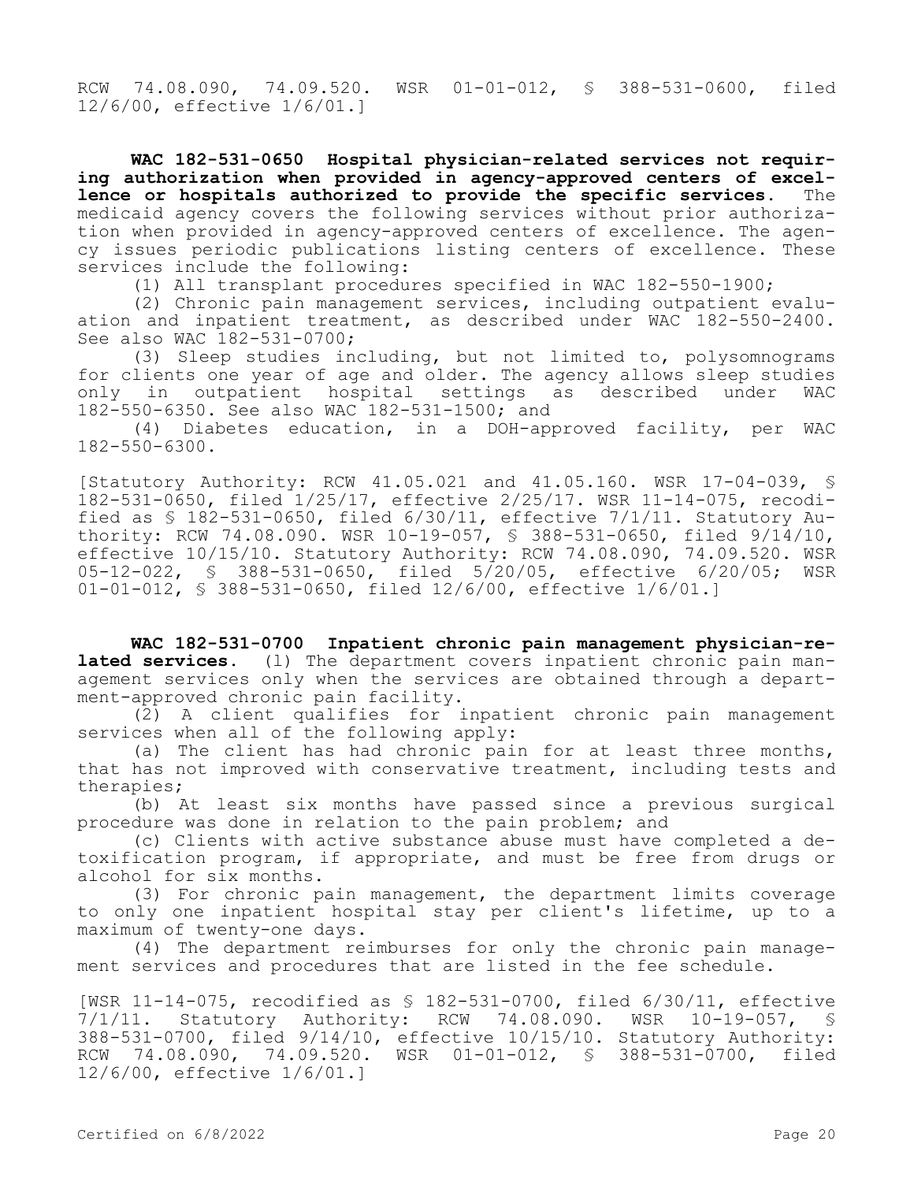RCW 74.08.090, 74.09.520. WSR 01-01-012, § 388-531-0600, filed 12/6/00, effective 1/6/01.]

**WAC 182-531-0650 Hospital physician-related services not requiring authorization when provided in agency-approved centers of excellence or hospitals authorized to provide the specific services.** The medicaid agency covers the following services without prior authorization when provided in agency-approved centers of excellence. The agency issues periodic publications listing centers of excellence. These services include the following:

(1) All transplant procedures specified in WAC 182-550-1900;

(2) Chronic pain management services, including outpatient evaluation and inpatient treatment, as described under WAC 182-550-2400. See also WAC 182-531-0700;

(3) Sleep studies including, but not limited to, polysomnograms for clients one year of age and older. The agency allows sleep studies<br>only in outpatient hospital settings as described under WAC only in outpatient hospital settings as described under 182-550-6350. See also WAC 182-531-1500; and

(4) Diabetes education, in a DOH-approved facility, per WAC 182-550-6300.

[Statutory Authority: RCW 41.05.021 and 41.05.160. WSR 17-04-039, § 182-531-0650, filed 1/25/17, effective 2/25/17. WSR 11-14-075, recodified as § 182-531-0650, filed 6/30/11, effective 7/1/11. Statutory Authority: RCW 74.08.090. WSR 10-19-057, § 388-531-0650, filed 9/14/10, effective 10/15/10. Statutory Authority: RCW 74.08.090, 74.09.520. WSR 05-12-022, § 388-531-0650, filed 5/20/05, effective 6/20/05; WSR 01-01-012, § 388-531-0650, filed 12/6/00, effective 1/6/01.]

**WAC 182-531-0700 Inpatient chronic pain management physician-related services.** (l) The department covers inpatient chronic pain management services only when the services are obtained through a department-approved chronic pain facility.

(2) A client qualifies for inpatient chronic pain management services when all of the following apply:

(a) The client has had chronic pain for at least three months, that has not improved with conservative treatment, including tests and therapies;

(b) At least six months have passed since a previous surgical procedure was done in relation to the pain problem; and

(c) Clients with active substance abuse must have completed a detoxification program, if appropriate, and must be free from drugs or alcohol for six months.

(3) For chronic pain management, the department limits coverage to only one inpatient hospital stay per client's lifetime, up to a maximum of twenty-one days.

(4) The department reimburses for only the chronic pain management services and procedures that are listed in the fee schedule.

[WSR 11-14-075, recodified as § 182-531-0700, filed 6/30/11, effective 7/1/11. Statutory Authority: RCW 74.08.090. WSR 10-19-057, § 388-531-0700, filed 9/14/10, effective 10/15/10. Statutory Authority: RCW 74.08.090, 74.09.520. WSR 01-01-012, § 388-531-0700, filed 12/6/00, effective 1/6/01.]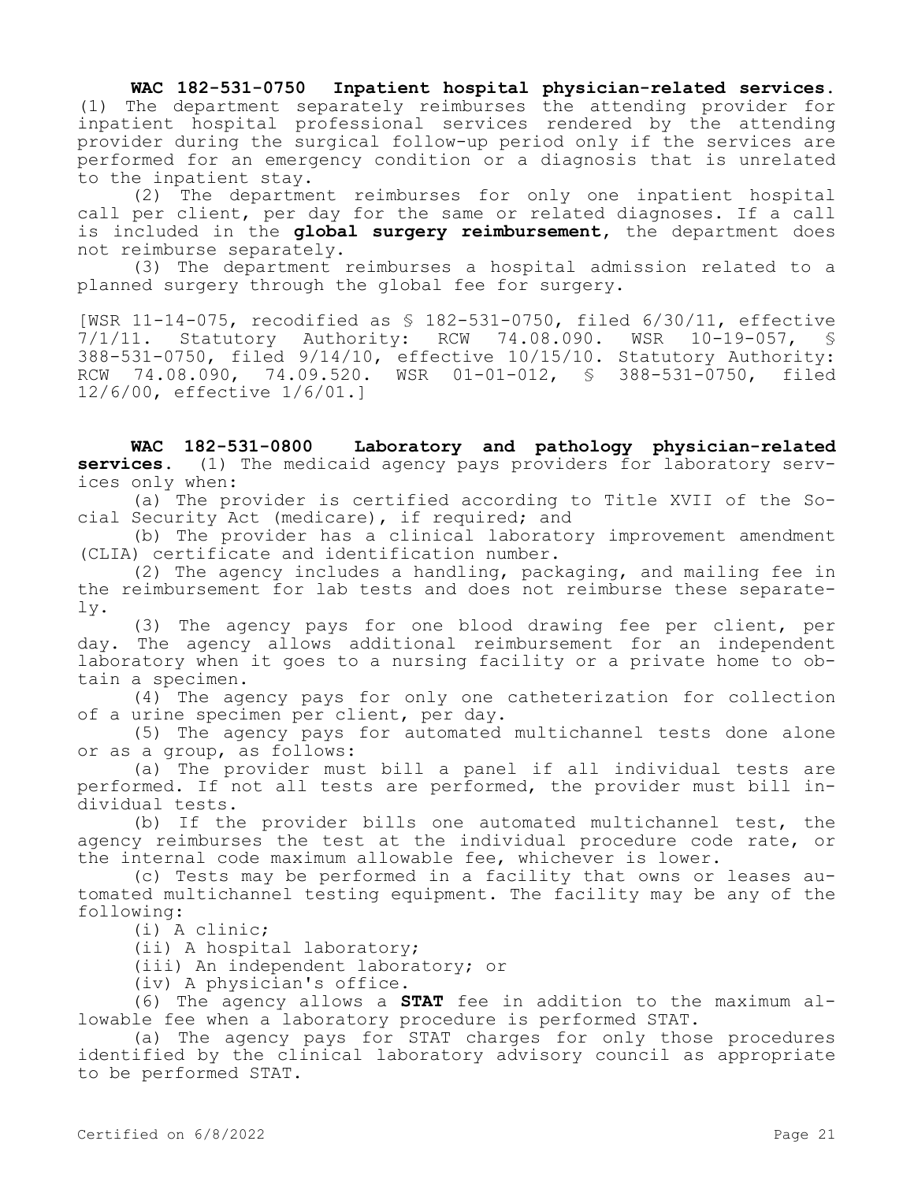**WAC 182-531-0750 Inpatient hospital physician-related services.**  (1) The department separately reimburses the attending provider for inpatient hospital professional services rendered by the attending provider during the surgical follow-up period only if the services are performed for an emergency condition or a diagnosis that is unrelated to the inpatient stay.

(2) The department reimburses for only one inpatient hospital call per client, per day for the same or related diagnoses. If a call is included in the **global surgery reimbursement,** the department does not reimburse separately.

(3) The department reimburses a hospital admission related to a planned surgery through the global fee for surgery.

[WSR 11-14-075, recodified as \$ 182-531-0750, filed 6/30/11, effective<br>7/1/11. Statutory Authority: RCW 74.08.090. WSR 10-19-057, \$ Statutory Authority: RCW 74.08.090. WSR 10-19-057, § 388-531-0750, filed 9/14/10, effective 10/15/10. Statutory Authority: RCW 74.08.090, 74.09.520. WSR 01-01-012, § 388-531-0750, filed 12/6/00, effective 1/6/01.]

**WAC 182-531-0800 Laboratory and pathology physician-related services.** (1) The medicaid agency pays providers for laboratory services only when:

(a) The provider is certified according to Title XVII of the Social Security Act (medicare), if required; and

(b) The provider has a clinical laboratory improvement amendment (CLIA) certificate and identification number.

(2) The agency includes a handling, packaging, and mailing fee in the reimbursement for lab tests and does not reimburse these separately.

(3) The agency pays for one blood drawing fee per client, per day. The agency allows additional reimbursement for an independent laboratory when it goes to a nursing facility or a private home to obtain a specimen.

(4) The agency pays for only one catheterization for collection of a urine specimen per client, per day.

(5) The agency pays for automated multichannel tests done alone or as a group, as follows:

(a) The provider must bill a panel if all individual tests are performed. If not all tests are performed, the provider must bill individual tests.

(b) If the provider bills one automated multichannel test, the agency reimburses the test at the individual procedure code rate, or the internal code maximum allowable fee, whichever is lower.

(c) Tests may be performed in a facility that owns or leases automated multichannel testing equipment. The facility may be any of the following:

(i) A clinic;

(ii) A hospital laboratory;

(iii) An independent laboratory; or

(iv) A physician's office.

(6) The agency allows a **STAT** fee in addition to the maximum allowable fee when a laboratory procedure is performed STAT.

(a) The agency pays for STAT charges for only those procedures identified by the clinical laboratory advisory council as appropriate to be performed STAT.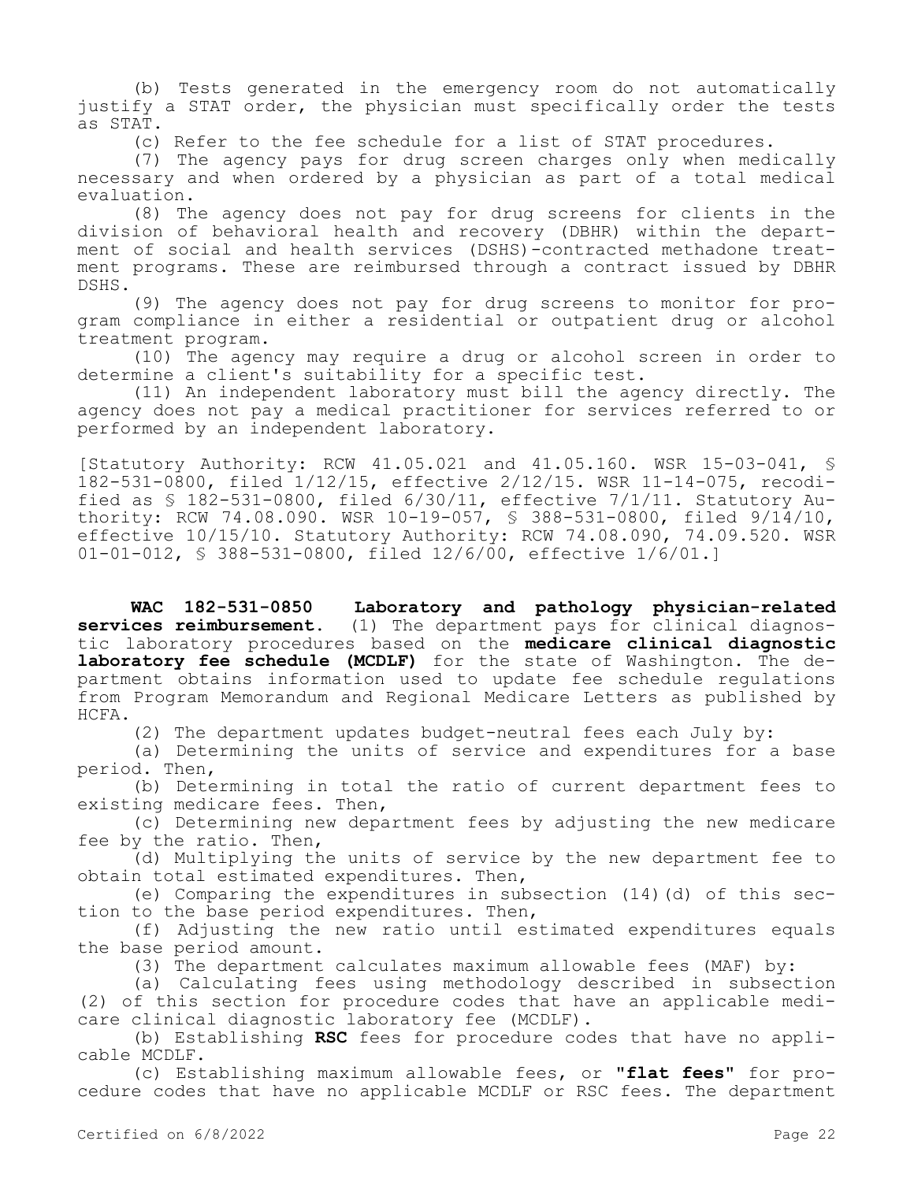(b) Tests generated in the emergency room do not automatically justify a STAT order, the physician must specifically order the tests as STAT.

(c) Refer to the fee schedule for a list of STAT procedures.

(7) The agency pays for drug screen charges only when medically necessary and when ordered by a physician as part of a total medical evaluation.

(8) The agency does not pay for drug screens for clients in the division of behavioral health and recovery (DBHR) within the department of social and health services (DSHS)-contracted methadone treatment programs. These are reimbursed through a contract issued by DBHR DSHS.

(9) The agency does not pay for drug screens to monitor for program compliance in either a residential or outpatient drug or alcohol treatment program.

(10) The agency may require a drug or alcohol screen in order to determine a client's suitability for a specific test.

(11) An independent laboratory must bill the agency directly. The agency does not pay a medical practitioner for services referred to or performed by an independent laboratory.

[Statutory Authority: RCW 41.05.021 and 41.05.160. WSR 15-03-041, § 182-531-0800, filed 1/12/15, effective 2/12/15. WSR 11-14-075, recodified as  $$182-531-0800$ , filed  $6/30/11$ , effective  $7/1/11$ . Statutory Authority: RCW 74.08.090. WSR 10-19-057, § 388-531-0800, filed 9/14/10, effective 10/15/10. Statutory Authority: RCW 74.08.090, 74.09.520. WSR 01-01-012, § 388-531-0800, filed 12/6/00, effective 1/6/01.]

**WAC 182-531-0850 Laboratory and pathology physician-related services reimbursement.** (1) The department pays for clinical diagnos**services reimbursement.** (1) The department pays for clinical diagnostic laboratory procedures based on the **medicare clinical diagnostic laboratory fee schedule (MCDLF)** for the state of Washington. The department obtains information used to update fee schedule regulations from Program Memorandum and Regional Medicare Letters as published by HCFA.

(2) The department updates budget-neutral fees each July by:

(a) Determining the units of service and expenditures for a base period. Then,

(b) Determining in total the ratio of current department fees to existing medicare fees. Then,

(c) Determining new department fees by adjusting the new medicare fee by the ratio. Then,

(d) Multiplying the units of service by the new department fee to obtain total estimated expenditures. Then,

(e) Comparing the expenditures in subsection (14)(d) of this section to the base period expenditures. Then,

(f) Adjusting the new ratio until estimated expenditures equals the base period amount.

(3) The department calculates maximum allowable fees (MAF) by:

(a) Calculating fees using methodology described in subsection (2) of this section for procedure codes that have an applicable medicare clinical diagnostic laboratory fee (MCDLF).

(b) Establishing **RSC** fees for procedure codes that have no applicable MCDLF.

(c) Establishing maximum allowable fees, or **"flat fees"** for procedure codes that have no applicable MCDLF or RSC fees. The department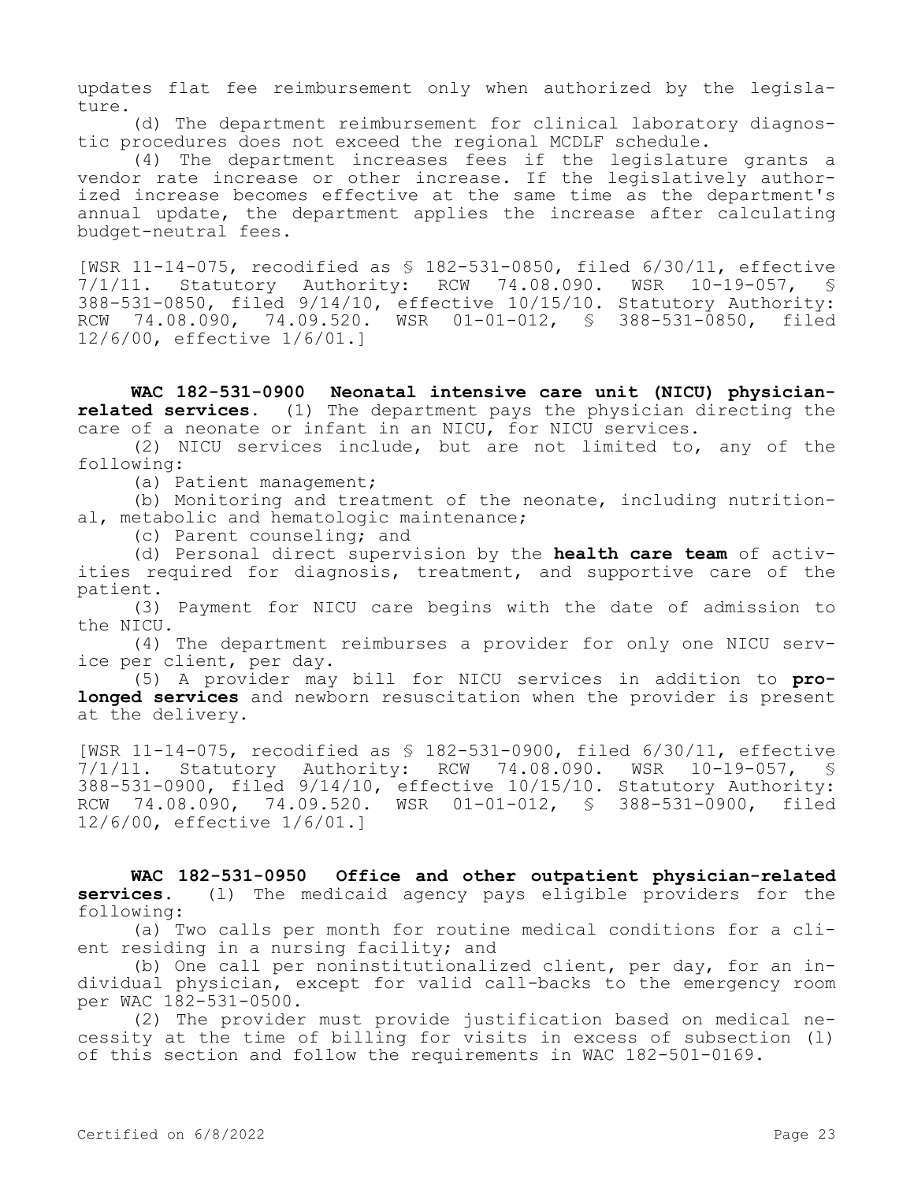updates flat fee reimbursement only when authorized by the legislature.

(d) The department reimbursement for clinical laboratory diagnostic procedures does not exceed the regional MCDLF schedule.

(4) The department increases fees if the legislature grants a vendor rate increase or other increase. If the legislatively authorized increase becomes effective at the same time as the department's annual update, the department applies the increase after calculating budget-neutral fees.

[WSR 11-14-075, recodified as \$ 182-531-0850, filed 6/30/11, effective<br>7/1/11. Statutory Authority: RCW 74.08.090. WSR 10-19-057, \$ 7/1/11. Statutory Authority: RCW 74.08.090. WSR 10-19-057, § 388-531-0850, filed 9/14/10, effective 10/15/10. Statutory Authority: RCW 74.08.090, 74.09.520. WSR 01-01-012, § 388-531-0850, filed 12/6/00, effective 1/6/01.]

**WAC 182-531-0900 Neonatal intensive care unit (NICU) physicianrelated services.** (1) The department pays the physician directing the care of a neonate or infant in an NICU, for NICU services.

(2) NICU services include, but are not limited to, any of the following:

(a) Patient management;

(b) Monitoring and treatment of the neonate, including nutritional, metabolic and hematologic maintenance;

(c) Parent counseling; and

(d) Personal direct supervision by the **health care team** of activities required for diagnosis, treatment, and supportive care of the patient.

(3) Payment for NICU care begins with the date of admission to the NICU.

(4) The department reimburses a provider for only one NICU service per client, per day.

(5) A provider may bill for NICU services in addition to **prolonged services** and newborn resuscitation when the provider is present at the delivery.

[WSR 11-14-075, recodified as § 182-531-0900, filed 6/30/11, effective 7/1/11. Statutory Authority: RCW 74.08.090. WSR 10-19-057, § 388-531-0900, filed 9/14/10, effective 10/15/10. Statutory Authority: RCW 74.08.090, 74.09.520. WSR 01-01-012, § 388-531-0900, filed 12/6/00, effective 1/6/01.]

**WAC 182-531-0950 Office and other outpatient physician-related services.** (l) The medicaid agency pays eligible providers for the following:

(a) Two calls per month for routine medical conditions for a client residing in a nursing facility; and

(b) One call per noninstitutionalized client, per day, for an individual physician, except for valid call-backs to the emergency room per WAC 182-531-0500.

(2) The provider must provide justification based on medical necessity at the time of billing for visits in excess of subsection (l) of this section and follow the requirements in WAC 182-501-0169.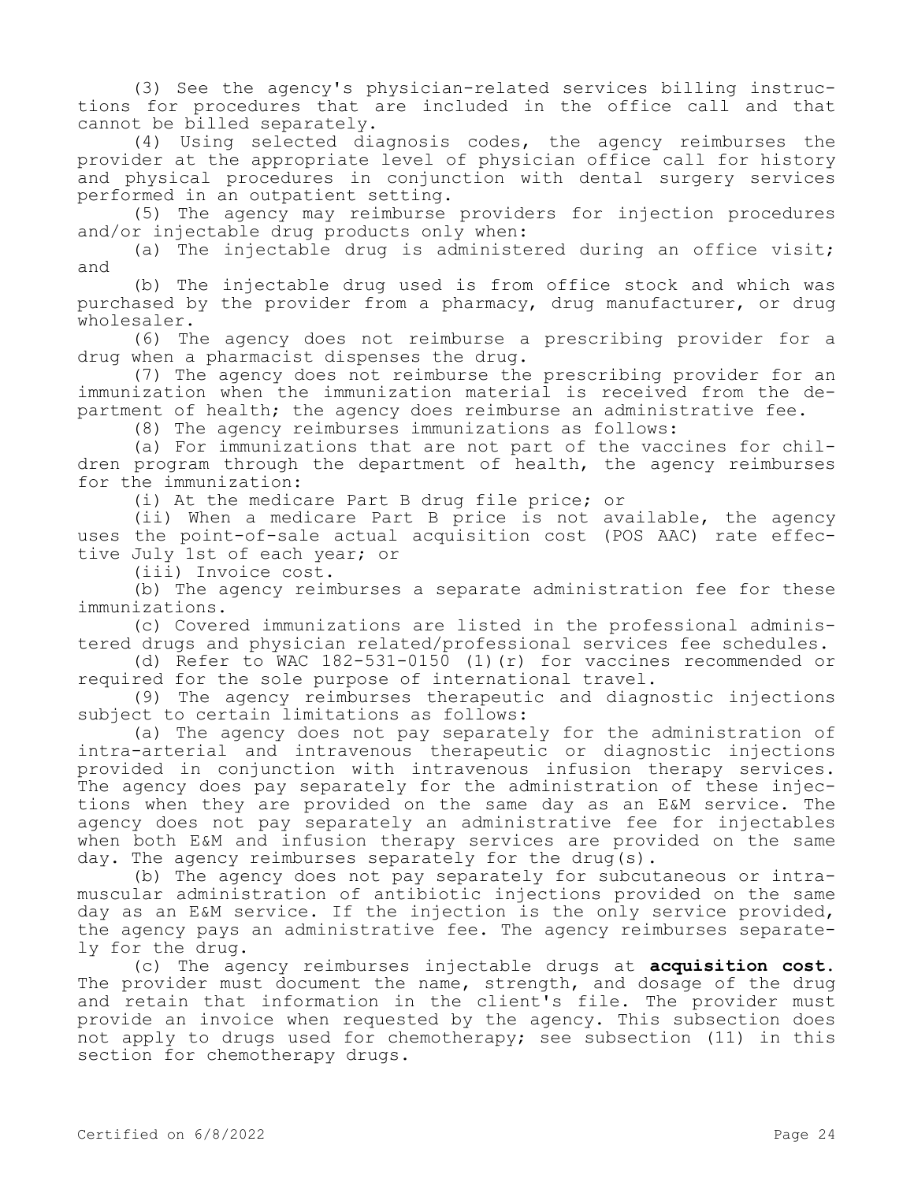(3) See the agency's physician-related services billing instructions for procedures that are included in the office call and that cannot be billed separately.

(4) Using selected diagnosis codes, the agency reimburses the provider at the appropriate level of physician office call for history and physical procedures in conjunction with dental surgery services performed in an outpatient setting.

(5) The agency may reimburse providers for injection procedures and/or injectable drug products only when:

(a) The injectable drug is administered during an office visit; and

(b) The injectable drug used is from office stock and which was purchased by the provider from a pharmacy, drug manufacturer, or drug wholesaler.

(6) The agency does not reimburse a prescribing provider for a drug when a pharmacist dispenses the drug.

(7) The agency does not reimburse the prescribing provider for an immunization when the immunization material is received from the department of health; the agency does reimburse an administrative fee.

(8) The agency reimburses immunizations as follows:

(a) For immunizations that are not part of the vaccines for children program through the department of health, the agency reimburses for the immunization:

(i) At the medicare Part B drug file price; or

(ii) When a medicare Part B price is not available, the agency uses the point-of-sale actual acquisition cost (POS AAC) rate effective July 1st of each year; or

(iii) Invoice cost.

(b) The agency reimburses a separate administration fee for these immunizations.

(c) Covered immunizations are listed in the professional administered drugs and physician related/professional services fee schedules.

(d) Refer to WAC 182-531-0150 (1)(r) for vaccines recommended or required for the sole purpose of international travel.

(9) The agency reimburses therapeutic and diagnostic injections subject to certain limitations as follows:

(a) The agency does not pay separately for the administration of intra-arterial and intravenous therapeutic or diagnostic injections provided in conjunction with intravenous infusion therapy services. The agency does pay separately for the administration of these injections when they are provided on the same day as an E&M service. The agency does not pay separately an administrative fee for injectables when both E&M and infusion therapy services are provided on the same day. The agency reimburses separately for the drug(s).

(b) The agency does not pay separately for subcutaneous or intramuscular administration of antibiotic injections provided on the same day as an E&M service. If the injection is the only service provided, the agency pays an administrative fee. The agency reimburses separately for the drug.

(c) The agency reimburses injectable drugs at **acquisition cost.**  The provider must document the name, strength, and dosage of the drug and retain that information in the client's file. The provider must provide an invoice when requested by the agency. This subsection does not apply to drugs used for chemotherapy; see subsection (11) in this section for chemotherapy drugs.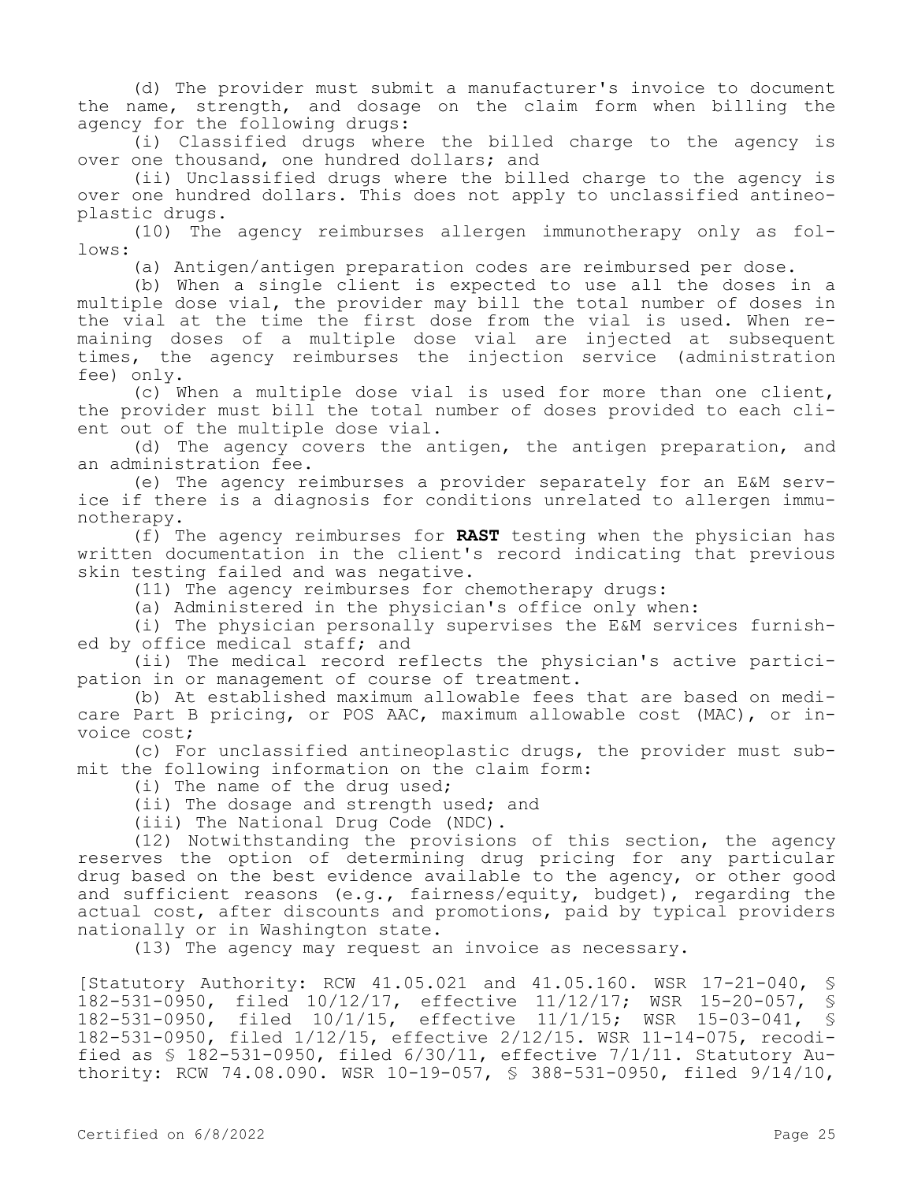(d) The provider must submit a manufacturer's invoice to document the name, strength, and dosage on the claim form when billing the agency for the following drugs:

(i) Classified drugs where the billed charge to the agency is over one thousand, one hundred dollars; and

(ii) Unclassified drugs where the billed charge to the agency is over one hundred dollars. This does not apply to unclassified antineoplastic drugs.

(10) The agency reimburses allergen immunotherapy only as follows:

(a) Antigen/antigen preparation codes are reimbursed per dose.

(b) When a single client is expected to use all the doses in a multiple dose vial, the provider may bill the total number of doses in the vial at the time the first dose from the vial is used. When remaining doses of a multiple dose vial are injected at subsequent times, the agency reimburses the injection service (administration fee) only.

(c) When a multiple dose vial is used for more than one client, the provider must bill the total number of doses provided to each client out of the multiple dose vial.

(d) The agency covers the antigen, the antigen preparation, and an administration fee.

(e) The agency reimburses a provider separately for an E&M service if there is a diagnosis for conditions unrelated to allergen immunotherapy.

(f) The agency reimburses for **RAST** testing when the physician has written documentation in the client's record indicating that previous skin testing failed and was negative.

(11) The agency reimburses for chemotherapy drugs:

(a) Administered in the physician's office only when:

(i) The physician personally supervises the E&M services furnished by office medical staff; and

(ii) The medical record reflects the physician's active participation in or management of course of treatment.

(b) At established maximum allowable fees that are based on medicare Part B pricing, or POS AAC, maximum allowable cost (MAC), or invoice cost;

(c) For unclassified antineoplastic drugs, the provider must submit the following information on the claim form:

(i) The name of the drug used;

(ii) The dosage and strength used; and

(iii) The National Drug Code (NDC).

(12) Notwithstanding the provisions of this section, the agency reserves the option of determining drug pricing for any particular drug based on the best evidence available to the agency, or other good and sufficient reasons (e.g., fairness/equity, budget), regarding the actual cost, after discounts and promotions, paid by typical providers nationally or in Washington state.

(13) The agency may request an invoice as necessary.

[Statutory Authority: RCW 41.05.021 and 41.05.160. WSR 17-21-040, § 182-531-0950, filed 10/12/17, effective 11/12/17; WSR 15-20-057, § 182-531-0950, filed 10/1/15, effective 11/1/15; WSR 15-03-041, § 182-531-0950, filed 1/12/15, effective 2/12/15. WSR 11-14-075, recodified as § 182-531-0950, filed 6/30/11, effective 7/1/11. Statutory Authority: RCW 74.08.090. WSR 10-19-057, § 388-531-0950, filed 9/14/10,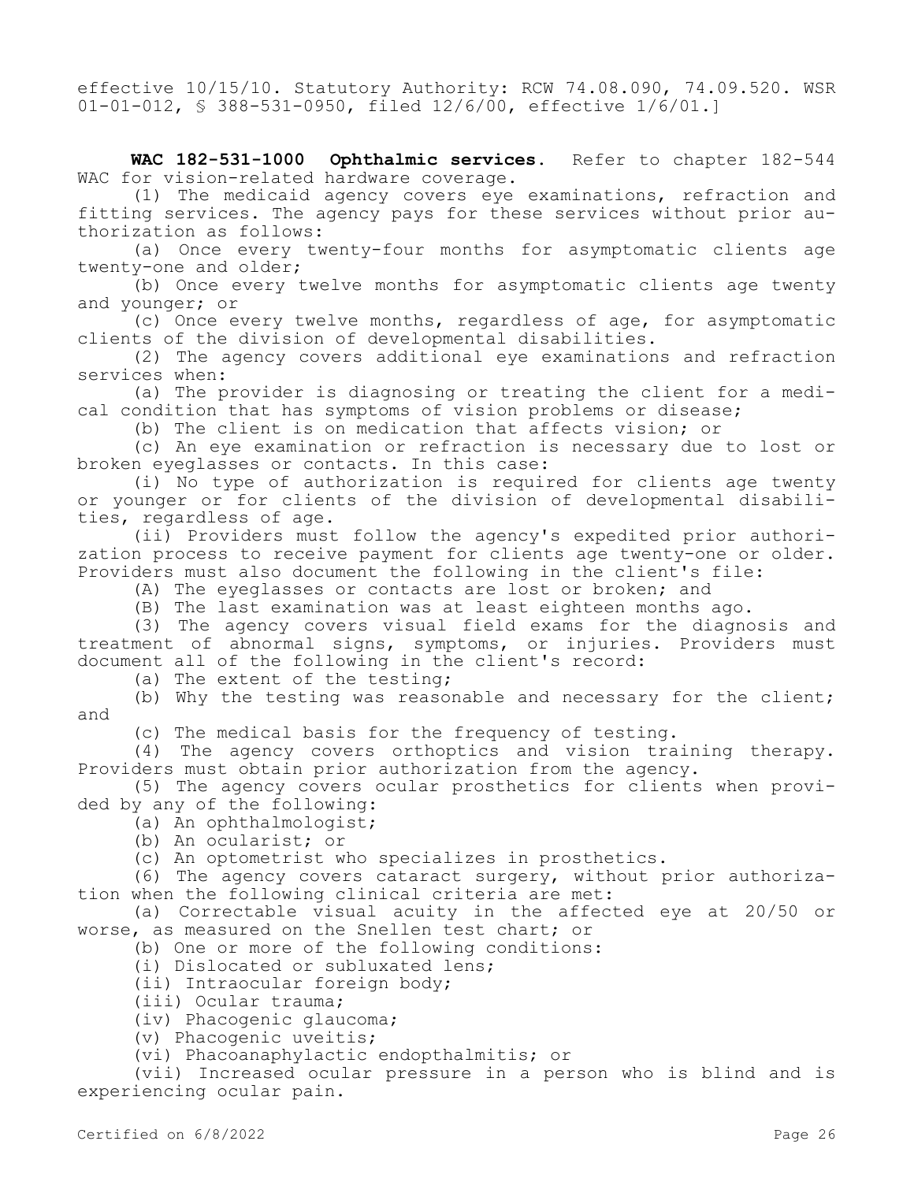effective 10/15/10. Statutory Authority: RCW 74.08.090, 74.09.520. WSR 01-01-012, § 388-531-0950, filed 12/6/00, effective 1/6/01.]

**WAC 182-531-1000 Ophthalmic services.** Refer to chapter 182-544 WAC for vision-related hardware coverage.

(1) The medicaid agency covers eye examinations, refraction and fitting services. The agency pays for these services without prior authorization as follows:

(a) Once every twenty-four months for asymptomatic clients age twenty-one and older;

(b) Once every twelve months for asymptomatic clients age twenty and younger; or

(c) Once every twelve months, regardless of age, for asymptomatic clients of the division of developmental disabilities.

(2) The agency covers additional eye examinations and refraction services when:

(a) The provider is diagnosing or treating the client for a medical condition that has symptoms of vision problems or disease;

(b) The client is on medication that affects vision; or

(c) An eye examination or refraction is necessary due to lost or broken eyeglasses or contacts. In this case:

(i) No type of authorization is required for clients age twenty or younger or for clients of the division of developmental disabilities, regardless of age.

(ii) Providers must follow the agency's expedited prior authorization process to receive payment for clients age twenty-one or older. Providers must also document the following in the client's file:

(A) The eyeglasses or contacts are lost or broken; and

(B) The last examination was at least eighteen months ago.

(3) The agency covers visual field exams for the diagnosis and treatment of abnormal signs, symptoms, or injuries. Providers must document all of the following in the client's record:

(a) The extent of the testing;

(b) Why the testing was reasonable and necessary for the client; and

(c) The medical basis for the frequency of testing.

(4) The agency covers orthoptics and vision training therapy. Providers must obtain prior authorization from the agency.

(5) The agency covers ocular prosthetics for clients when provided by any of the following:

(a) An ophthalmologist;

(b) An ocularist; or

(c) An optometrist who specializes in prosthetics.

(6) The agency covers cataract surgery, without prior authorization when the following clinical criteria are met:

(a) Correctable visual acuity in the affected eye at 20/50 or worse, as measured on the Snellen test chart; or

(b) One or more of the following conditions:

(i) Dislocated or subluxated lens;

(ii) Intraocular foreign body;

(iii) Ocular trauma;

(iv) Phacogenic glaucoma;

(v) Phacogenic uveitis;

(vi) Phacoanaphylactic endopthalmitis; or

(vii) Increased ocular pressure in a person who is blind and is experiencing ocular pain.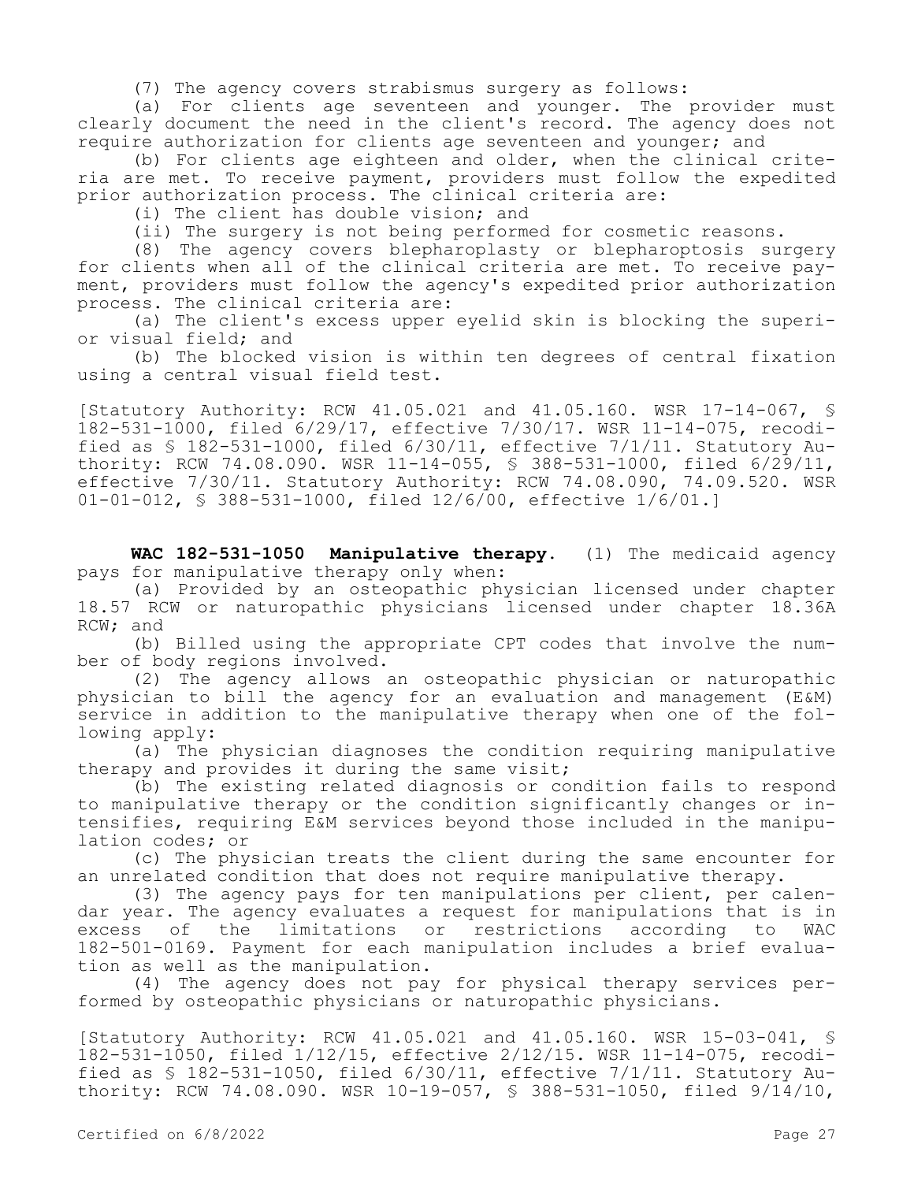(7) The agency covers strabismus surgery as follows:

(a) For clients age seventeen and younger. The provider must clearly document the need in the client's record. The agency does not require authorization for clients age seventeen and younger; and

(b) For clients age eighteen and older, when the clinical criteria are met. To receive payment, providers must follow the expedited prior authorization process. The clinical criteria are:

(i) The client has double vision; and

(ii) The surgery is not being performed for cosmetic reasons.

(8) The agency covers blepharoplasty or blepharoptosis surgery for clients when all of the clinical criteria are met. To receive payment, providers must follow the agency's expedited prior authorization process. The clinical criteria are:

(a) The client's excess upper eyelid skin is blocking the superior visual field; and

(b) The blocked vision is within ten degrees of central fixation using a central visual field test.

[Statutory Authority: RCW 41.05.021 and 41.05.160. WSR 17-14-067, § 182-531-1000, filed 6/29/17, effective 7/30/17. WSR 11-14-075, recodified as  $$$  182-531-1000, filed  $6/30/11$ , effective  $7/1/11$ . Statutory Authority: RCW 74.08.090. WSR 11-14-055, § 388-531-1000, filed 6/29/11, effective 7/30/11. Statutory Authority: RCW 74.08.090, 74.09.520. WSR 01-01-012, § 388-531-1000, filed 12/6/00, effective 1/6/01.]

**WAC 182-531-1050 Manipulative therapy.** (1) The medicaid agency pays for manipulative therapy only when:

(a) Provided by an osteopathic physician licensed under chapter 18.57 RCW or naturopathic physicians licensed under chapter 18.36A RCW; and

(b) Billed using the appropriate CPT codes that involve the number of body regions involved.

(2) The agency allows an osteopathic physician or naturopathic physician to bill the agency for an evaluation and management (E&M) service in addition to the manipulative therapy when one of the following apply:

(a) The physician diagnoses the condition requiring manipulative therapy and provides it during the same visit;

(b) The existing related diagnosis or condition fails to respond to manipulative therapy or the condition significantly changes or intensifies, requiring E&M services beyond those included in the manipulation codes; or

(c) The physician treats the client during the same encounter for an unrelated condition that does not require manipulative therapy.

(3) The agency pays for ten manipulations per client, per calendar year. The agency evaluates a request for manipulations that is in<br>excess of the limitations or restrictions according to WAC excess of the limitations or restrictions according to WAC 182-501-0169. Payment for each manipulation includes a brief evaluation as well as the manipulation.

(4) The agency does not pay for physical therapy services performed by osteopathic physicians or naturopathic physicians.

[Statutory Authority: RCW 41.05.021 and 41.05.160. WSR 15-03-041, § 182-531-1050, filed 1/12/15, effective 2/12/15. WSR 11-14-075, recodified as § 182-531-1050, filed 6/30/11, effective 7/1/11. Statutory Authority: RCW 74.08.090. WSR 10-19-057, § 388-531-1050, filed 9/14/10,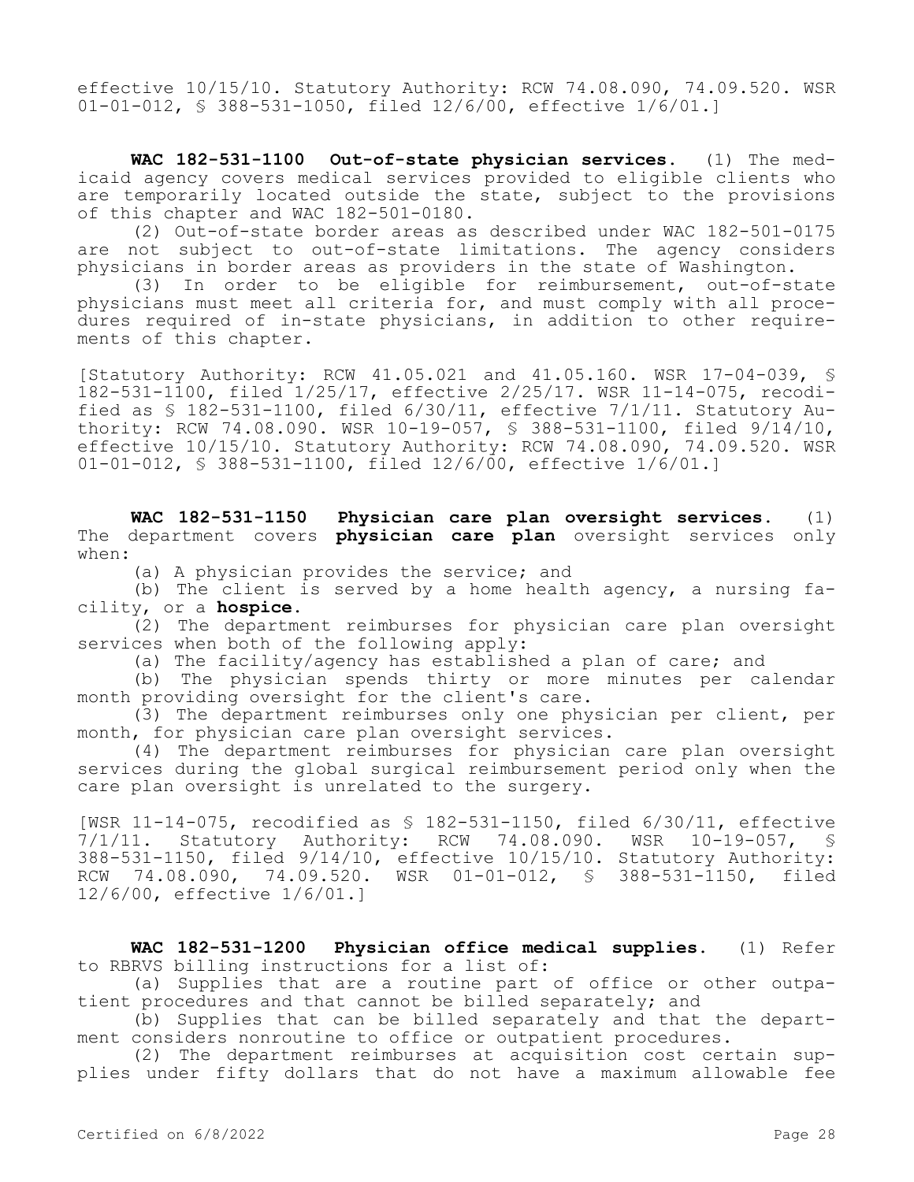effective 10/15/10. Statutory Authority: RCW 74.08.090, 74.09.520. WSR 01-01-012, § 388-531-1050, filed 12/6/00, effective 1/6/01.]

**WAC 182-531-1100 Out-of-state physician services.** (1) The medicaid agency covers medical services provided to eligible clients who are temporarily located outside the state, subject to the provisions of this chapter and WAC 182-501-0180.

(2) Out-of-state border areas as described under WAC 182-501-0175 are not subject to out-of-state limitations. The agency considers physicians in border areas as providers in the state of Washington.

(3) In order to be eligible for reimbursement, out-of-state physicians must meet all criteria for, and must comply with all procedures required of in-state physicians, in addition to other requirements of this chapter.

[Statutory Authority: RCW 41.05.021 and 41.05.160. WSR 17-04-039, § 182-531-1100, filed 1/25/17, effective 2/25/17. WSR 11-14-075, recodified as § 182-531-1100, filed 6/30/11, effective 7/1/11. Statutory Authority: RCW 74.08.090. WSR 10-19-057, § 388-531-1100, filed 9/14/10, effective 10/15/10. Statutory Authority: RCW 74.08.090, 74.09.520. WSR 01-01-012, § 388-531-1100, filed 12/6/00, effective 1/6/01.]

**WAC 182-531-1150 Physician care plan oversight services.** (1) The department covers **physician care plan** oversight services only when:

(a) A physician provides the service; and

(b) The client is served by a home health agency, a nursing facility, or a **hospice.**

(2) The department reimburses for physician care plan oversight services when both of the following apply:

(a) The facility/agency has established a plan of care; and

(b) The physician spends thirty or more minutes per calendar month providing oversight for the client's care.

(3) The department reimburses only one physician per client, per month, for physician care plan oversight services.

(4) The department reimburses for physician care plan oversight services during the global surgical reimbursement period only when the care plan oversight is unrelated to the surgery.

[WSR 11-14-075, recodified as \$ 182-531-1150, filed 6/30/11, effective<br>7/1/11. Statutory Authority: RCW 74.08.090. WSR 10-19-057. \$  $7/1/11.$  Statutory Authority: RCW  $74.08.090.$  WSR 388-531-1150, filed 9/14/10, effective 10/15/10. Statutory Authority: RCW 74.08.090, 74.09.520. WSR 01-01-012, § 388-531-1150, filed 12/6/00, effective 1/6/01.]

**WAC 182-531-1200 Physician office medical supplies.** (1) Refer to RBRVS billing instructions for a list of:

(a) Supplies that are a routine part of office or other outpatient procedures and that cannot be billed separately; and

(b) Supplies that can be billed separately and that the department considers nonroutine to office or outpatient procedures.

(2) The department reimburses at acquisition cost certain supplies under fifty dollars that do not have a maximum allowable fee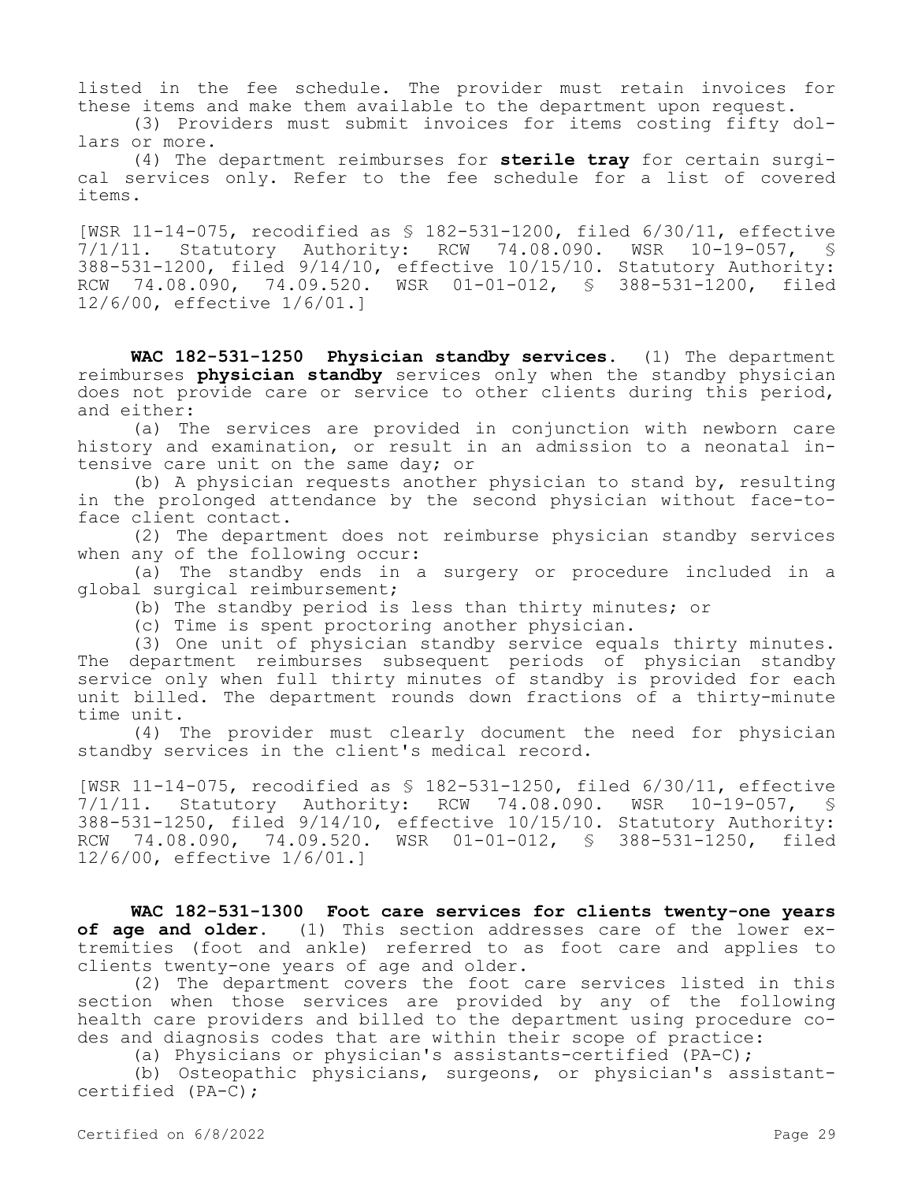listed in the fee schedule. The provider must retain invoices for these items and make them available to the department upon request.

(3) Providers must submit invoices for items costing fifty dollars or more.

(4) The department reimburses for **sterile tray** for certain surgical services only. Refer to the fee schedule for a list of covered items.

[WSR 11-14-075, recodified as § 182-531-1200, filed 6/30/11, effective 7/1/11. Statutory Authority: RCW 74.08.090. WSR 10-19-057, § 388-531-1200, filed 9/14/10, effective 10/15/10. Statutory Authority: RCW 74.08.090, 74.09.520. WSR 01-01-012, § 388-531-1200, filed 12/6/00, effective 1/6/01.]

**WAC 182-531-1250 Physician standby services.** (1) The department reimburses **physician standby** services only when the standby physician does not provide care or service to other clients during this period, and either:

(a) The services are provided in conjunction with newborn care history and examination, or result in an admission to a neonatal intensive care unit on the same day; or

(b) A physician requests another physician to stand by, resulting in the prolonged attendance by the second physician without face-toface client contact.

(2) The department does not reimburse physician standby services when any of the following occur:

(a) The standby ends in a surgery or procedure included in a global surgical reimbursement;

(b) The standby period is less than thirty minutes; or

(c) Time is spent proctoring another physician.

(3) One unit of physician standby service equals thirty minutes. The department reimburses subsequent periods of physician standby service only when full thirty minutes of standby is provided for each unit billed. The department rounds down fractions of a thirty-minute time unit.

(4) The provider must clearly document the need for physician standby services in the client's medical record.

[WSR 11-14-075, recodified as § 182-531-1250, filed 6/30/11, effective 7/1/11. Statutory Authority: RCW 74.08.090. WSR 10-19-057, § 388-531-1250, filed 9/14/10, effective 10/15/10. Statutory Authority: RCW 74.08.090, 74.09.520. WSR 01-01-012, § 388-531-1250, filed 12/6/00, effective 1/6/01.]

**WAC 182-531-1300 Foot care services for clients twenty-one years of age and older.** (1) This section addresses care of the lower extremities (foot and ankle) referred to as foot care and applies to clients twenty-one years of age and older.

(2) The department covers the foot care services listed in this section when those services are provided by any of the following health care providers and billed to the department using procedure codes and diagnosis codes that are within their scope of practice:

(a) Physicians or physician's assistants-certified (PA-C);

(b) Osteopathic physicians, surgeons, or physician's assistantcertified (PA-C);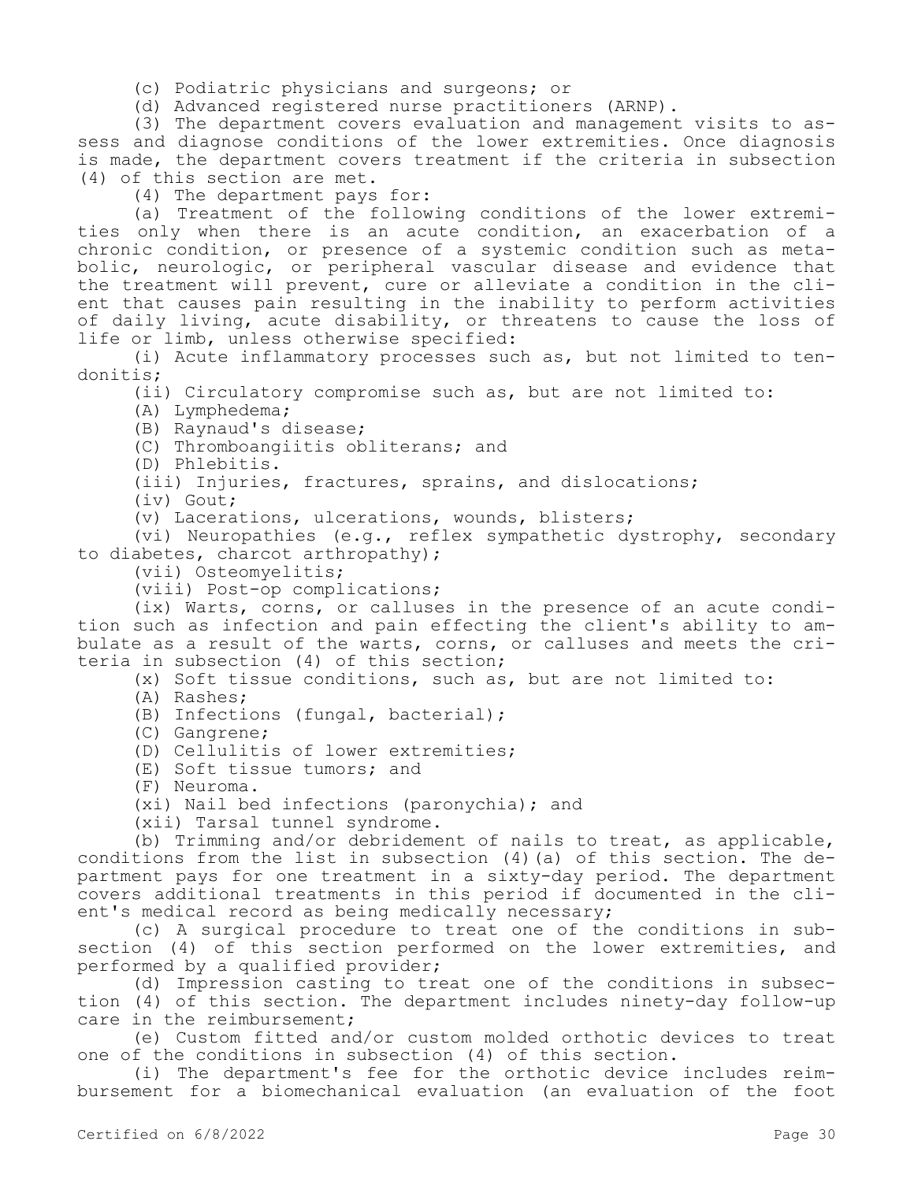- (c) Podiatric physicians and surgeons; or
- (d) Advanced registered nurse practitioners (ARNP).

(3) The department covers evaluation and management visits to assess and diagnose conditions of the lower extremities. Once diagnosis is made, the department covers treatment if the criteria in subsection (4) of this section are met.

(4) The department pays for:

(a) Treatment of the following conditions of the lower extremities only when there is an acute condition, an exacerbation of a chronic condition, or presence of a systemic condition such as metabolic, neurologic, or peripheral vascular disease and evidence that the treatment will prevent, cure or alleviate a condition in the client that causes pain resulting in the inability to perform activities of daily living, acute disability, or threatens to cause the loss of life or limb, unless otherwise specified:

(i) Acute inflammatory processes such as, but not limited to tendonitis;

(ii) Circulatory compromise such as, but are not limited to:

(A) Lymphedema;

(B) Raynaud's disease;

(C) Thromboangiitis obliterans; and

(D) Phlebitis.

(iii) Injuries, fractures, sprains, and dislocations;

(iv) Gout;

(v) Lacerations, ulcerations, wounds, blisters;

(vi) Neuropathies (e.g., reflex sympathetic dystrophy, secondary to diabetes, charcot arthropathy);

(vii) Osteomyelitis;

(viii) Post-op complications;

(ix) Warts, corns, or calluses in the presence of an acute condition such as infection and pain effecting the client's ability to ambulate as a result of the warts, corns, or calluses and meets the criteria in subsection (4) of this section;

(x) Soft tissue conditions, such as, but are not limited to:

- (A) Rashes;
- (B) Infections (fungal, bacterial);
- (C) Gangrene;

(D) Cellulitis of lower extremities;

- (E) Soft tissue tumors; and
- (F) Neuroma.

(xi) Nail bed infections (paronychia); and

(xii) Tarsal tunnel syndrome.

(b) Trimming and/or debridement of nails to treat, as applicable, conditions from the list in subsection (4)(a) of this section. The department pays for one treatment in a sixty-day period. The department covers additional treatments in this period if documented in the client's medical record as being medically necessary;

(c) A surgical procedure to treat one of the conditions in subsection (4) of this section performed on the lower extremities, and performed by a qualified provider;

(d) Impression casting to treat one of the conditions in subsection (4) of this section. The department includes ninety-day follow-up care in the reimbursement;

(e) Custom fitted and/or custom molded orthotic devices to treat one of the conditions in subsection (4) of this section.

(i) The department's fee for the orthotic device includes reimbursement for a biomechanical evaluation (an evaluation of the foot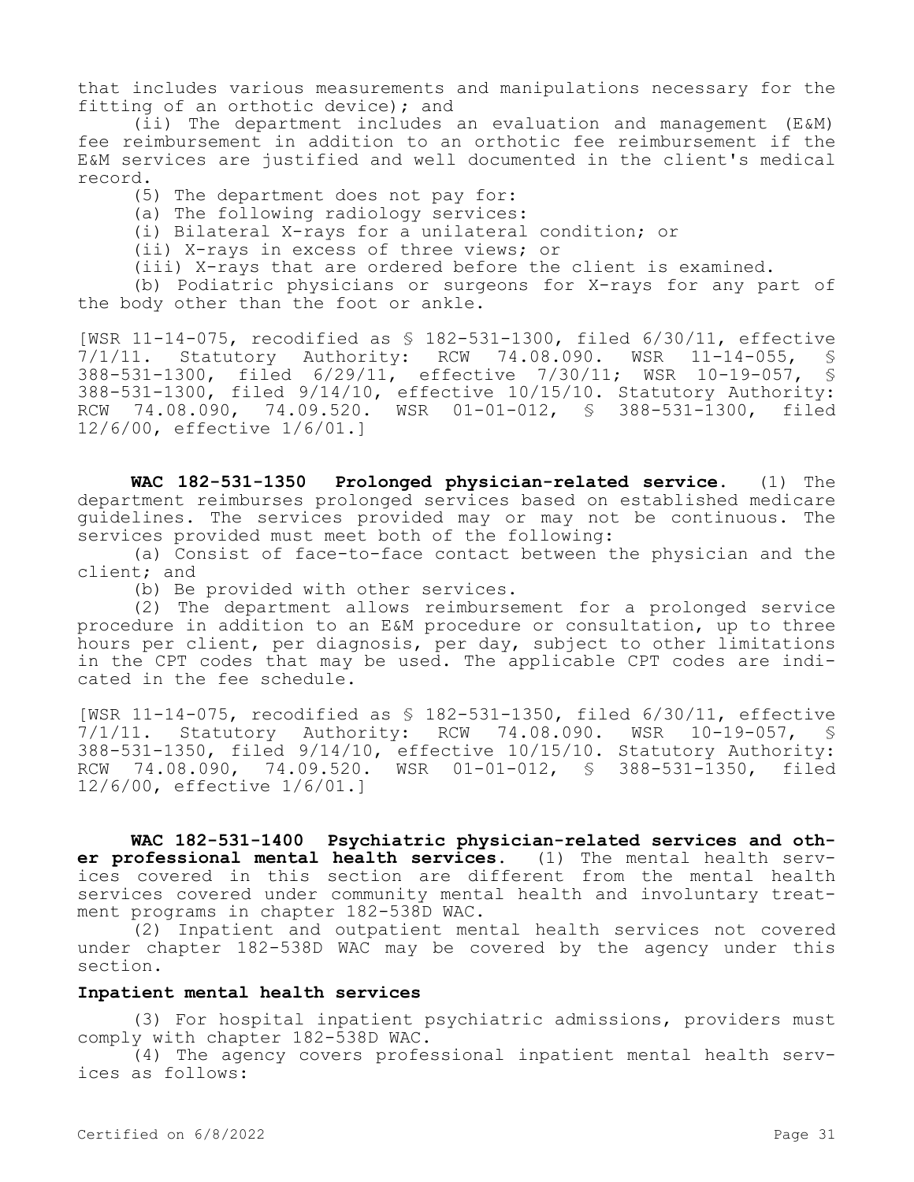that includes various measurements and manipulations necessary for the fitting of an orthotic device); and

(ii) The department includes an evaluation and management (E&M) fee reimbursement in addition to an orthotic fee reimbursement if the E&M services are justified and well documented in the client's medical record.

(5) The department does not pay for:

(a) The following radiology services:

(i) Bilateral X-rays for a unilateral condition; or

(ii) X-rays in excess of three views; or

(iii) X-rays that are ordered before the client is examined.

(b) Podiatric physicians or surgeons for X-rays for any part of the body other than the foot or ankle.

[WSR 11-14-075, recodified as § 182-531-1300, filed 6/30/11, effective 7/1/11. Statutory Authority: RCW 74.08.090. WSR 11-14-055, § 388-531-1300, filed 6/29/11, effective 7/30/11; WSR 10-19-057, § 388-531-1300, filed 9/14/10, effective 10/15/10. Statutory Authority: RCW 74.08.090, 74.09.520. WSR 01-01-012, § 388-531-1300, filed 12/6/00, effective 1/6/01.]

**WAC 182-531-1350 Prolonged physician-related service.** (1) The department reimburses prolonged services based on established medicare guidelines. The services provided may or may not be continuous. The services provided must meet both of the following:

(a) Consist of face-to-face contact between the physician and the client; and

(b) Be provided with other services.

(2) The department allows reimbursement for a prolonged service procedure in addition to an E&M procedure or consultation, up to three hours per client, per diagnosis, per day, subject to other limitations in the CPT codes that may be used. The applicable CPT codes are indicated in the fee schedule.

[WSR 11-14-075, recodified as § 182-531-1350, filed 6/30/11, effective 7/1/11. Statutory Authority: RCW 74.08.090. WSR 10-19-057, § 388-531-1350, filed 9/14/10, effective 10/15/10. Statutory Authority: RCW 74.08.090, 74.09.520. WSR 01-01-012, § 388-531-1350, filed 12/6/00, effective 1/6/01.]

**WAC 182-531-1400 Psychiatric physician-related services and other professional mental health services.** (1) The mental health services covered in this section are different from the mental health services covered under community mental health and involuntary treatment programs in chapter 182-538D WAC.

(2) Inpatient and outpatient mental health services not covered under chapter 182-538D WAC may be covered by the agency under this section.

### **Inpatient mental health services**

(3) For hospital inpatient psychiatric admissions, providers must comply with chapter 182-538D WAC.

(4) The agency covers professional inpatient mental health services as follows: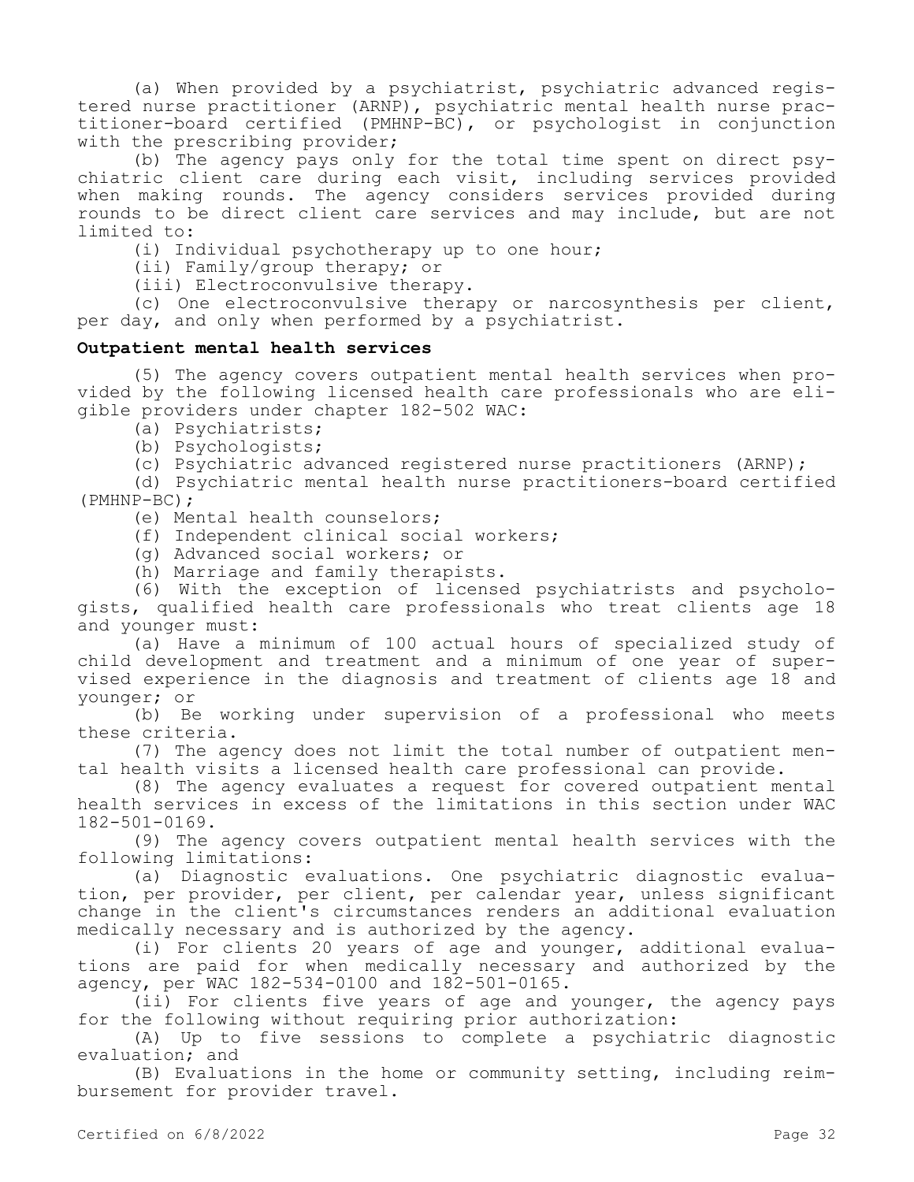(a) When provided by a psychiatrist, psychiatric advanced registered nurse practitioner (ARNP), psychiatric mental health nurse practitioner-board certified (PMHNP-BC), or psychologist in conjunction with the prescribing provider;

(b) The agency pays only for the total time spent on direct psychiatric client care during each visit, including services provided when making rounds. The agency considers services provided during rounds to be direct client care services and may include, but are not limited to:

(i) Individual psychotherapy up to one hour;

(ii) Family/group therapy; or

(iii) Electroconvulsive therapy.

(c) One electroconvulsive therapy or narcosynthesis per client, per day, and only when performed by a psychiatrist.

#### **Outpatient mental health services**

(5) The agency covers outpatient mental health services when provided by the following licensed health care professionals who are eligible providers under chapter 182-502 WAC:

(a) Psychiatrists;

(b) Psychologists;

(c) Psychiatric advanced registered nurse practitioners (ARNP);

(d) Psychiatric mental health nurse practitioners-board certified (PMHNP-BC);

(e) Mental health counselors;

(f) Independent clinical social workers;

(g) Advanced social workers; or

(h) Marriage and family therapists.

(6) With the exception of licensed psychiatrists and psychologists, qualified health care professionals who treat clients age 18 and younger must:

(a) Have a minimum of 100 actual hours of specialized study of child development and treatment and a minimum of one year of supervised experience in the diagnosis and treatment of clients age 18 and younger; or

(b) Be working under supervision of a professional who meets these criteria.

(7) The agency does not limit the total number of outpatient mental health visits a licensed health care professional can provide.

(8) The agency evaluates a request for covered outpatient mental health services in excess of the limitations in this section under WAC 182-501-0169.

(9) The agency covers outpatient mental health services with the following limitations:

(a) Diagnostic evaluations. One psychiatric diagnostic evaluation, per provider, per client, per calendar year, unless significant change in the client's circumstances renders an additional evaluation medically necessary and is authorized by the agency.

(i) For clients 20 years of age and younger, additional evaluations are paid for when medically necessary and authorized by the agency, per WAC 182-534-0100 and 182-501-0165.

(ii) For clients five years of age and younger, the agency pays for the following without requiring prior authorization:

(A) Up to five sessions to complete a psychiatric diagnostic evaluation; and

(B) Evaluations in the home or community setting, including reimbursement for provider travel.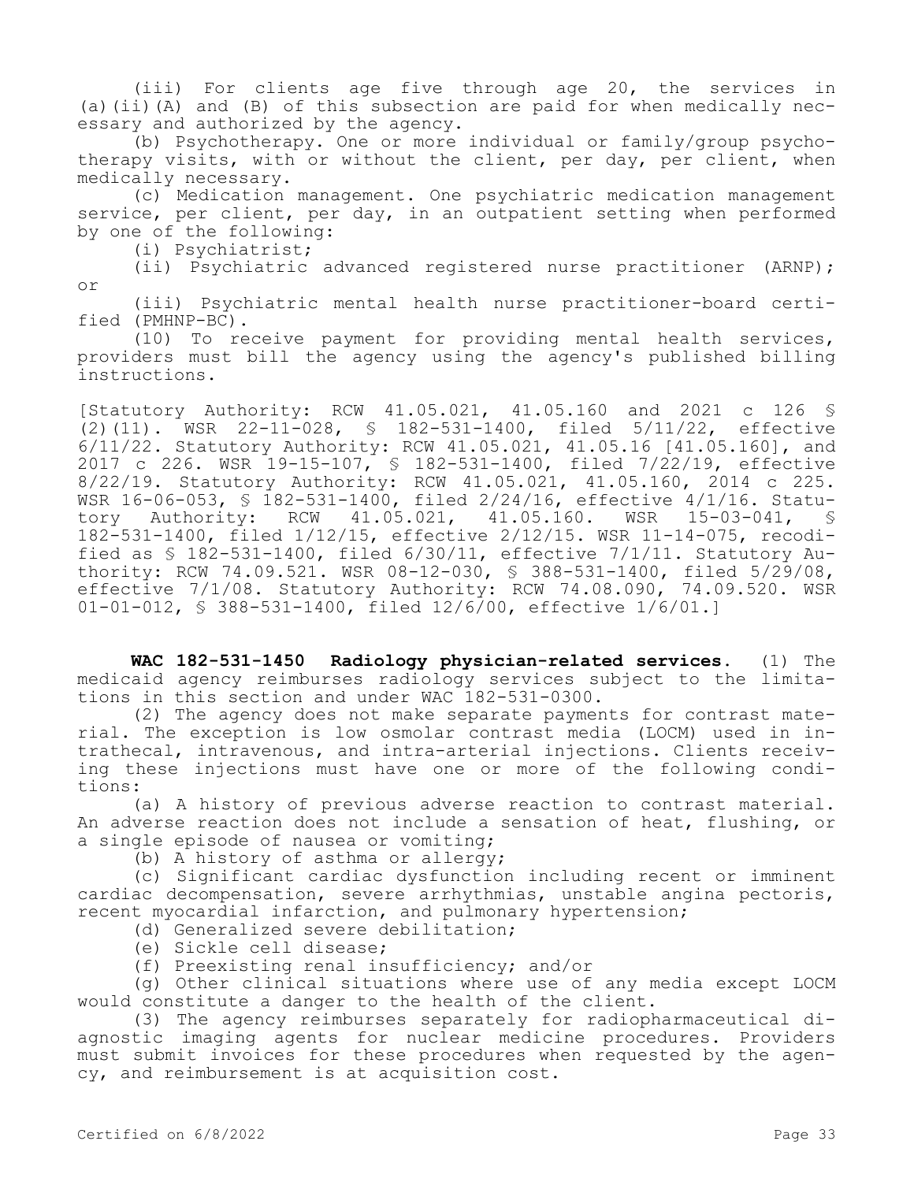(iii) For clients age five through age 20, the services in (a)(ii)(A) and (B) of this subsection are paid for when medically necessary and authorized by the agency.

(b) Psychotherapy. One or more individual or family/group psychotherapy visits, with or without the client, per day, per client, when medically necessary.

(c) Medication management. One psychiatric medication management service, per client, per day, in an outpatient setting when performed by one of the following:

(i) Psychiatrist;

(ii) Psychiatric advanced registered nurse practitioner (ARNP); or

(iii) Psychiatric mental health nurse practitioner-board certified (PMHNP-BC).

(10) To receive payment for providing mental health services, providers must bill the agency using the agency's published billing instructions.

[Statutory Authority: RCW 41.05.021, 41.05.160 and 2021 c 126 § (2)(11). WSR 22-11-028, § 182-531-1400, filed 5/11/22, effective 6/11/22. Statutory Authority: RCW 41.05.021, 41.05.16 [41.05.160], and 2017 c 226. WSR 19-15-107, § 182-531-1400, filed 7/22/19, effective 8/22/19. Statutory Authority: RCW 41.05.021, 41.05.160, 2014 c 225. WSR 16-06-053, § 182-531-1400, filed 2/24/16, effective 4/1/16. Statutory Authority: RCW 41.05.021, 41.05.160. WSR 15-03-041, § 182-531-1400, filed 1/12/15, effective 2/12/15. WSR 11-14-075, recodified as § 182-531-1400, filed 6/30/11, effective 7/1/11. Statutory Authority: RCW 74.09.521. WSR 08-12-030, § 388-531-1400, filed 5/29/08, effective 7/1/08. Statutory Authority: RCW 74.08.090, 74.09.520. WSR 01-01-012, § 388-531-1400, filed 12/6/00, effective 1/6/01.]

**WAC 182-531-1450 Radiology physician-related services.** (1) The medicaid agency reimburses radiology services subject to the limitations in this section and under WAC 182-531-0300.

(2) The agency does not make separate payments for contrast material. The exception is low osmolar contrast media (LOCM) used in intrathecal, intravenous, and intra-arterial injections. Clients receiving these injections must have one or more of the following conditions:

(a) A history of previous adverse reaction to contrast material. An adverse reaction does not include a sensation of heat, flushing, or a single episode of nausea or vomiting;

(b) A history of asthma or allergy;

(c) Significant cardiac dysfunction including recent or imminent cardiac decompensation, severe arrhythmias, unstable angina pectoris, recent myocardial infarction, and pulmonary hypertension;

(d) Generalized severe debilitation;

(e) Sickle cell disease;

(f) Preexisting renal insufficiency; and/or

(g) Other clinical situations where use of any media except LOCM would constitute a danger to the health of the client.

(3) The agency reimburses separately for radiopharmaceutical diagnostic imaging agents for nuclear medicine procedures. Providers must submit invoices for these procedures when requested by the agency, and reimbursement is at acquisition cost.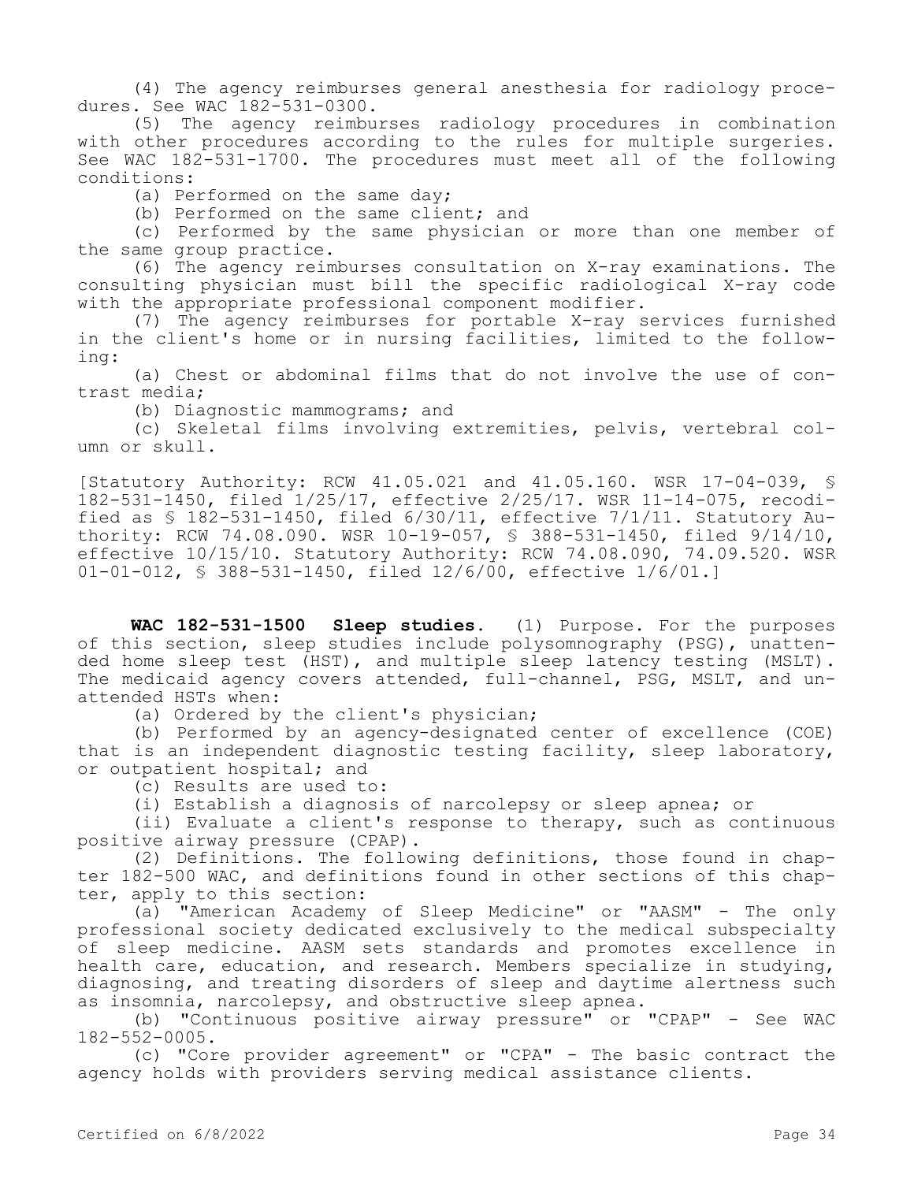(4) The agency reimburses general anesthesia for radiology procedures. See WAC 182-531-0300.<br>(5) The agency reimbu

The agency reimburses radiology procedures in combination with other procedures according to the rules for multiple surgeries. See WAC 182-531-1700. The procedures must meet all of the following conditions:

(a) Performed on the same day;

(b) Performed on the same client; and

(c) Performed by the same physician or more than one member of the same group practice.

(6) The agency reimburses consultation on X-ray examinations. The consulting physician must bill the specific radiological X-ray code with the appropriate professional component modifier.

(7) The agency reimburses for portable X-ray services furnished in the client's home or in nursing facilities, limited to the following:

(a) Chest or abdominal films that do not involve the use of contrast media;

(b) Diagnostic mammograms; and

(c) Skeletal films involving extremities, pelvis, vertebral column or skull.

[Statutory Authority: RCW 41.05.021 and 41.05.160. WSR 17-04-039, § 182-531-1450, filed 1/25/17, effective 2/25/17. WSR 11-14-075, recodified as § 182-531-1450, filed 6/30/11, effective 7/1/11. Statutory Authority: RCW 74.08.090. WSR 10-19-057, § 388-531-1450, filed 9/14/10, effective 10/15/10. Statutory Authority: RCW 74.08.090, 74.09.520. WSR 01-01-012, § 388-531-1450, filed 12/6/00, effective 1/6/01.]

**WAC 182-531-1500 Sleep studies.** (1) Purpose. For the purposes of this section, sleep studies include polysomnography (PSG), unattended home sleep test (HST), and multiple sleep latency testing (MSLT). The medicaid agency covers attended, full-channel, PSG, MSLT, and unattended HSTs when:

(a) Ordered by the client's physician;

(b) Performed by an agency-designated center of excellence (COE) that is an independent diagnostic testing facility, sleep laboratory, or outpatient hospital; and

(c) Results are used to:

(i) Establish a diagnosis of narcolepsy or sleep apnea; or

(ii) Evaluate a client's response to therapy, such as continuous positive airway pressure (CPAP).

(2) Definitions. The following definitions, those found in chapter 182-500 WAC, and definitions found in other sections of this chapter, apply to this section:

(a) "American Academy of Sleep Medicine" or "AASM" - The only professional society dedicated exclusively to the medical subspecialty of sleep medicine. AASM sets standards and promotes excellence in health care, education, and research. Members specialize in studying, diagnosing, and treating disorders of sleep and daytime alertness such as insomnia, narcolepsy, and obstructive sleep apnea.

(b) "Continuous positive airway pressure" or "CPAP" - See WAC 182-552-0005.

(c) "Core provider agreement" or "CPA" - The basic contract the agency holds with providers serving medical assistance clients.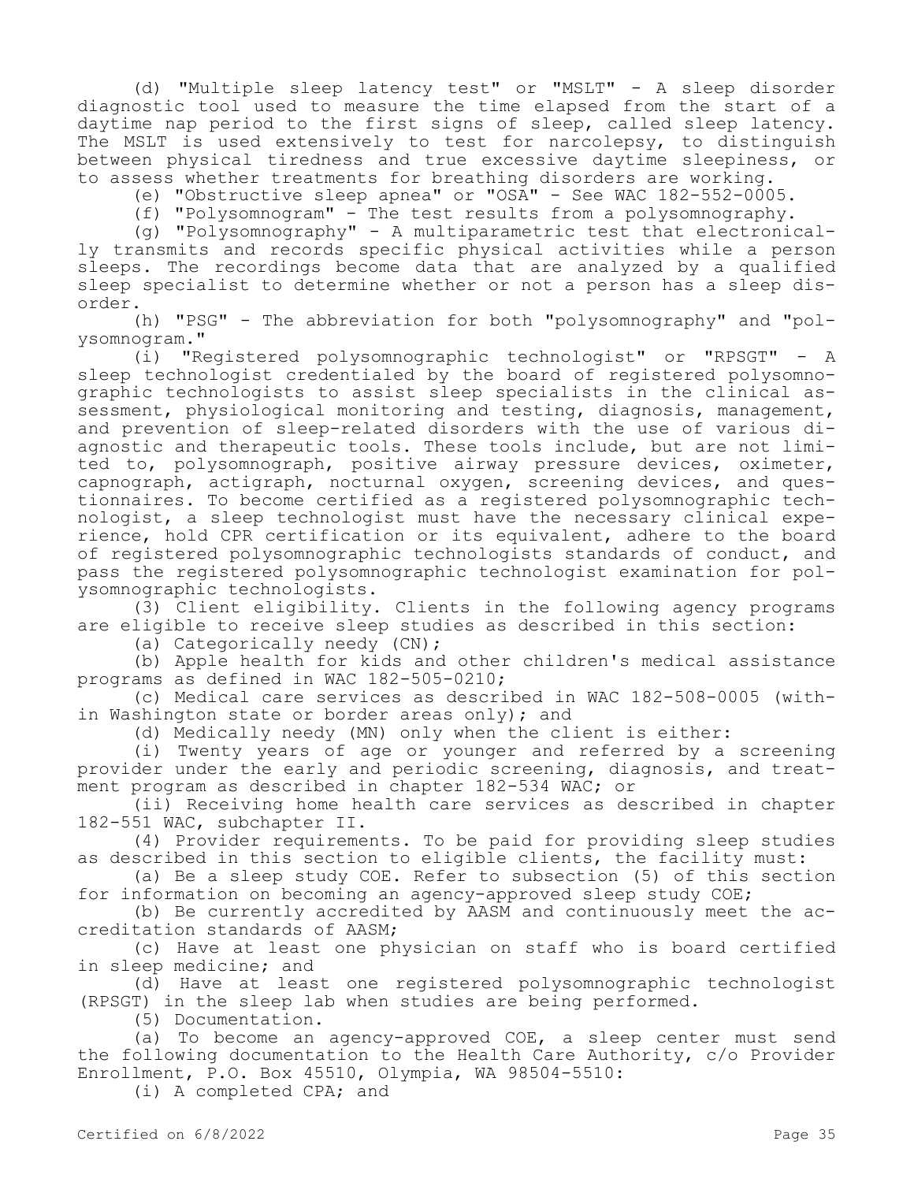(d) "Multiple sleep latency test" or "MSLT" - A sleep disorder diagnostic tool used to measure the time elapsed from the start of a daytime nap period to the first signs of sleep, called sleep latency. The MSLT is used extensively to test for narcolepsy, to distinguish between physical tiredness and true excessive daytime sleepiness, or to assess whether treatments for breathing disorders are working.

(e) "Obstructive sleep apnea" or "OSA" - See WAC 182-552-0005.

(f) "Polysomnogram" - The test results from a polysomnography.

(g) "Polysomnography" - A multiparametric test that electronically transmits and records specific physical activities while a person sleeps. The recordings become data that are analyzed by a qualified sleep specialist to determine whether or not a person has a sleep disorder.

(h) "PSG" - The abbreviation for both "polysomnography" and "polysomnogram."

(i) "Registered polysomnographic technologist" or "RPSGT" - A sleep technologist credentialed by the board of registered polysomnographic technologists to assist sleep specialists in the clinical assessment, physiological monitoring and testing, diagnosis, management, and prevention of sleep-related disorders with the use of various diagnostic and therapeutic tools. These tools include, but are not limited to, polysomnograph, positive airway pressure devices, oximeter, capnograph, actigraph, nocturnal oxygen, screening devices, and questionnaires. To become certified as a registered polysomnographic technologist, a sleep technologist must have the necessary clinical experience, hold CPR certification or its equivalent, adhere to the board of registered polysomnographic technologists standards of conduct, and pass the registered polysomnographic technologist examination for polysomnographic technologists.

(3) Client eligibility. Clients in the following agency programs are eligible to receive sleep studies as described in this section:

(a) Categorically needy (CN);

(b) Apple health for kids and other children's medical assistance programs as defined in WAC 182-505-0210;

(c) Medical care services as described in WAC 182-508-0005 (within Washington state or border areas only); and

(d) Medically needy (MN) only when the client is either:

(i) Twenty years of age or younger and referred by a screening provider under the early and periodic screening, diagnosis, and treatment program as described in chapter 182-534 WAC; or

(ii) Receiving home health care services as described in chapter 182-551 WAC, subchapter II.

(4) Provider requirements. To be paid for providing sleep studies as described in this section to eligible clients, the facility must:

(a) Be a sleep study COE. Refer to subsection (5) of this section for information on becoming an agency-approved sleep study COE;

(b) Be currently accredited by AASM and continuously meet the accreditation standards of AASM;

(c) Have at least one physician on staff who is board certified in sleep medicine; and

(d) Have at least one registered polysomnographic technologist (RPSGT) in the sleep lab when studies are being performed.

(5) Documentation.

(a) To become an agency-approved COE, a sleep center must send the following documentation to the Health Care Authority, c/o Provider Enrollment, P.O. Box 45510, Olympia, WA 98504-5510:

(i) A completed CPA; and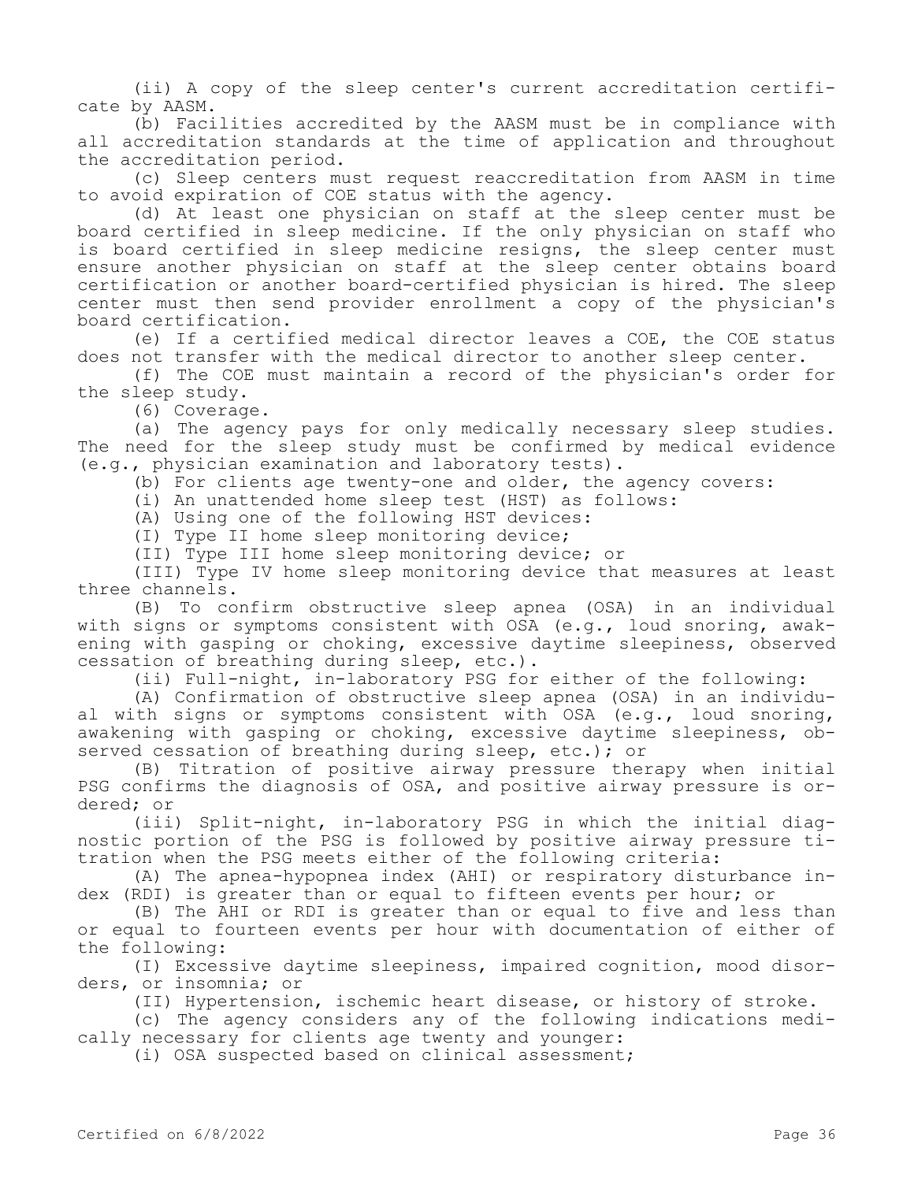(ii) A copy of the sleep center's current accreditation certificate by AASM.

(b) Facilities accredited by the AASM must be in compliance with all accreditation standards at the time of application and throughout the accreditation period.

(c) Sleep centers must request reaccreditation from AASM in time to avoid expiration of COE status with the agency.

(d) At least one physician on staff at the sleep center must be board certified in sleep medicine. If the only physician on staff who is board certified in sleep medicine resigns, the sleep center must ensure another physician on staff at the sleep center obtains board certification or another board-certified physician is hired. The sleep center must then send provider enrollment a copy of the physician's board certification.

(e) If a certified medical director leaves a COE, the COE status does not transfer with the medical director to another sleep center.

(f) The COE must maintain a record of the physician's order for the sleep study.

(6) Coverage.

(a) The agency pays for only medically necessary sleep studies. The need for the sleep study must be confirmed by medical evidence (e.g., physician examination and laboratory tests).

(b) For clients age twenty-one and older, the agency covers:

(i) An unattended home sleep test (HST) as follows:

(A) Using one of the following HST devices:

(I) Type II home sleep monitoring device;

(II) Type III home sleep monitoring device; or

(III) Type IV home sleep monitoring device that measures at least three channels.

(B) To confirm obstructive sleep apnea (OSA) in an individual with signs or symptoms consistent with OSA (e.g., loud snoring, awakening with gasping or choking, excessive daytime sleepiness, observed cessation of breathing during sleep, etc.).

(ii) Full-night, in-laboratory PSG for either of the following:

(A) Confirmation of obstructive sleep apnea (OSA) in an individual with signs or symptoms consistent with OSA (e.g., loud snoring, awakening with gasping or choking, excessive daytime sleepiness, observed cessation of breathing during sleep, etc.); or

(B) Titration of positive airway pressure therapy when initial PSG confirms the diagnosis of OSA, and positive airway pressure is ordered; or

(iii) Split-night, in-laboratory PSG in which the initial diagnostic portion of the PSG is followed by positive airway pressure titration when the PSG meets either of the following criteria:

(A) The apnea-hypopnea index (AHI) or respiratory disturbance index (RDI) is greater than or equal to fifteen events per hour; or

(B) The AHI or RDI is greater than or equal to five and less than or equal to fourteen events per hour with documentation of either of the following:

(I) Excessive daytime sleepiness, impaired cognition, mood disorders, or insomnia; or

(II) Hypertension, ischemic heart disease, or history of stroke.

(c) The agency considers any of the following indications medically necessary for clients age twenty and younger:

(i) OSA suspected based on clinical assessment;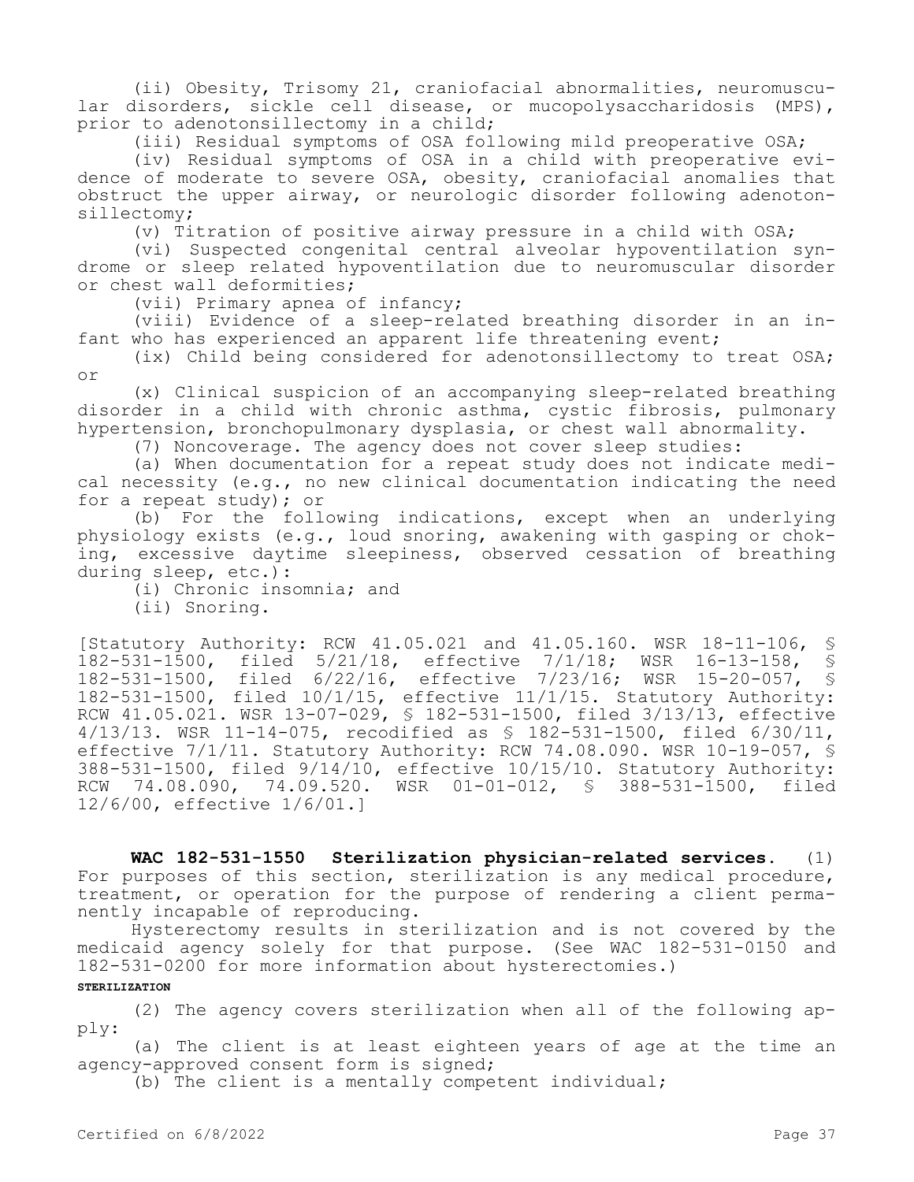(ii) Obesity, Trisomy 21, craniofacial abnormalities, neuromuscular disorders, sickle cell disease, or mucopolysaccharidosis (MPS), prior to adenotonsillectomy in a child;

(iii) Residual symptoms of OSA following mild preoperative OSA;

(iv) Residual symptoms of OSA in a child with preoperative evidence of moderate to severe OSA, obesity, craniofacial anomalies that obstruct the upper airway, or neurologic disorder following adenotonsillectomy;

(v) Titration of positive airway pressure in a child with  $OSA$ ;

(vi) Suspected congenital central alveolar hypoventilation syndrome or sleep related hypoventilation due to neuromuscular disorder or chest wall deformities;

(vii) Primary apnea of infancy;

(viii) Evidence of a sleep-related breathing disorder in an infant who has experienced an apparent life threatening event;

(ix) Child being considered for adenotonsillectomy to treat OSA; or

(x) Clinical suspicion of an accompanying sleep-related breathing disorder in a child with chronic asthma, cystic fibrosis, pulmonary hypertension, bronchopulmonary dysplasia, or chest wall abnormality.

(7) Noncoverage. The agency does not cover sleep studies:

(a) When documentation for a repeat study does not indicate medical necessity (e.g., no new clinical documentation indicating the need for a repeat study); or

(b) For the following indications, except when an underlying physiology exists (e.g., loud snoring, awakening with gasping or choking, excessive daytime sleepiness, observed cessation of breathing during sleep, etc.):

(i) Chronic insomnia; and

(ii) Snoring.

[Statutory Authority: RCW 41.05.021 and 41.05.160. WSR 18-11-106, § 182-531-1500, filed 5/21/18, effective 7/1/18; WSR 16-13-158, § 182-531-1500, filed 6/22/16, effective 7/23/16; WSR 15-20-057, § 182-531-1500, filed 10/1/15, effective 11/1/15. Statutory Authority: RCW 41.05.021. WSR 13-07-029, § 182-531-1500, filed 3/13/13, effective 4/13/13. WSR 11-14-075, recodified as § 182-531-1500, filed 6/30/11, effective 7/1/11. Statutory Authority: RCW 74.08.090. WSR 10-19-057, § 388-531-1500, filed 9/14/10, effective 10/15/10. Statutory Authority: RCW 74.08.090, 74.09.520. WSR 01-01-012, § 388-531-1500, filed 12/6/00, effective 1/6/01.]

**WAC 182-531-1550 Sterilization physician-related services.** (1) For purposes of this section, sterilization is any medical procedure, treatment, or operation for the purpose of rendering a client permanently incapable of reproducing.

Hysterectomy results in sterilization and is not covered by the medicaid agency solely for that purpose. (See WAC 182-531-0150 and 182-531-0200 for more information about hysterectomies.)

## **STERILIZATION**

(2) The agency covers sterilization when all of the following apply:

(a) The client is at least eighteen years of age at the time an agency-approved consent form is signed;

(b) The client is a mentally competent individual;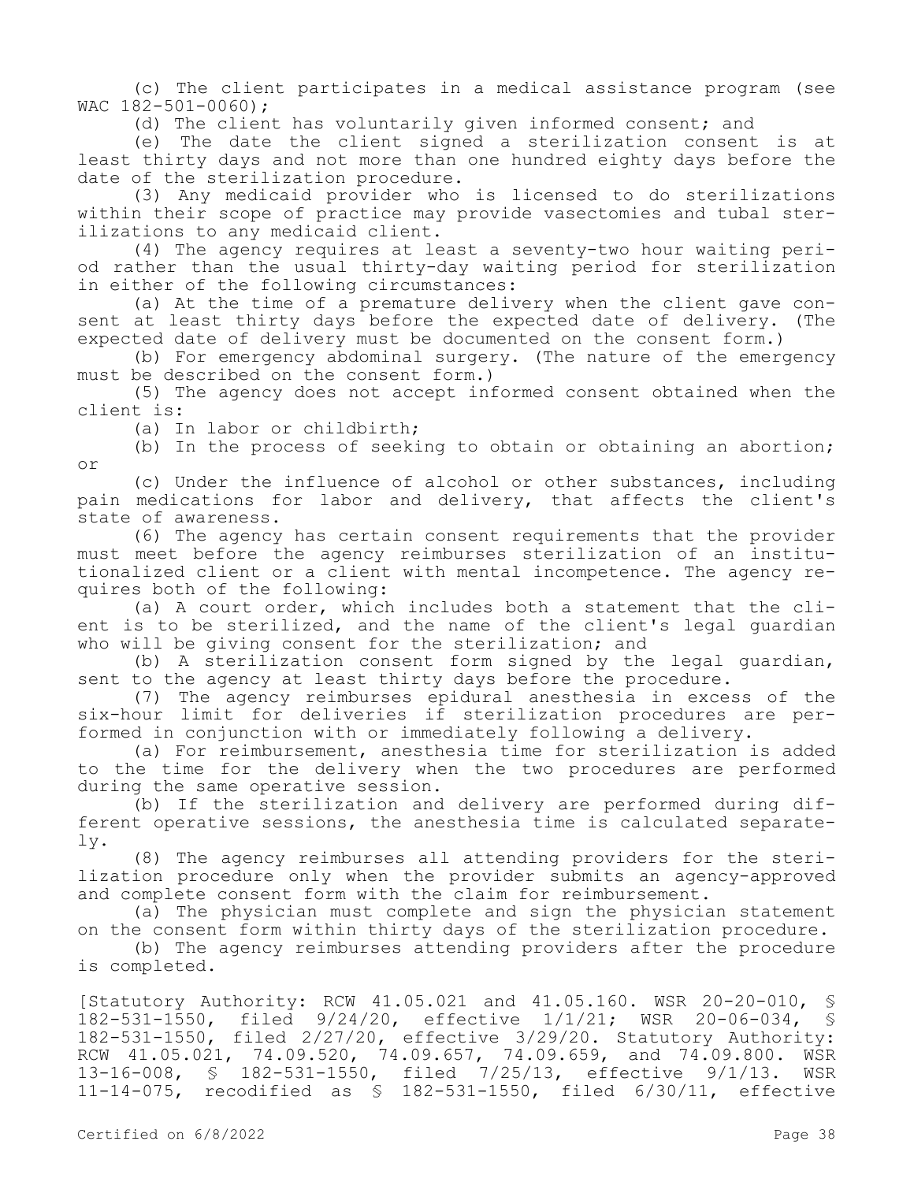(c) The client participates in a medical assistance program (see WAC 182-501-0060);

(d) The client has voluntarily given informed consent; and

(e) The date the client signed a sterilization consent is at least thirty days and not more than one hundred eighty days before the date of the sterilization procedure.

(3) Any medicaid provider who is licensed to do sterilizations within their scope of practice may provide vasectomies and tubal sterilizations to any medicaid client.

(4) The agency requires at least a seventy-two hour waiting period rather than the usual thirty-day waiting period for sterilization in either of the following circumstances:

(a) At the time of a premature delivery when the client gave consent at least thirty days before the expected date of delivery. (The expected date of delivery must be documented on the consent form.)

(b) For emergency abdominal surgery. (The nature of the emergency must be described on the consent form.)

(5) The agency does not accept informed consent obtained when the client is:

(a) In labor or childbirth;

(b) In the process of seeking to obtain or obtaining an abortion; or

(c) Under the influence of alcohol or other substances, including pain medications for labor and delivery, that affects the client's state of awareness.

(6) The agency has certain consent requirements that the provider must meet before the agency reimburses sterilization of an institutionalized client or a client with mental incompetence. The agency requires both of the following:

(a) A court order, which includes both a statement that the client is to be sterilized, and the name of the client's legal guardian who will be giving consent for the sterilization; and

(b) A sterilization consent form signed by the legal guardian, sent to the agency at least thirty days before the procedure.

(7) The agency reimburses epidural anesthesia in excess of the six-hour limit for deliveries if sterilization procedures are performed in conjunction with or immediately following a delivery.

(a) For reimbursement, anesthesia time for sterilization is added to the time for the delivery when the two procedures are performed during the same operative session.

(b) If the sterilization and delivery are performed during different operative sessions, the anesthesia time is calculated separately.

(8) The agency reimburses all attending providers for the sterilization procedure only when the provider submits an agency-approved and complete consent form with the claim for reimbursement.

(a) The physician must complete and sign the physician statement on the consent form within thirty days of the sterilization procedure.

(b) The agency reimburses attending providers after the procedure is completed.

[Statutory Authority: RCW 41.05.021 and 41.05.160. WSR 20-20-010, § 182-531-1550, filed 9/24/20, effective 1/1/21; WSR 20-06-034, § 182-531-1550, filed 2/27/20, effective 3/29/20. Statutory Authority: RCW 41.05.021, 74.09.520, 74.09.657, 74.09.659, and 74.09.800. WSR 13-16-008, § 182-531-1550, filed 7/25/13, effective 9/1/13. WSR 11-14-075, recodified as § 182-531-1550, filed 6/30/11, effective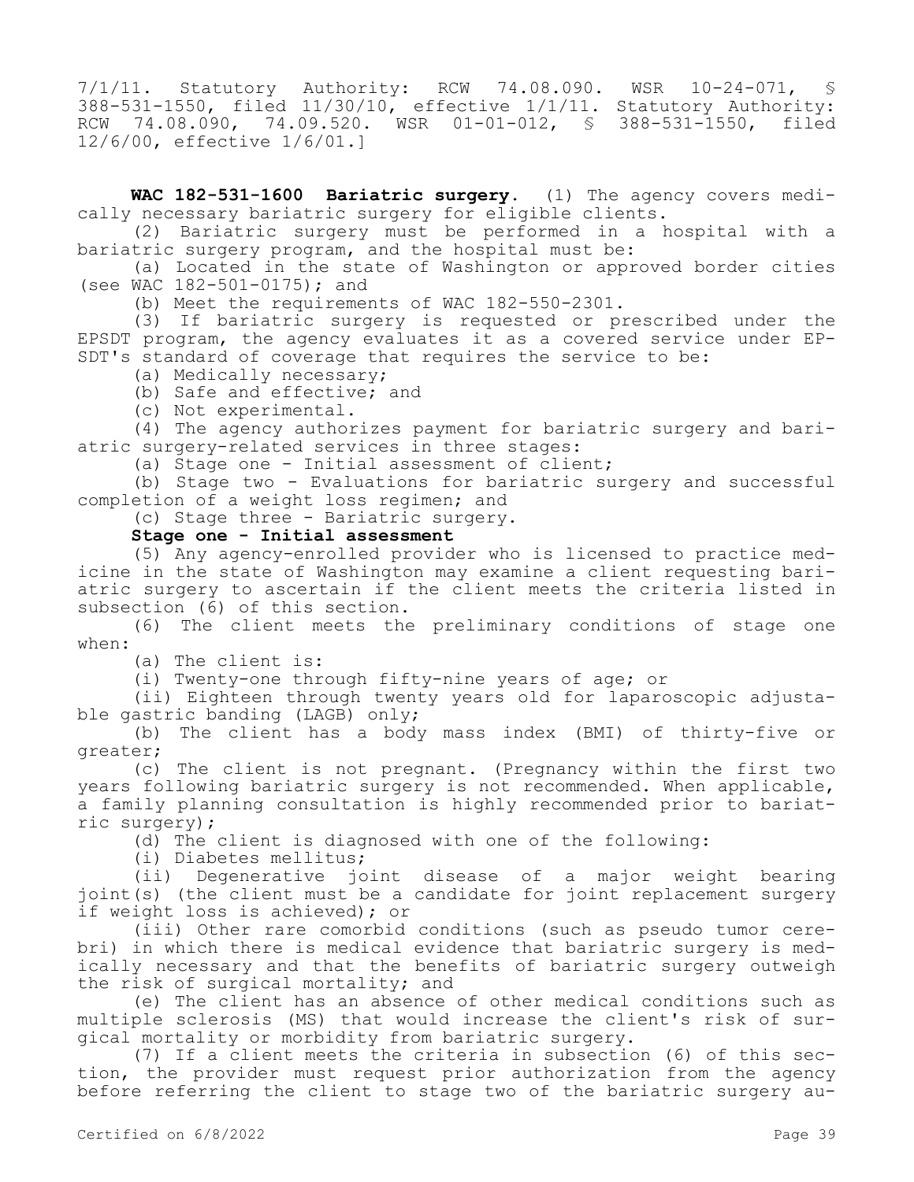7/1/11. Statutory Authority: RCW 74.08.090. WSR 10-24-071, § 388-531-1550, filed 11/30/10, effective 1/1/11. Statutory Authority: RCW 74.08.090, 74.09.520. WSR 01-01-012, § 388-531-1550, filed 12/6/00, effective 1/6/01.]

**WAC 182-531-1600 Bariatric surgery.** (1) The agency covers medically necessary bariatric surgery for eligible clients.

(2) Bariatric surgery must be performed in a hospital with a bariatric surgery program, and the hospital must be:

(a) Located in the state of Washington or approved border cities (see WAC 182-501-0175); and

(b) Meet the requirements of WAC 182-550-2301.

(3) If bariatric surgery is requested or prescribed under the EPSDT program, the agency evaluates it as a covered service under EP-SDT's standard of coverage that requires the service to be:

(a) Medically necessary;

(b) Safe and effective; and

(c) Not experimental.

(4) The agency authorizes payment for bariatric surgery and bariatric surgery-related services in three stages:

(a) Stage one - Initial assessment of client;

(b) Stage two - Evaluations for bariatric surgery and successful completion of a weight loss regimen; and

(c) Stage three - Bariatric surgery.

### **Stage one - Initial assessment**

(5) Any agency-enrolled provider who is licensed to practice medicine in the state of Washington may examine a client requesting bariatric surgery to ascertain if the client meets the criteria listed in subsection (6) of this section.

(6) The client meets the preliminary conditions of stage one when:

(a) The client is:

(i) Twenty-one through fifty-nine years of age; or

(ii) Eighteen through twenty years old for laparoscopic adjustable gastric banding (LAGB) only;

(b) The client has a body mass index (BMI) of thirty-five or greater;

(c) The client is not pregnant. (Pregnancy within the first two years following bariatric surgery is not recommended. When applicable, a family planning consultation is highly recommended prior to bariatric surgery);

(d) The client is diagnosed with one of the following:

(i) Diabetes mellitus;

(ii) Degenerative joint disease of a major weight bearing joint(s) (the client must be a candidate for joint replacement surgery if weight loss is achieved); or

(iii) Other rare comorbid conditions (such as pseudo tumor cerebri) in which there is medical evidence that bariatric surgery is medically necessary and that the benefits of bariatric surgery outweigh the risk of surgical mortality; and

(e) The client has an absence of other medical conditions such as multiple sclerosis (MS) that would increase the client's risk of surgical mortality or morbidity from bariatric surgery.

(7) If a client meets the criteria in subsection (6) of this section, the provider must request prior authorization from the agency before referring the client to stage two of the bariatric surgery au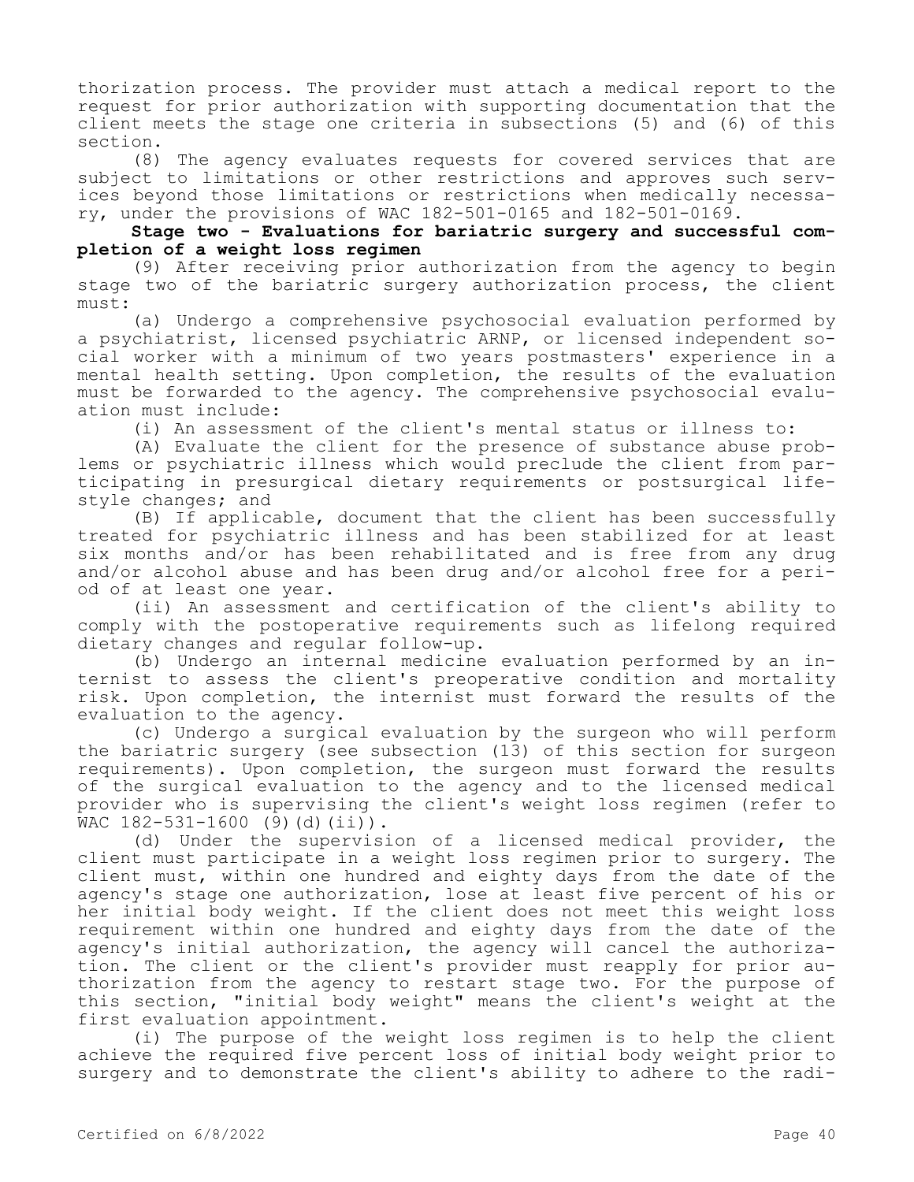thorization process. The provider must attach a medical report to the request for prior authorization with supporting documentation that the client meets the stage one criteria in subsections (5) and (6) of this section.

(8) The agency evaluates requests for covered services that are subject to limitations or other restrictions and approves such services beyond those limitations or restrictions when medically necessary, under the provisions of WAC 182-501-0165 and 182-501-0169.

**Stage two - Evaluations for bariatric surgery and successful completion of a weight loss regimen**

(9) After receiving prior authorization from the agency to begin stage two of the bariatric surgery authorization process, the client must:

(a) Undergo a comprehensive psychosocial evaluation performed by a psychiatrist, licensed psychiatric ARNP, or licensed independent social worker with a minimum of two years postmasters' experience in a mental health setting. Upon completion, the results of the evaluation must be forwarded to the agency. The comprehensive psychosocial evaluation must include:

(i) An assessment of the client's mental status or illness to:

(A) Evaluate the client for the presence of substance abuse problems or psychiatric illness which would preclude the client from participating in presurgical dietary requirements or postsurgical lifestyle changes; and

(B) If applicable, document that the client has been successfully treated for psychiatric illness and has been stabilized for at least six months and/or has been rehabilitated and is free from any drug and/or alcohol abuse and has been drug and/or alcohol free for a period of at least one year.

(ii) An assessment and certification of the client's ability to comply with the postoperative requirements such as lifelong required dietary changes and regular follow-up.

(b) Undergo an internal medicine evaluation performed by an internist to assess the client's preoperative condition and mortality risk. Upon completion, the internist must forward the results of the evaluation to the agency.

(c) Undergo a surgical evaluation by the surgeon who will perform the bariatric surgery (see subsection (13) of this section for surgeon requirements). Upon completion, the surgeon must forward the results of the surgical evaluation to the agency and to the licensed medical provider who is supervising the client's weight loss regimen (refer to WAC 182-531-1600 (9)(d)(ii)).

(d) Under the supervision of a licensed medical provider, the client must participate in a weight loss regimen prior to surgery. The client must, within one hundred and eighty days from the date of the agency's stage one authorization, lose at least five percent of his or her initial body weight. If the client does not meet this weight loss requirement within one hundred and eighty days from the date of the agency's initial authorization, the agency will cancel the authorization. The client or the client's provider must reapply for prior authorization from the agency to restart stage two. For the purpose of this section, "initial body weight" means the client's weight at the first evaluation appointment.

(i) The purpose of the weight loss regimen is to help the client achieve the required five percent loss of initial body weight prior to surgery and to demonstrate the client's ability to adhere to the radi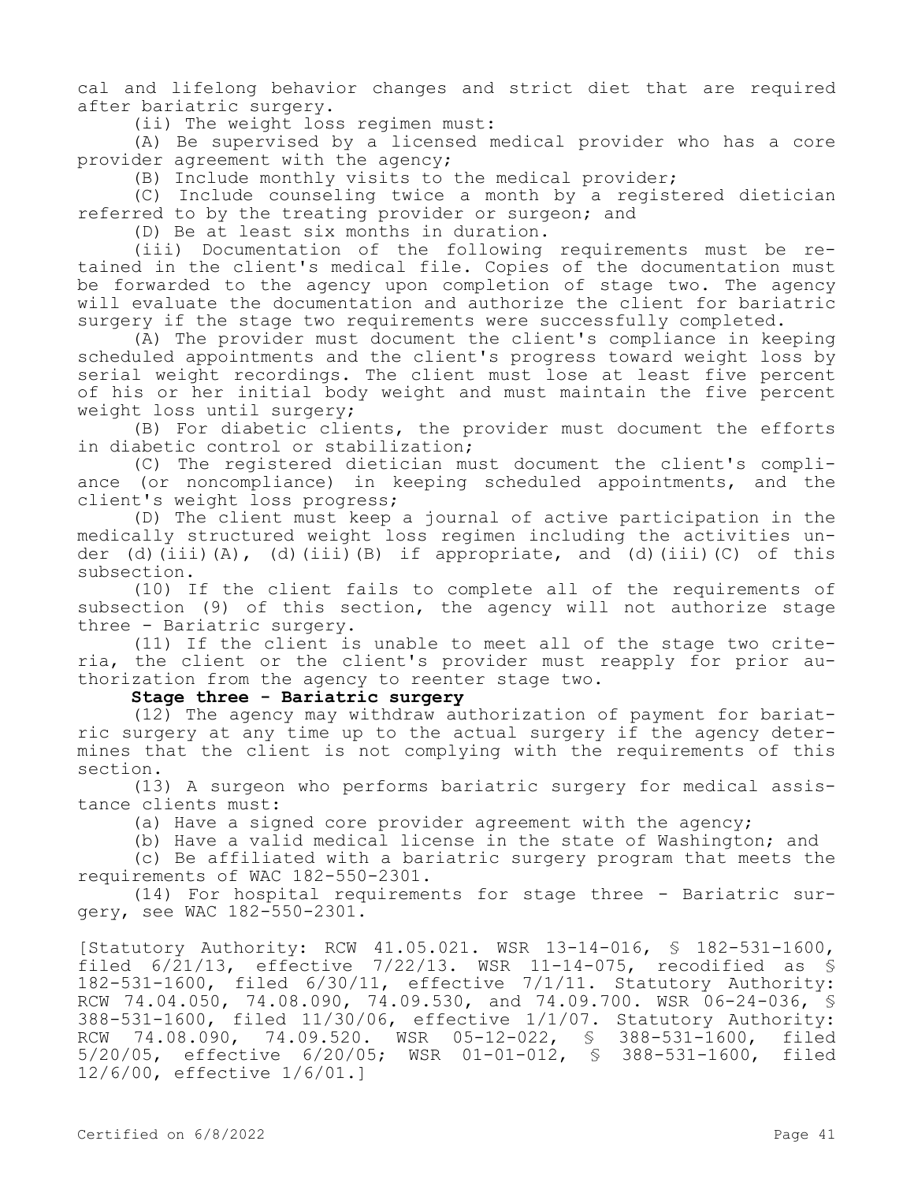cal and lifelong behavior changes and strict diet that are required after bariatric surgery.

(ii) The weight loss regimen must:

(A) Be supervised by a licensed medical provider who has a core provider agreement with the agency;

(B) Include monthly visits to the medical provider;

(C) Include counseling twice a month by a registered dietician referred to by the treating provider or surgeon; and

(D) Be at least six months in duration.

(iii) Documentation of the following requirements must be retained in the client's medical file. Copies of the documentation must be forwarded to the agency upon completion of stage two. The agency will evaluate the documentation and authorize the client for bariatric surgery if the stage two requirements were successfully completed.

(A) The provider must document the client's compliance in keeping scheduled appointments and the client's progress toward weight loss by serial weight recordings. The client must lose at least five percent of his or her initial body weight and must maintain the five percent weight loss until surgery;

(B) For diabetic clients, the provider must document the efforts in diabetic control or stabilization;

(C) The registered dietician must document the client's compliance (or noncompliance) in keeping scheduled appointments, and the client's weight loss progress;

(D) The client must keep a journal of active participation in the medically structured weight loss regimen including the activities under (d)(iii)(A), (d)(iii)(B) if appropriate, and (d)(iii)(C) of this subsection.

(10) If the client fails to complete all of the requirements of subsection (9) of this section, the agency will not authorize stage three - Bariatric surgery.

(11) If the client is unable to meet all of the stage two criteria, the client or the client's provider must reapply for prior authorization from the agency to reenter stage two.

#### **Stage three - Bariatric surgery**

(12) The agency may withdraw authorization of payment for bariatric surgery at any time up to the actual surgery if the agency determines that the client is not complying with the requirements of this section.

(13) A surgeon who performs bariatric surgery for medical assistance clients must:

(a) Have a signed core provider agreement with the agency;

(b) Have a valid medical license in the state of Washington; and

(c) Be affiliated with a bariatric surgery program that meets the requirements of WAC 182-550-2301.

(14) For hospital requirements for stage three - Bariatric surgery, see WAC 182-550-2301.

[Statutory Authority: RCW 41.05.021. WSR 13-14-016, § 182-531-1600, filed 6/21/13, effective 7/22/13. WSR 11-14-075, recodified as § 182-531-1600, filed 6/30/11, effective 7/1/11. Statutory Authority: RCW 74.04.050, 74.08.090, 74.09.530, and 74.09.700. WSR 06-24-036, § 388-531-1600, filed 11/30/06, effective 1/1/07. Statutory Authority: RCW 74.08.090, 74.09.520. WSR 05-12-022, § 388-531-1600, filed 5/20/05, effective 6/20/05; WSR 01-01-012, § 388-531-1600, filed 12/6/00, effective 1/6/01.]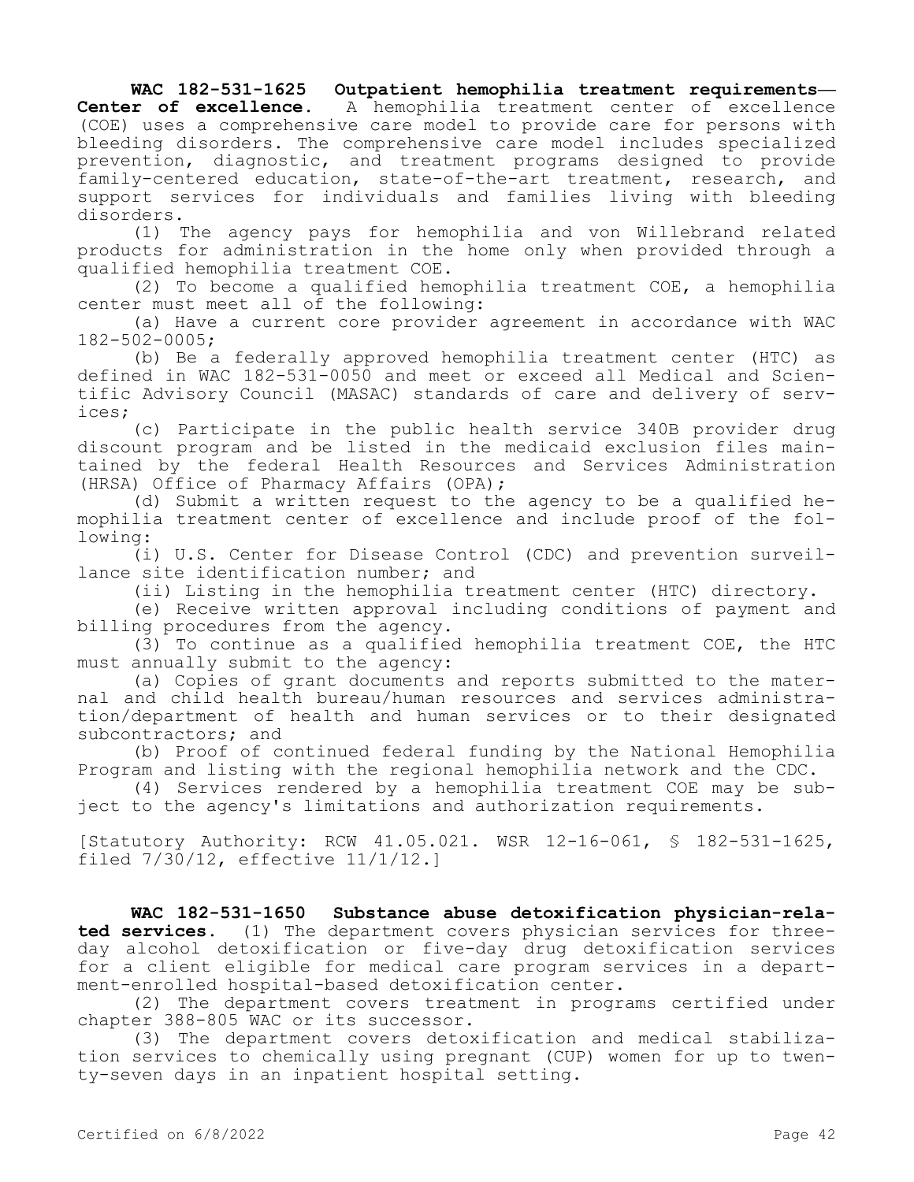**WAC 182-531-1625 Outpatient hemophilia treatment requirements— Center of excellence.** A hemophilia treatment center of excellence (COE) uses a comprehensive care model to provide care for persons with bleeding disorders. The comprehensive care model includes specialized prevention, diagnostic, and treatment programs designed to provide family-centered education, state-of-the-art treatment, research, and support services for individuals and families living with bleeding disorders.

(1) The agency pays for hemophilia and von Willebrand related products for administration in the home only when provided through a qualified hemophilia treatment COE.

(2) To become a qualified hemophilia treatment COE, a hemophilia center must meet all of the following:

(a) Have a current core provider agreement in accordance with WAC 182-502-0005;

(b) Be a federally approved hemophilia treatment center (HTC) as defined in WAC 182-531-0050 and meet or exceed all Medical and Scientific Advisory Council (MASAC) standards of care and delivery of services;

(c) Participate in the public health service 340B provider drug discount program and be listed in the medicaid exclusion files maintained by the federal Health Resources and Services Administration (HRSA) Office of Pharmacy Affairs (OPA);

(d) Submit a written request to the agency to be a qualified hemophilia treatment center of excellence and include proof of the following:

(i) U.S. Center for Disease Control (CDC) and prevention surveillance site identification number; and

(ii) Listing in the hemophilia treatment center (HTC) directory.

(e) Receive written approval including conditions of payment and billing procedures from the agency.

(3) To continue as a qualified hemophilia treatment COE, the HTC must annually submit to the agency:

(a) Copies of grant documents and reports submitted to the maternal and child health bureau/human resources and services administration/department of health and human services or to their designated subcontractors; and

(b) Proof of continued federal funding by the National Hemophilia Program and listing with the regional hemophilia network and the CDC.

(4) Services rendered by a hemophilia treatment COE may be subject to the agency's limitations and authorization requirements.

[Statutory Authority: RCW 41.05.021. WSR 12-16-061, § 182-531-1625, filed 7/30/12, effective 11/1/12.]

**WAC 182-531-1650 Substance abuse detoxification physician-related services.** (1) The department covers physician services for threeday alcohol detoxification or five-day drug detoxification services for a client eligible for medical care program services in a department-enrolled hospital-based detoxification center.

(2) The department covers treatment in programs certified under chapter 388-805 WAC or its successor.

(3) The department covers detoxification and medical stabilization services to chemically using pregnant (CUP) women for up to twenty-seven days in an inpatient hospital setting.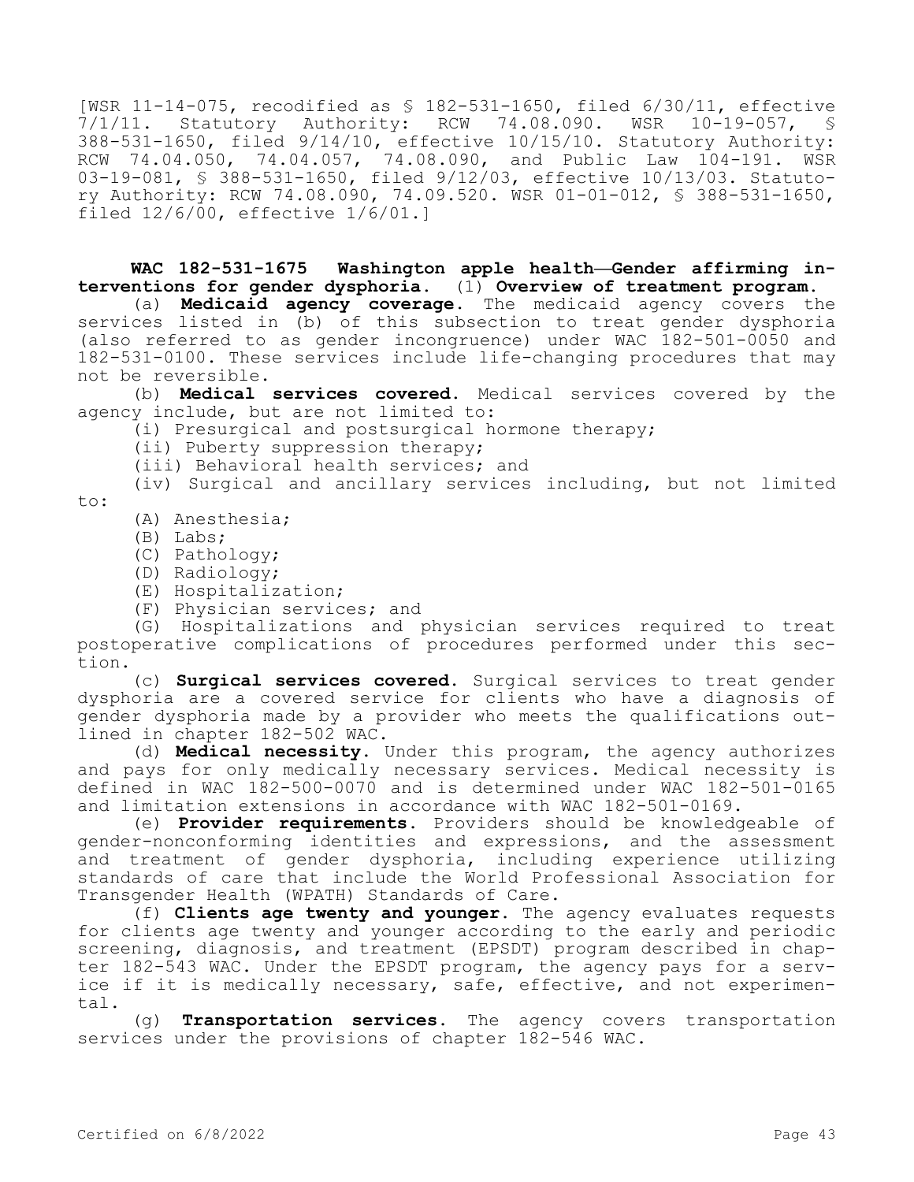[WSR 11-14-075, recodified as \$ 182-531-1650, filed 6/30/11, effective<br>7/1/11. Statutory Authority: RCW 74.08.090. WSR 10-19-057, \$ 7/1/11. Statutory Authority: RCW 74.08.090. WSR 10-19-057, § 388-531-1650, filed 9/14/10, effective 10/15/10. Statutory Authority: RCW 74.04.050, 74.04.057, 74.08.090, and Public Law 104-191. WSR 03-19-081, § 388-531-1650, filed 9/12/03, effective 10/13/03. Statutory Authority: RCW 74.08.090, 74.09.520. WSR 01-01-012, § 388-531-1650, filed 12/6/00, effective 1/6/01.]

# **WAC 182-531-1675 Washington apple health—Gender affirming interventions for gender dysphoria.** (1) **Overview of treatment program.**

(a) **Medicaid agency coverage.** The medicaid agency covers the services listed in (b) of this subsection to treat gender dysphoria (also referred to as gender incongruence) under WAC 182-501-0050 and 182-531-0100. These services include life-changing procedures that may not be reversible.

(b) **Medical services covered.** Medical services covered by the agency include, but are not limited to:

(i) Presurgical and postsurgical hormone therapy;

(ii) Puberty suppression therapy;

(iii) Behavioral health services; and

(iv) Surgical and ancillary services including, but not limited to:

- (A) Anesthesia;
- (B) Labs;
- (C) Pathology;
- (D) Radiology;
- (E) Hospitalization;
- (F) Physician services; and

(G) Hospitalizations and physician services required to treat postoperative complications of procedures performed under this section.

(c) **Surgical services covered.** Surgical services to treat gender dysphoria are a covered service for clients who have a diagnosis of gender dysphoria made by a provider who meets the qualifications outlined in chapter 182-502 WAC.

(d) **Medical necessity.** Under this program, the agency authorizes and pays for only medically necessary services. Medical necessity is defined in WAC 182-500-0070 and is determined under WAC 182-501-0165 and limitation extensions in accordance with WAC 182-501-0169.

(e) **Provider requirements.** Providers should be knowledgeable of gender-nonconforming identities and expressions, and the assessment and treatment of gender dysphoria, including experience utilizing standards of care that include the World Professional Association for Transgender Health (WPATH) Standards of Care.

(f) **Clients age twenty and younger.** The agency evaluates requests for clients age twenty and younger according to the early and periodic screening, diagnosis, and treatment (EPSDT) program described in chapter 182-543 WAC. Under the EPSDT program, the agency pays for a service if it is medically necessary, safe, effective, and not experimental.

(g) **Transportation services.** The agency covers transportation services under the provisions of chapter 182-546 WAC.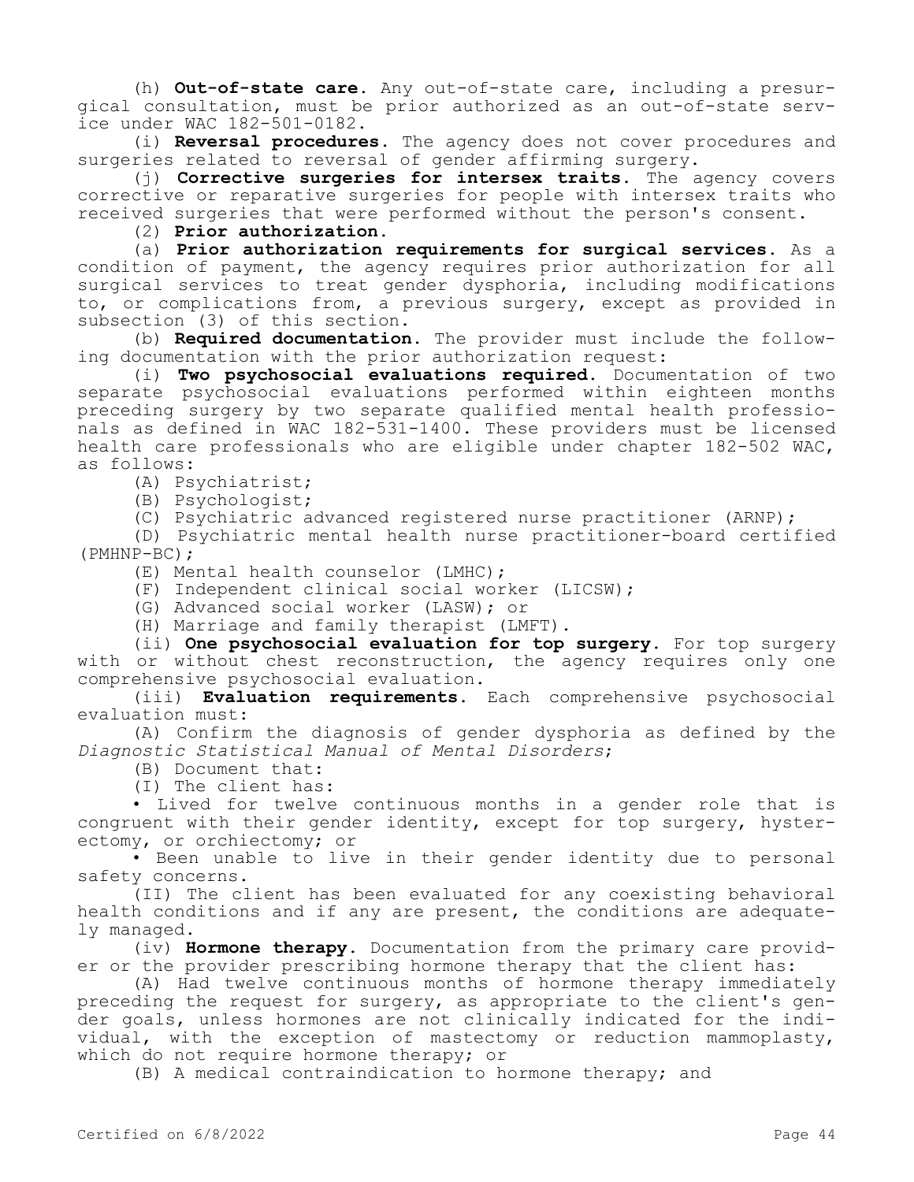(h) **Out-of-state care.** Any out-of-state care, including a presurgical consultation, must be prior authorized as an out-of-state service under WAC 182-501-0182.

(i) **Reversal procedures.** The agency does not cover procedures and surgeries related to reversal of gender affirming surgery.

(j) **Corrective surgeries for intersex traits.** The agency covers corrective or reparative surgeries for people with intersex traits who received surgeries that were performed without the person's consent.

(2) **Prior authorization.**

(a) **Prior authorization requirements for surgical services.** As a condition of payment, the agency requires prior authorization for all surgical services to treat gender dysphoria, including modifications to, or complications from, a previous surgery, except as provided in subsection (3) of this section.

(b) **Required documentation.** The provider must include the following documentation with the prior authorization request:

(i) **Two psychosocial evaluations required.** Documentation of two separate psychosocial evaluations performed within eighteen months preceding surgery by two separate qualified mental health professionals as defined in WAC 182-531-1400. These providers must be licensed health care professionals who are eligible under chapter 182-502 WAC, as follows:

(A) Psychiatrist;

(B) Psychologist;

(C) Psychiatric advanced registered nurse practitioner (ARNP);

(D) Psychiatric mental health nurse practitioner-board certified (PMHNP-BC);

(E) Mental health counselor (LMHC);

(F) Independent clinical social worker (LICSW);

(G) Advanced social worker (LASW); or

(H) Marriage and family therapist (LMFT).

(ii) **One psychosocial evaluation for top surgery.** For top surgery with or without chest reconstruction, the agency requires only one comprehensive psychosocial evaluation.

(iii) **Evaluation requirements.** Each comprehensive psychosocial evaluation must:

(A) Confirm the diagnosis of gender dysphoria as defined by the *Diagnostic Statistical Manual of Mental Disorders*;

(B) Document that:

(I) The client has:

• Lived for twelve continuous months in a gender role that is congruent with their gender identity, except for top surgery, hysterectomy, or orchiectomy; or

• Been unable to live in their gender identity due to personal safety concerns.

(II) The client has been evaluated for any coexisting behavioral health conditions and if any are present, the conditions are adequately managed.

(iv) **Hormone therapy.** Documentation from the primary care provider or the provider prescribing hormone therapy that the client has:

(A) Had twelve continuous months of hormone therapy immediately preceding the request for surgery, as appropriate to the client's gender goals, unless hormones are not clinically indicated for the individual, with the exception of mastectomy or reduction mammoplasty, which do not require hormone therapy; or

(B) A medical contraindication to hormone therapy; and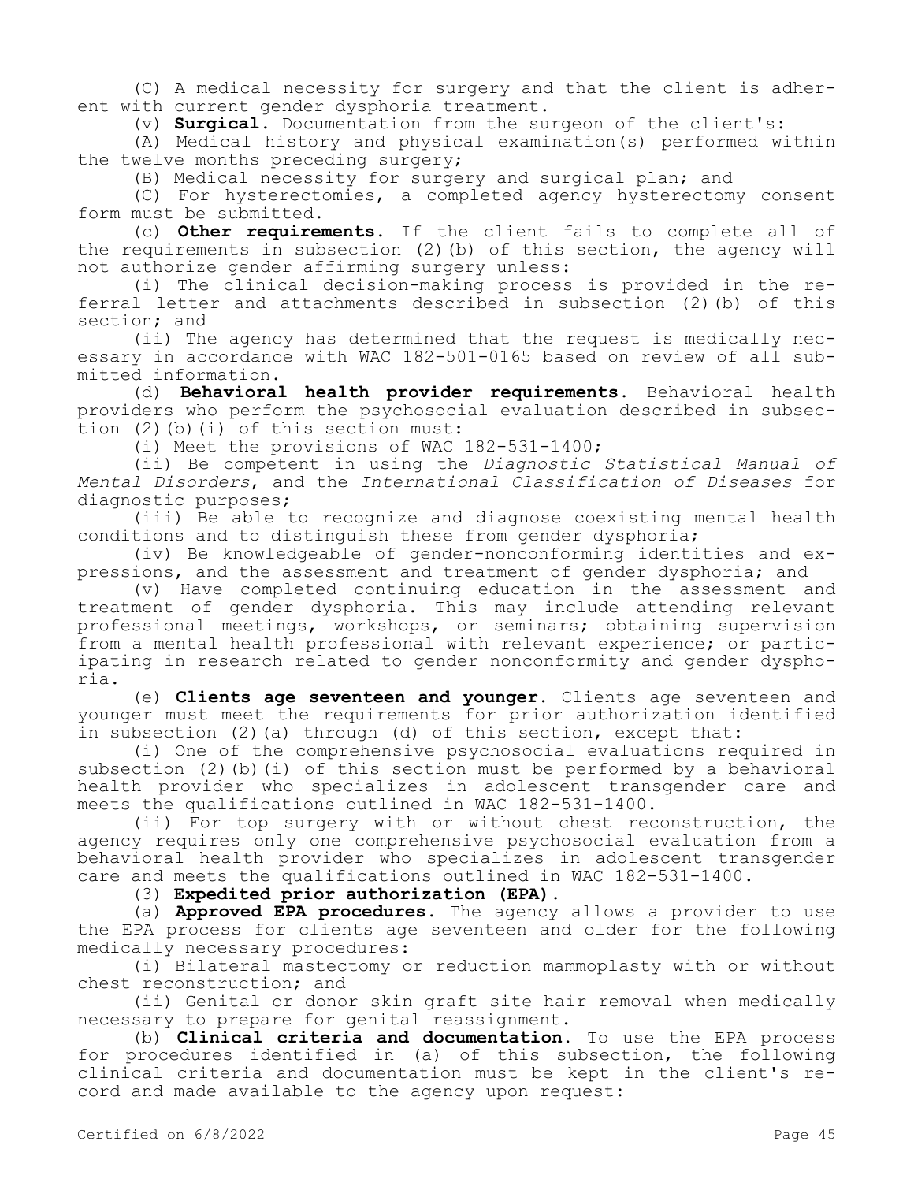(C) A medical necessity for surgery and that the client is adherent with current gender dysphoria treatment.

(v) **Surgical.** Documentation from the surgeon of the client's:

(A) Medical history and physical examination(s) performed within the twelve months preceding surgery;

(B) Medical necessity for surgery and surgical plan; and

(C) For hysterectomies, a completed agency hysterectomy consent form must be submitted.

(c) **Other requirements.** If the client fails to complete all of the requirements in subsection (2)(b) of this section, the agency will not authorize gender affirming surgery unless:

(i) The clinical decision-making process is provided in the referral letter and attachments described in subsection (2)(b) of this section; and

(ii) The agency has determined that the request is medically necessary in accordance with WAC 182-501-0165 based on review of all submitted information.

(d) **Behavioral health provider requirements.** Behavioral health providers who perform the psychosocial evaluation described in subsection (2)(b)(i) of this section must:

(i) Meet the provisions of WAC 182-531-1400;

(ii) Be competent in using the *Diagnostic Statistical Manual of Mental Disorders*, and the *International Classification of Diseases* for diagnostic purposes;

(iii) Be able to recognize and diagnose coexisting mental health conditions and to distinguish these from gender dysphoria;

(iv) Be knowledgeable of gender-nonconforming identities and expressions, and the assessment and treatment of gender dysphoria; and

(v) Have completed continuing education in the assessment and treatment of gender dysphoria. This may include attending relevant professional meetings, workshops, or seminars; obtaining supervision from a mental health professional with relevant experience; or participating in research related to gender nonconformity and gender dysphoria.

(e) **Clients age seventeen and younger.** Clients age seventeen and younger must meet the requirements for prior authorization identified in subsection (2) (a) through (d) of this section, except that:

(i) One of the comprehensive psychosocial evaluations required in subsection (2)(b)(i) of this section must be performed by a behavioral health provider who specializes in adolescent transgender care and meets the qualifications outlined in WAC 182-531-1400.

(ii) For top surgery with or without chest reconstruction, the agency requires only one comprehensive psychosocial evaluation from a behavioral health provider who specializes in adolescent transgender care and meets the qualifications outlined in WAC 182-531-1400.

(3) **Expedited prior authorization (EPA).**

(a) **Approved EPA procedures.** The agency allows a provider to use the EPA process for clients age seventeen and older for the following medically necessary procedures:

(i) Bilateral mastectomy or reduction mammoplasty with or without chest reconstruction; and

(ii) Genital or donor skin graft site hair removal when medically necessary to prepare for genital reassignment.

(b) **Clinical criteria and documentation.** To use the EPA process for procedures identified in (a) of this subsection, the following clinical criteria and documentation must be kept in the client's record and made available to the agency upon request: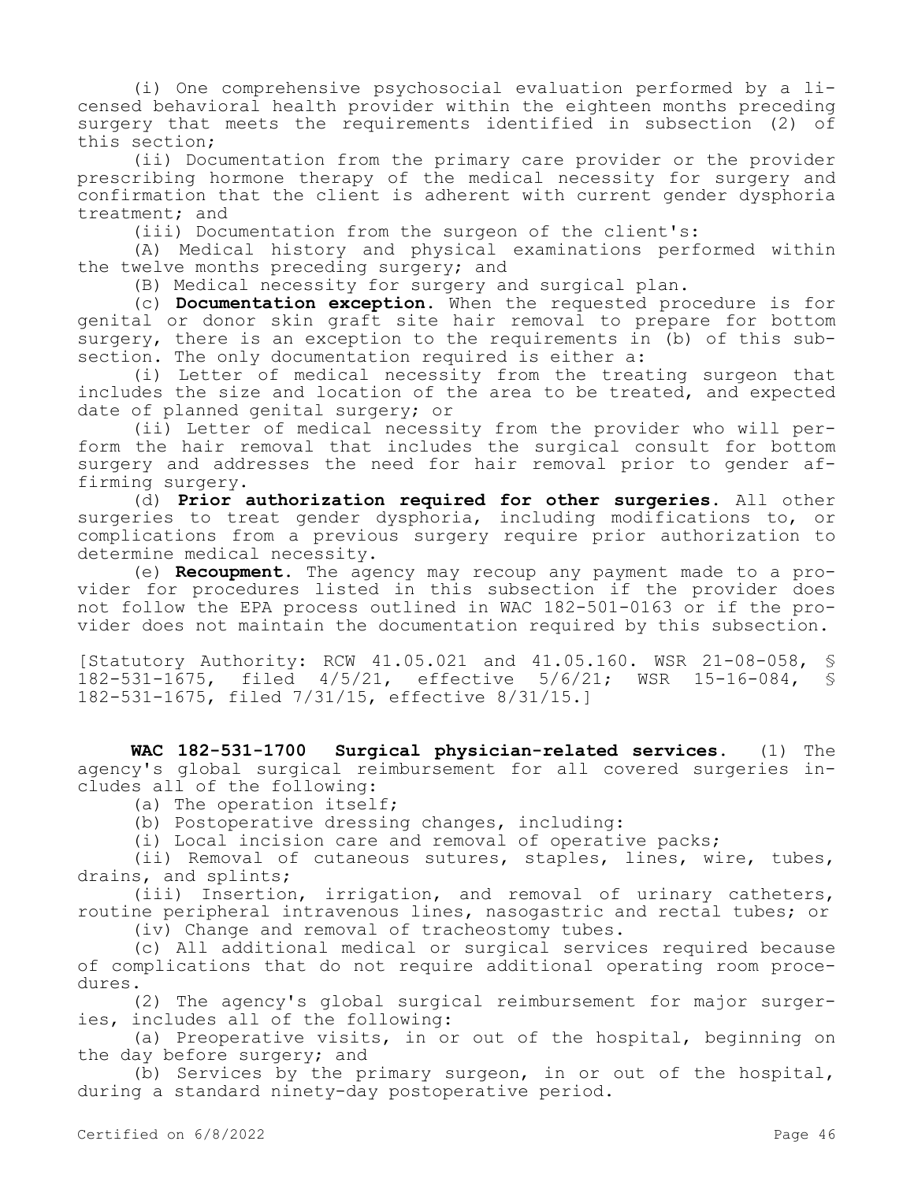(i) One comprehensive psychosocial evaluation performed by a licensed behavioral health provider within the eighteen months preceding surgery that meets the requirements identified in subsection (2) of this section;

(ii) Documentation from the primary care provider or the provider prescribing hormone therapy of the medical necessity for surgery and confirmation that the client is adherent with current gender dysphoria treatment; and

(iii) Documentation from the surgeon of the client's:

(A) Medical history and physical examinations performed within the twelve months preceding surgery; and

(B) Medical necessity for surgery and surgical plan.

(c) **Documentation exception.** When the requested procedure is for genital or donor skin graft site hair removal to prepare for bottom surgery, there is an exception to the requirements in (b) of this subsection. The only documentation required is either a:

(i) Letter of medical necessity from the treating surgeon that includes the size and location of the area to be treated, and expected date of planned genital surgery; or

(ii) Letter of medical necessity from the provider who will perform the hair removal that includes the surgical consult for bottom surgery and addresses the need for hair removal prior to gender affirming surgery.

(d) **Prior authorization required for other surgeries.** All other surgeries to treat gender dysphoria, including modifications to, or complications from a previous surgery require prior authorization to determine medical necessity.

(e) **Recoupment.** The agency may recoup any payment made to a provider for procedures listed in this subsection if the provider does not follow the EPA process outlined in WAC 182-501-0163 or if the provider does not maintain the documentation required by this subsection.

[Statutory Authority: RCW 41.05.021 and 41.05.160. WSR 21-08-058, § 182-531-1675, filed 4/5/21, effective 5/6/21; WSR 15-16-084, § 182-531-1675, filed 7/31/15, effective 8/31/15.]

**WAC 182-531-1700 Surgical physician-related services.** (1) The agency's global surgical reimbursement for all covered surgeries includes all of the following:

(a) The operation itself;

(b) Postoperative dressing changes, including:

(i) Local incision care and removal of operative packs;

(ii) Removal of cutaneous sutures, staples, lines, wire, tubes, drains, and splints;

(iii) Insertion, irrigation, and removal of urinary catheters, routine peripheral intravenous lines, nasogastric and rectal tubes; or

(iv) Change and removal of tracheostomy tubes.

(c) All additional medical or surgical services required because of complications that do not require additional operating room procedures.

(2) The agency's global surgical reimbursement for major surgeries, includes all of the following:

(a) Preoperative visits, in or out of the hospital, beginning on the day before surgery; and

(b) Services by the primary surgeon, in or out of the hospital, during a standard ninety-day postoperative period.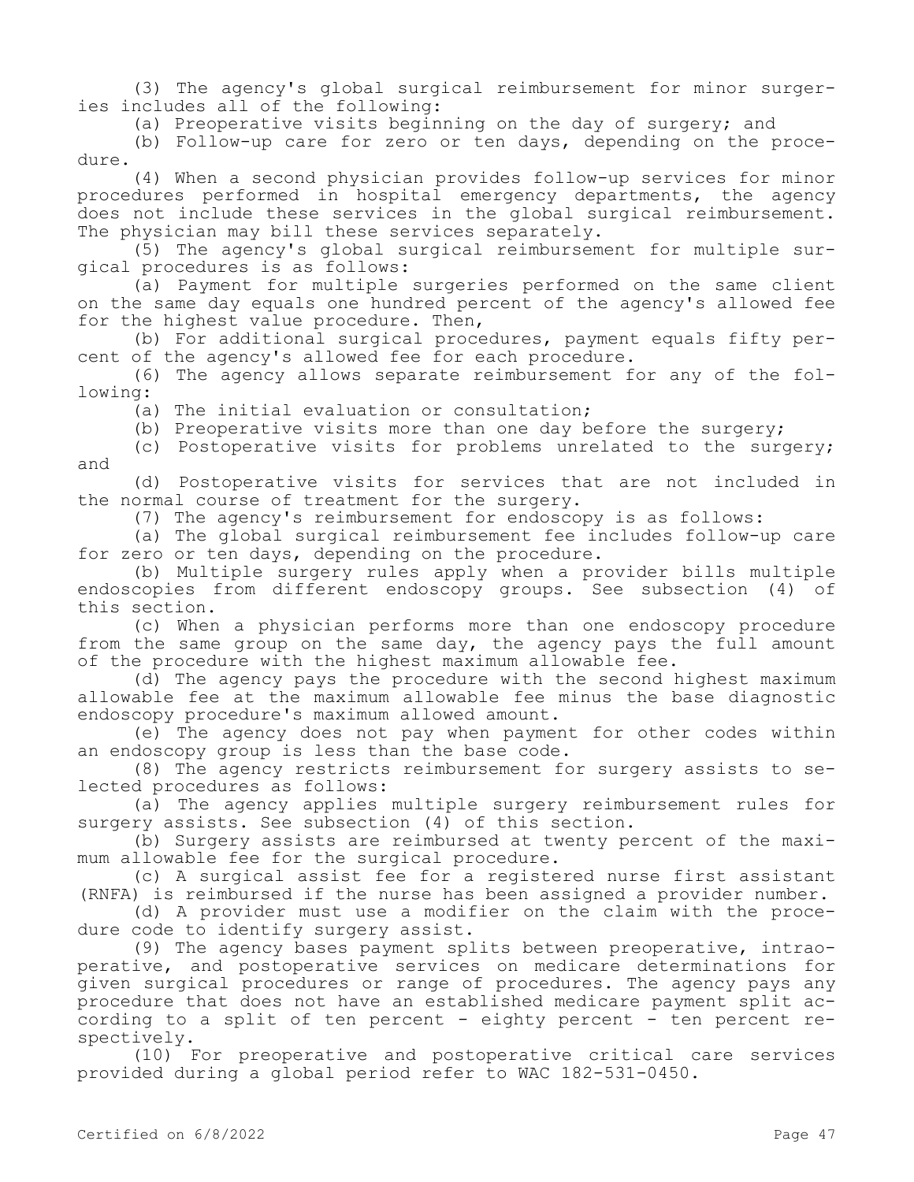(3) The agency's global surgical reimbursement for minor surgeries includes all of the following:

(a) Preoperative visits beginning on the day of surgery; and

(b) Follow-up care for zero or ten days, depending on the procedure.

(4) When a second physician provides follow-up services for minor procedures performed in hospital emergency departments, the agency does not include these services in the global surgical reimbursement. The physician may bill these services separately.

(5) The agency's global surgical reimbursement for multiple surgical procedures is as follows:

(a) Payment for multiple surgeries performed on the same client on the same day equals one hundred percent of the agency's allowed fee for the highest value procedure. Then,

(b) For additional surgical procedures, payment equals fifty percent of the agency's allowed fee for each procedure.

(6) The agency allows separate reimbursement for any of the following:

(a) The initial evaluation or consultation;

(b) Preoperative visits more than one day before the surgery;

(c) Postoperative visits for problems unrelated to the surgery; and

(d) Postoperative visits for services that are not included in the normal course of treatment for the surgery.

(7) The agency's reimbursement for endoscopy is as follows:

(a) The global surgical reimbursement fee includes follow-up care for zero or ten days, depending on the procedure.

(b) Multiple surgery rules apply when a provider bills multiple endoscopies from different endoscopy groups. See subsection (4) of this section.

(c) When a physician performs more than one endoscopy procedure from the same group on the same day, the agency pays the full amount of the procedure with the highest maximum allowable fee.

(d) The agency pays the procedure with the second highest maximum allowable fee at the maximum allowable fee minus the base diagnostic endoscopy procedure's maximum allowed amount.

(e) The agency does not pay when payment for other codes within an endoscopy group is less than the base code.

(8) The agency restricts reimbursement for surgery assists to selected procedures as follows:

(a) The agency applies multiple surgery reimbursement rules for surgery assists. See subsection (4) of this section.

(b) Surgery assists are reimbursed at twenty percent of the maximum allowable fee for the surgical procedure.

(c) A surgical assist fee for a registered nurse first assistant (RNFA) is reimbursed if the nurse has been assigned a provider number.

(d) A provider must use a modifier on the claim with the procedure code to identify surgery assist.

(9) The agency bases payment splits between preoperative, intraoperative, and postoperative services on medicare determinations for given surgical procedures or range of procedures. The agency pays any procedure that does not have an established medicare payment split according to a split of ten percent - eighty percent - ten percent respectively.

(10) For preoperative and postoperative critical care services provided during a global period refer to WAC 182-531-0450.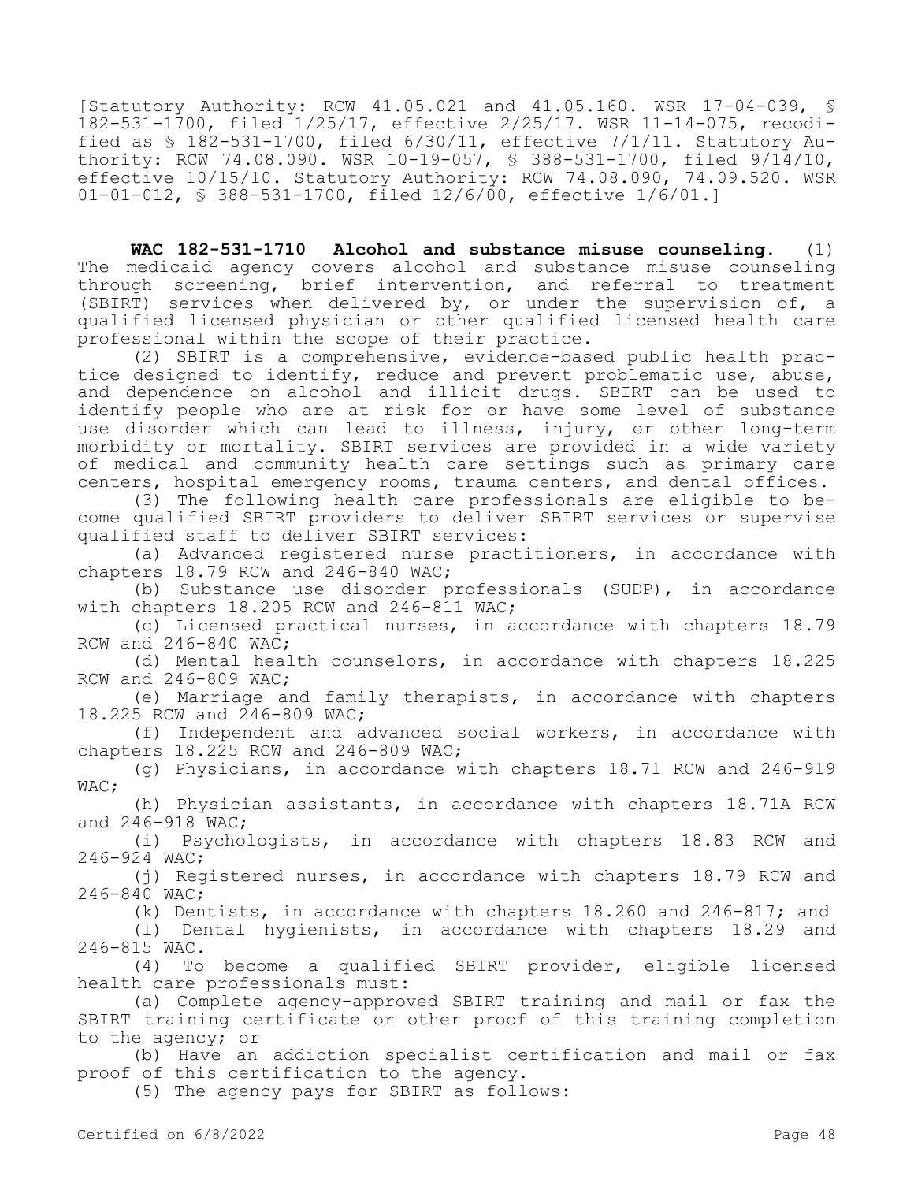[Statutory Authority: RCW 41.05.021 and 41.05.160. WSR 17-04-039, § 182-531-1700, filed 1/25/17, effective 2/25/17. WSR 11-14-075, recodified as § 182-531-1700, filed 6/30/11, effective 7/1/11. Statutory Authority: RCW 74.08.090. WSR 10-19-057, § 388-531-1700, filed 9/14/10, effective 10/15/10. Statutory Authority: RCW 74.08.090, 74.09.520. WSR 01-01-012, § 388-531-1700, filed 12/6/00, effective 1/6/01.]

**WAC 182-531-1710 Alcohol and substance misuse counseling.** (1) The medicaid agency covers alcohol and substance misuse counseling through screening, brief intervention, and referral to treatment (SBIRT) services when delivered by, or under the supervision of, a qualified licensed physician or other qualified licensed health care professional within the scope of their practice.

(2) SBIRT is a comprehensive, evidence-based public health practice designed to identify, reduce and prevent problematic use, abuse, and dependence on alcohol and illicit drugs. SBIRT can be used to identify people who are at risk for or have some level of substance use disorder which can lead to illness, injury, or other long-term morbidity or mortality. SBIRT services are provided in a wide variety of medical and community health care settings such as primary care centers, hospital emergency rooms, trauma centers, and dental offices.

(3) The following health care professionals are eligible to become qualified SBIRT providers to deliver SBIRT services or supervise qualified staff to deliver SBIRT services:

(a) Advanced registered nurse practitioners, in accordance with chapters 18.79 RCW and 246-840 WAC;

(b) Substance use disorder professionals (SUDP), in accordance with chapters 18.205 RCW and 246-811 WAC;

(c) Licensed practical nurses, in accordance with chapters 18.79 RCW and 246-840 WAC;

(d) Mental health counselors, in accordance with chapters 18.225 RCW and 246-809 WAC;

(e) Marriage and family therapists, in accordance with chapters 18.225 RCW and 246-809 WAC;

(f) Independent and advanced social workers, in accordance with chapters 18.225 RCW and 246-809 WAC;

(g) Physicians, in accordance with chapters 18.71 RCW and 246-919 WAC;

(h) Physician assistants, in accordance with chapters 18.71A RCW and 246-918 WAC;

(i) Psychologists, in accordance with chapters 18.83 RCW and 246-924 WAC;

(j) Registered nurses, in accordance with chapters 18.79 RCW and 246-840 WAC;

(k) Dentists, in accordance with chapters 18.260 and 246-817; and

(l) Dental hygienists, in accordance with chapters 18.29 and 246-815 WAC.

(4) To become a qualified SBIRT provider, eligible licensed health care professionals must:

(a) Complete agency-approved SBIRT training and mail or fax the SBIRT training certificate or other proof of this training completion to the agency; or

(b) Have an addiction specialist certification and mail or fax proof of this certification to the agency.

(5) The agency pays for SBIRT as follows: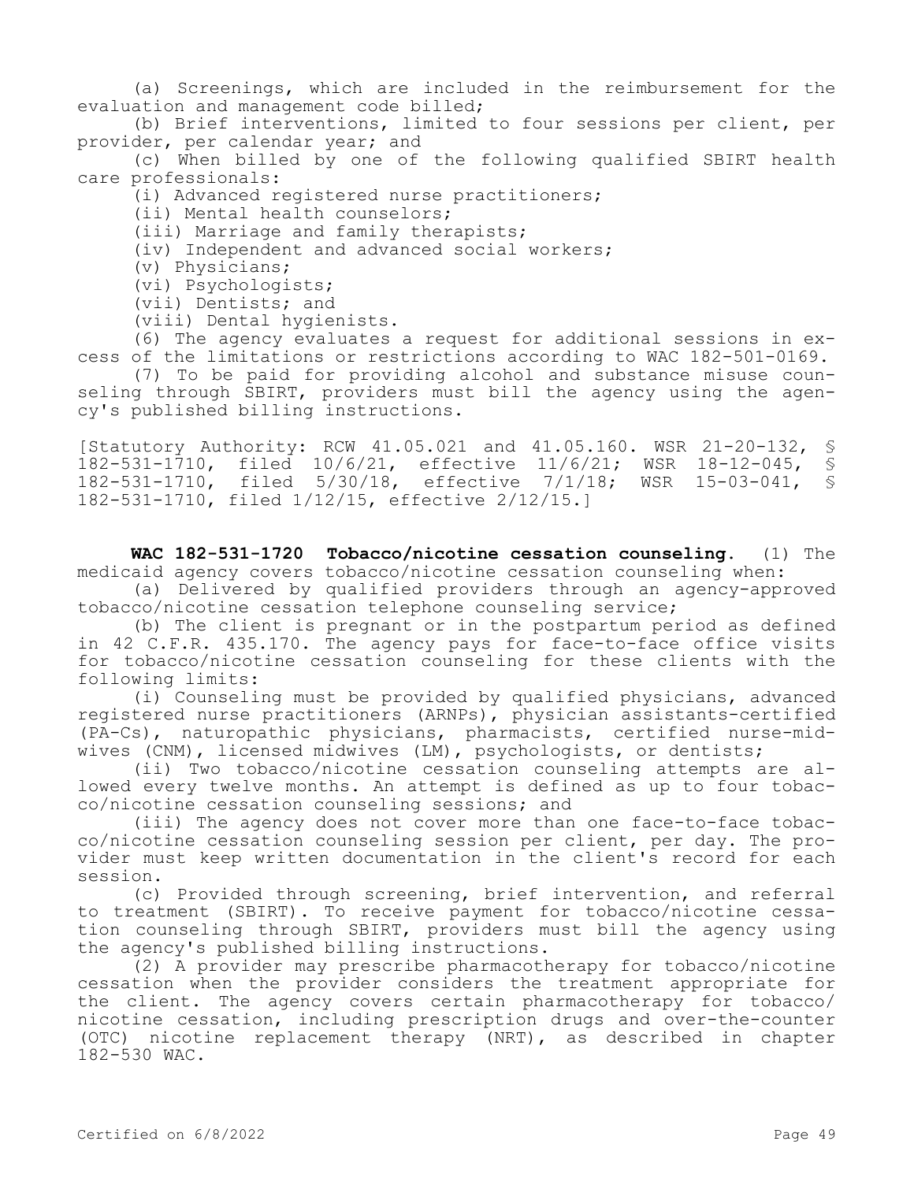(a) Screenings, which are included in the reimbursement for the evaluation and management code billed;

(b) Brief interventions, limited to four sessions per client, per provider, per calendar year; and

(c) When billed by one of the following qualified SBIRT health care professionals:

(i) Advanced registered nurse practitioners;

(ii) Mental health counselors;

(iii) Marriage and family therapists;

(iv) Independent and advanced social workers;

(v) Physicians;

(vi) Psychologists;

(vii) Dentists; and

(viii) Dental hygienists.

(6) The agency evaluates a request for additional sessions in excess of the limitations or restrictions according to WAC 182-501-0169.

(7) To be paid for providing alcohol and substance misuse counseling through SBIRT, providers must bill the agency using the agency's published billing instructions.

[Statutory Authority: RCW 41.05.021 and 41.05.160. WSR 21-20-132, § 182-531-1710, filed 10/6/21, effective 11/6/21; WSR 18-12-045, § 182-531-1710, filed 5/30/18, effective 7/1/18; WSR 15-03-041, § 182-531-1710, filed 1/12/15, effective 2/12/15.]

**WAC 182-531-1720 Tobacco/nicotine cessation counseling.** (1) The medicaid agency covers tobacco/nicotine cessation counseling when:

(a) Delivered by qualified providers through an agency-approved tobacco/nicotine cessation telephone counseling service;

(b) The client is pregnant or in the postpartum period as defined in 42 C.F.R. 435.170. The agency pays for face-to-face office visits for tobacco/nicotine cessation counseling for these clients with the following limits:

(i) Counseling must be provided by qualified physicians, advanced registered nurse practitioners (ARNPs), physician assistants-certified (PA-Cs), naturopathic physicians, pharmacists, certified nurse-midwives (CNM), licensed midwives (LM), psychologists, or dentists;

(ii) Two tobacco/nicotine cessation counseling attempts are allowed every twelve months. An attempt is defined as up to four tobacco/nicotine cessation counseling sessions; and

(iii) The agency does not cover more than one face-to-face tobacco/nicotine cessation counseling session per client, per day. The provider must keep written documentation in the client's record for each session.

(c) Provided through screening, brief intervention, and referral to treatment (SBIRT). To receive payment for tobacco/nicotine cessation counseling through SBIRT, providers must bill the agency using the agency's published billing instructions.

(2) A provider may prescribe pharmacotherapy for tobacco/nicotine cessation when the provider considers the treatment appropriate for the client. The agency covers certain pharmacotherapy for tobacco/ nicotine cessation, including prescription drugs and over-the-counter (OTC) nicotine replacement therapy (NRT), as described in chapter 182-530 WAC.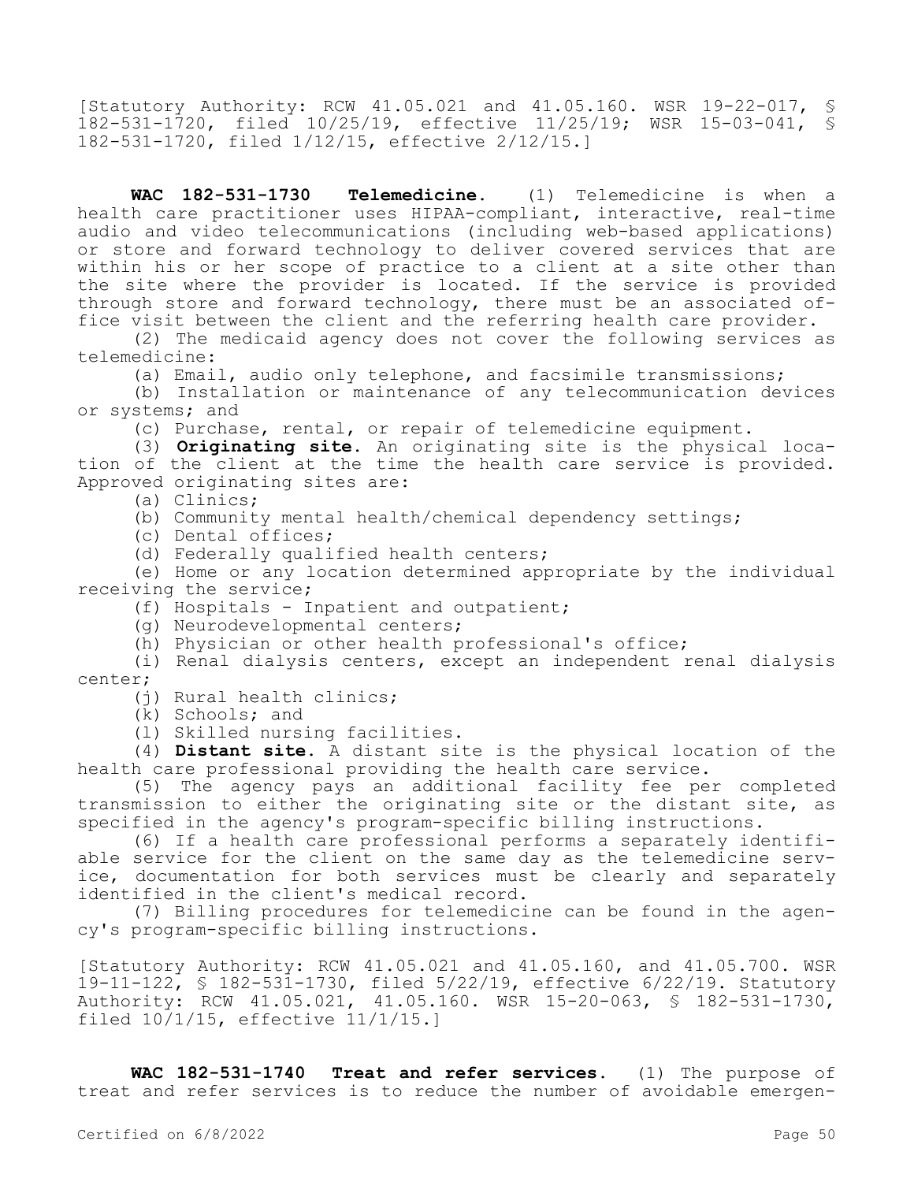[Statutory Authority: RCW 41.05.021 and 41.05.160. WSR 19-22-017, § 182-531-1720, filed 10/25/19, effective 11/25/19; WSR 15-03-041, § 182-531-1720, filed 1/12/15, effective 2/12/15.]

**WAC 182-531-1730 Telemedicine.** (1) Telemedicine is when a health care practitioner uses HIPAA-compliant, interactive, real-time audio and video telecommunications (including web-based applications) or store and forward technology to deliver covered services that are within his or her scope of practice to a client at a site other than the site where the provider is located. If the service is provided through store and forward technology, there must be an associated office visit between the client and the referring health care provider.

(2) The medicaid agency does not cover the following services as telemedicine:

(a) Email, audio only telephone, and facsimile transmissions;

(b) Installation or maintenance of any telecommunication devices or systems; and

(c) Purchase, rental, or repair of telemedicine equipment.

(3) **Originating site.** An originating site is the physical location of the client at the time the health care service is provided. Approved originating sites are:

(a) Clinics;

(b) Community mental health/chemical dependency settings;

(c) Dental offices;

(d) Federally qualified health centers;

(e) Home or any location determined appropriate by the individual receiving the service;

(f) Hospitals - Inpatient and outpatient;

(g) Neurodevelopmental centers;

(h) Physician or other health professional's office;

(i) Renal dialysis centers, except an independent renal dialysis center;

(j) Rural health clinics;

(k) Schools; and

(l) Skilled nursing facilities.

(4) **Distant site.** A distant site is the physical location of the health care professional providing the health care service.

(5) The agency pays an additional facility fee per completed transmission to either the originating site or the distant site, as specified in the agency's program-specific billing instructions.

(6) If a health care professional performs a separately identifiable service for the client on the same day as the telemedicine service, documentation for both services must be clearly and separately identified in the client's medical record.

(7) Billing procedures for telemedicine can be found in the agency's program-specific billing instructions.

[Statutory Authority: RCW 41.05.021 and 41.05.160, and 41.05.700. WSR 19-11-122, § 182-531-1730, filed 5/22/19, effective 6/22/19. Statutory Authority: RCW 41.05.021, 41.05.160. WSR 15-20-063, § 182-531-1730, filed 10/1/15, effective 11/1/15.]

**WAC 182-531-1740 Treat and refer services.** (1) The purpose of treat and refer services is to reduce the number of avoidable emergen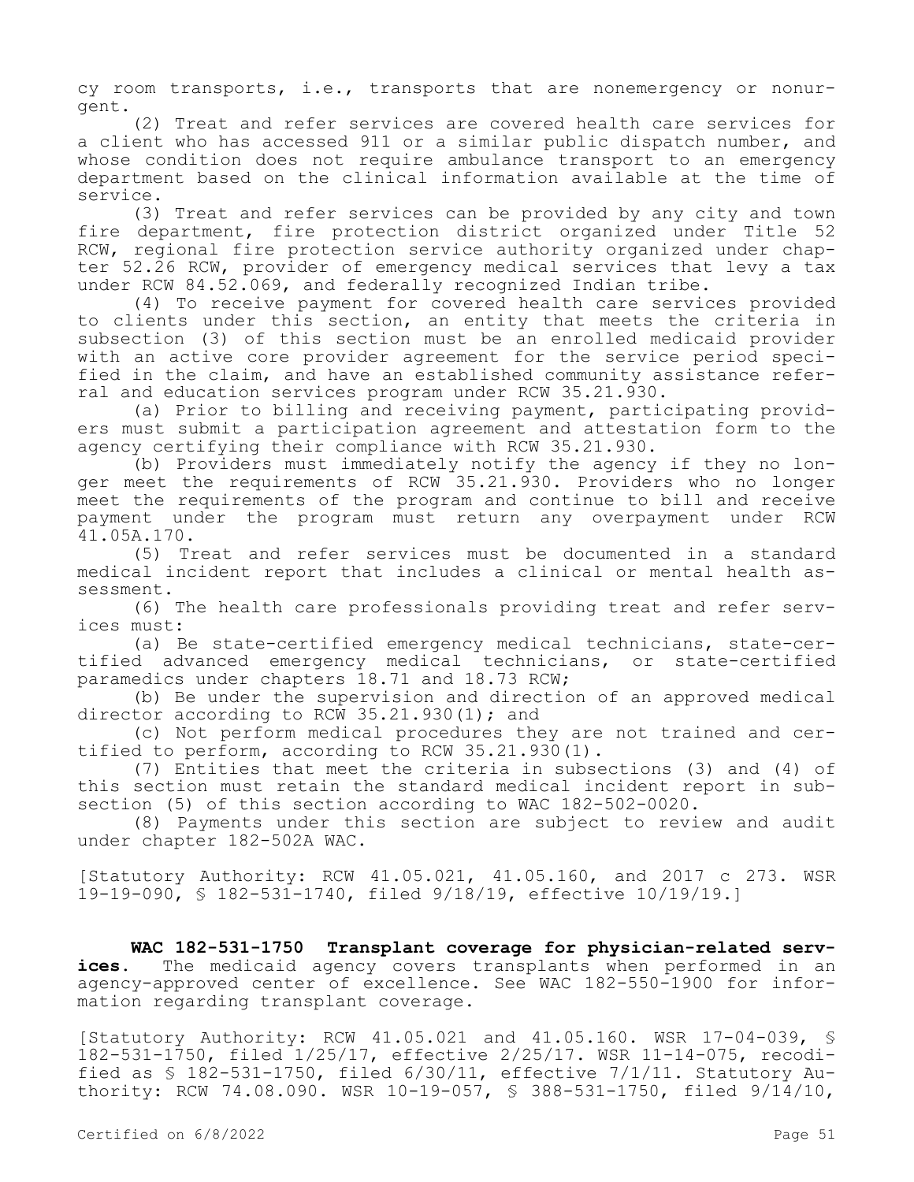cy room transports, i.e., transports that are nonemergency or nonurgent.

(2) Treat and refer services are covered health care services for a client who has accessed 911 or a similar public dispatch number, and whose condition does not require ambulance transport to an emergency department based on the clinical information available at the time of service.

(3) Treat and refer services can be provided by any city and town fire department, fire protection district organized under Title 52 RCW, regional fire protection service authority organized under chapter 52.26 RCW, provider of emergency medical services that levy a tax under RCW 84.52.069, and federally recognized Indian tribe.

(4) To receive payment for covered health care services provided to clients under this section, an entity that meets the criteria in subsection (3) of this section must be an enrolled medicaid provider with an active core provider agreement for the service period specified in the claim, and have an established community assistance referral and education services program under RCW 35.21.930.

(a) Prior to billing and receiving payment, participating providers must submit a participation agreement and attestation form to the agency certifying their compliance with RCW 35.21.930.

(b) Providers must immediately notify the agency if they no longer meet the requirements of RCW 35.21.930. Providers who no longer meet the requirements of the program and continue to bill and receive payment under the program must return any overpayment under RCW 41.05A.170.

(5) Treat and refer services must be documented in a standard medical incident report that includes a clinical or mental health assessment.

(6) The health care professionals providing treat and refer services must:

(a) Be state-certified emergency medical technicians, state-certified advanced emergency medical technicians, or state-certified paramedics under chapters 18.71 and 18.73 RCW;

(b) Be under the supervision and direction of an approved medical director according to RCW 35.21.930(1); and

(c) Not perform medical procedures they are not trained and certified to perform, according to RCW 35.21.930(1).

(7) Entities that meet the criteria in subsections (3) and (4) of this section must retain the standard medical incident report in subsection (5) of this section according to WAC 182-502-0020.

(8) Payments under this section are subject to review and audit under chapter 182-502A WAC.

[Statutory Authority: RCW 41.05.021, 41.05.160, and 2017 c 273. WSR 19-19-090, § 182-531-1740, filed 9/18/19, effective 10/19/19.]

**WAC 182-531-1750 Transplant coverage for physician-related services.** The medicaid agency covers transplants when performed in an agency-approved center of excellence. See WAC 182-550-1900 for information regarding transplant coverage.

[Statutory Authority: RCW 41.05.021 and 41.05.160. WSR 17-04-039, § 182-531-1750, filed 1/25/17, effective 2/25/17. WSR 11-14-075, recodified as § 182-531-1750, filed 6/30/11, effective 7/1/11. Statutory Authority: RCW 74.08.090. WSR 10-19-057, § 388-531-1750, filed 9/14/10,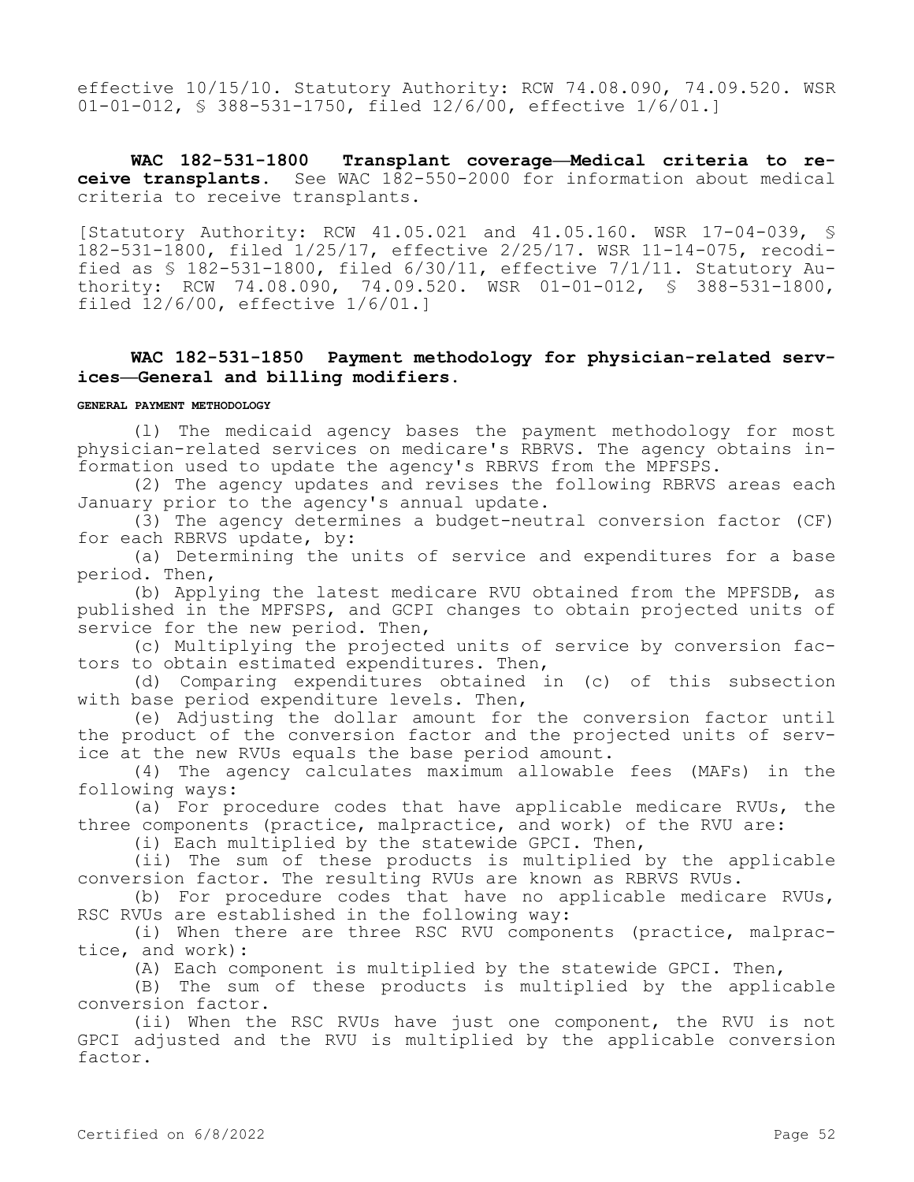effective 10/15/10. Statutory Authority: RCW 74.08.090, 74.09.520. WSR 01-01-012, § 388-531-1750, filed 12/6/00, effective 1/6/01.]

**WAC 182-531-1800 Transplant coverage—Medical criteria to receive transplants.** See WAC 182-550-2000 for information about medical criteria to receive transplants.

[Statutory Authority: RCW 41.05.021 and 41.05.160. WSR 17-04-039, § 182-531-1800, filed 1/25/17, effective 2/25/17. WSR 11-14-075, recodified as § 182-531-1800, filed 6/30/11, effective 7/1/11. Statutory Authority: RCW 74.08.090, 74.09.520. WSR 01-01-012, § 388-531-1800, filed 12/6/00, effective 1/6/01.]

## **WAC 182-531-1850 Payment methodology for physician-related services—General and billing modifiers.**

#### **GENERAL PAYMENT METHODOLOGY**

(l) The medicaid agency bases the payment methodology for most physician-related services on medicare's RBRVS. The agency obtains information used to update the agency's RBRVS from the MPFSPS.

(2) The agency updates and revises the following RBRVS areas each January prior to the agency's annual update.

(3) The agency determines a budget-neutral conversion factor (CF) for each RBRVS update, by:

(a) Determining the units of service and expenditures for a base period. Then,

(b) Applying the latest medicare RVU obtained from the MPFSDB, as published in the MPFSPS, and GCPI changes to obtain projected units of service for the new period. Then,

(c) Multiplying the projected units of service by conversion factors to obtain estimated expenditures. Then,

(d) Comparing expenditures obtained in (c) of this subsection with base period expenditure levels. Then,

(e) Adjusting the dollar amount for the conversion factor until the product of the conversion factor and the projected units of service at the new RVUs equals the base period amount.

(4) The agency calculates maximum allowable fees (MAFs) in the following ways:

(a) For procedure codes that have applicable medicare RVUs, the three components (practice, malpractice, and work) of the RVU are:

(i) Each multiplied by the statewide GPCI. Then,

(ii) The sum of these products is multiplied by the applicable conversion factor. The resulting RVUs are known as RBRVS RVUs.

(b) For procedure codes that have no applicable medicare RVUs, RSC RVUs are established in the following way:

(i) When there are three RSC RVU components (practice, malpractice, and work):

(A) Each component is multiplied by the statewide GPCI. Then,

(B) The sum of these products is multiplied by the applicable conversion factor.

(ii) When the RSC RVUs have just one component, the RVU is not GPCI adjusted and the RVU is multiplied by the applicable conversion factor.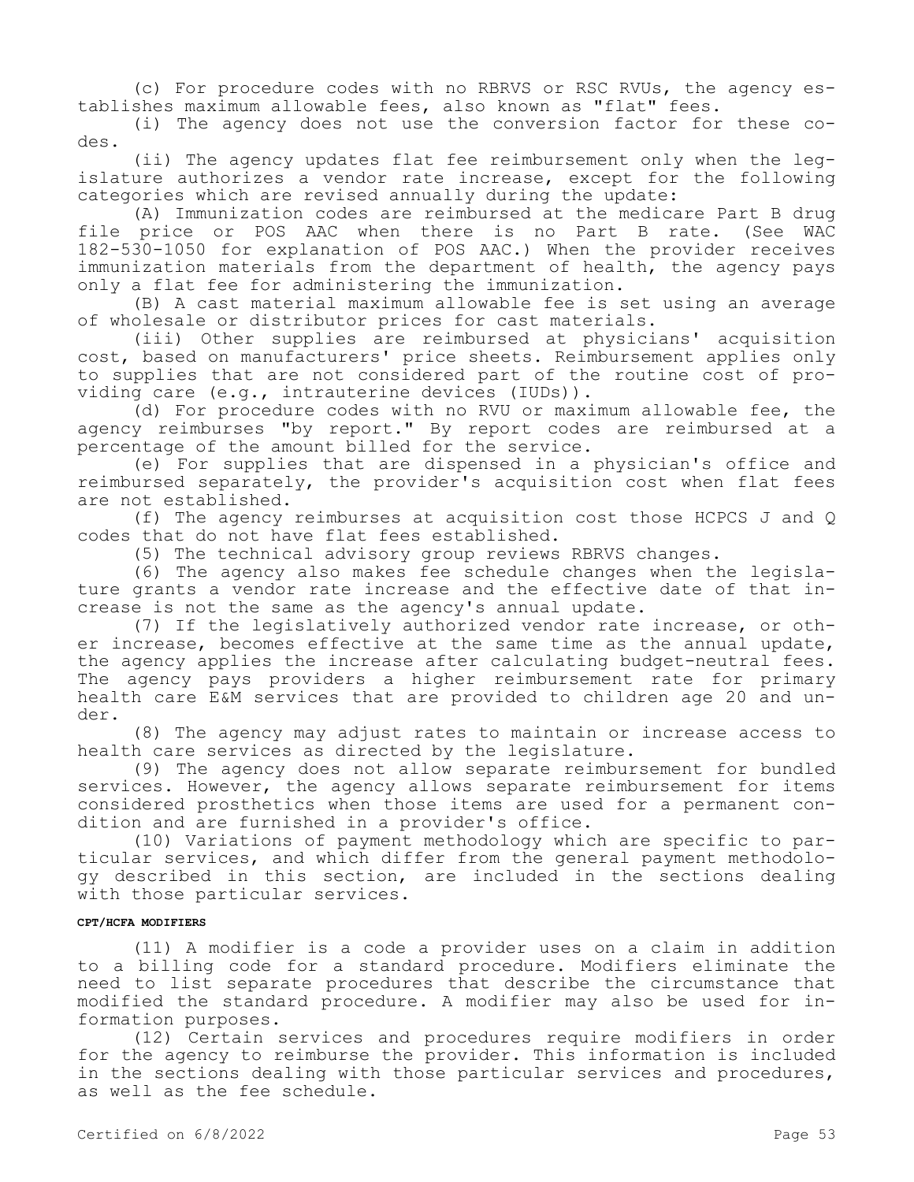(c) For procedure codes with no RBRVS or RSC RVUs, the agency establishes maximum allowable fees, also known as "flat" fees.

(i) The agency does not use the conversion factor for these codes.

(ii) The agency updates flat fee reimbursement only when the legislature authorizes a vendor rate increase, except for the following categories which are revised annually during the update:

(A) Immunization codes are reimbursed at the medicare Part B drug file price or POS AAC when there is no Part B rate. (See WAC 182-530-1050 for explanation of POS AAC.) When the provider receives immunization materials from the department of health, the agency pays only a flat fee for administering the immunization.

(B) A cast material maximum allowable fee is set using an average of wholesale or distributor prices for cast materials.

(iii) Other supplies are reimbursed at physicians' acquisition cost, based on manufacturers' price sheets. Reimbursement applies only to supplies that are not considered part of the routine cost of providing care (e.g., intrauterine devices (IUDs)).

(d) For procedure codes with no RVU or maximum allowable fee, the agency reimburses "by report." By report codes are reimbursed at a percentage of the amount billed for the service.

(e) For supplies that are dispensed in a physician's office and reimbursed separately, the provider's acquisition cost when flat fees are not established.

(f) The agency reimburses at acquisition cost those HCPCS J and Q codes that do not have flat fees established.

(5) The technical advisory group reviews RBRVS changes.

(6) The agency also makes fee schedule changes when the legislature grants a vendor rate increase and the effective date of that increase is not the same as the agency's annual update.

(7) If the legislatively authorized vendor rate increase, or other increase, becomes effective at the same time as the annual update, the agency applies the increase after calculating budget-neutral fees. The agency pays providers a higher reimbursement rate for primary health care E&M services that are provided to children age 20 and under.

(8) The agency may adjust rates to maintain or increase access to health care services as directed by the legislature.

(9) The agency does not allow separate reimbursement for bundled services. However, the agency allows separate reimbursement for items considered prosthetics when those items are used for a permanent condition and are furnished in a provider's office.

(10) Variations of payment methodology which are specific to particular services, and which differ from the general payment methodology described in this section, are included in the sections dealing with those particular services.

#### **CPT/HCFA MODIFIERS**

(11) A modifier is a code a provider uses on a claim in addition to a billing code for a standard procedure. Modifiers eliminate the need to list separate procedures that describe the circumstance that modified the standard procedure. A modifier may also be used for information purposes.

(12) Certain services and procedures require modifiers in order for the agency to reimburse the provider. This information is included in the sections dealing with those particular services and procedures, as well as the fee schedule.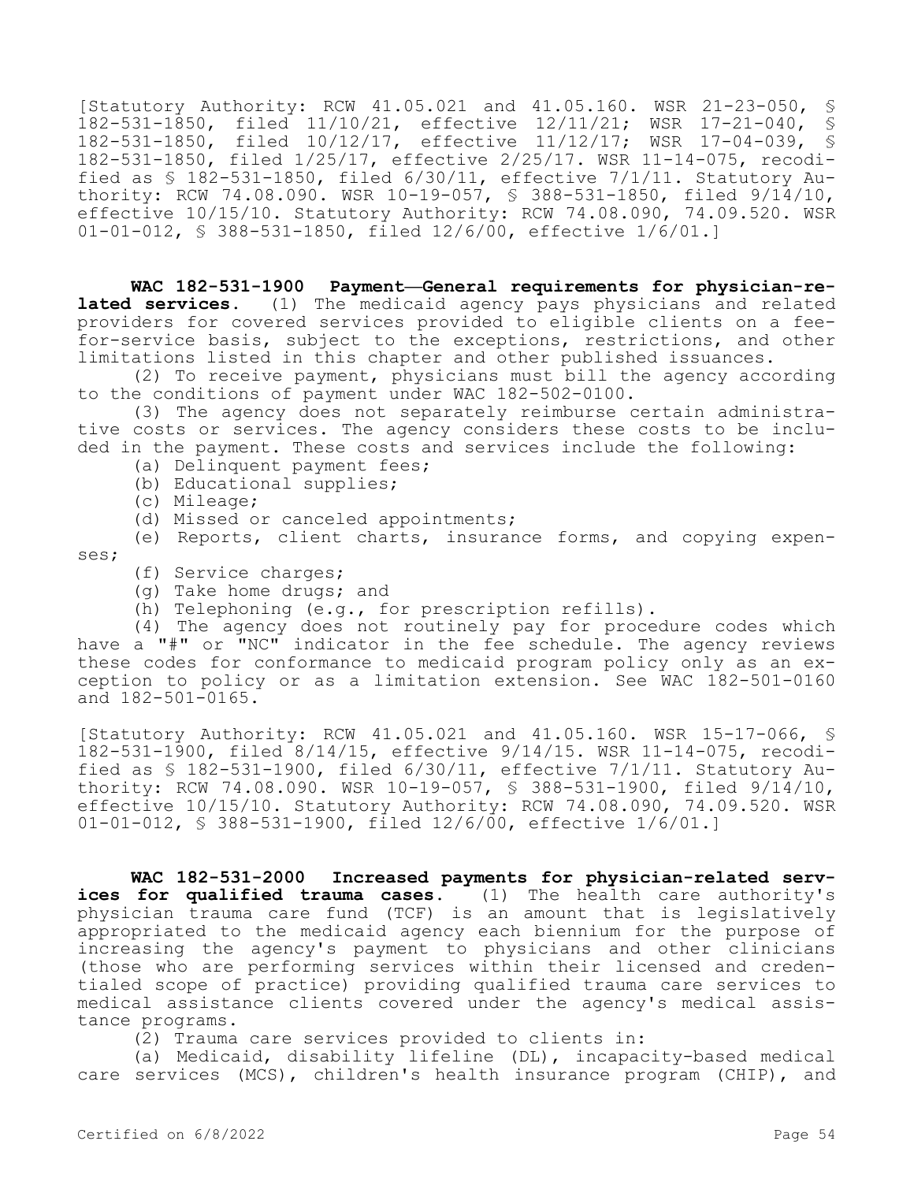[Statutory Authority: RCW 41.05.021 and 41.05.160. WSR 21-23-050, § 182-531-1850, filed 11/10/21, effective 12/11/21; WSR 17-21-040, § 182-531-1850, filed 10/12/17, effective 11/12/17; WSR 17-04-039, § 182-531-1850, filed 1/25/17, effective 2/25/17. WSR 11-14-075, recodified as § 182-531-1850, filed 6/30/11, effective 7/1/11. Statutory Authority: RCW 74.08.090. WSR 10-19-057, § 388-531-1850, filed 9/14/10, effective 10/15/10. Statutory Authority: RCW 74.08.090, 74.09.520. WSR 01-01-012, § 388-531-1850, filed 12/6/00, effective 1/6/01.]

**WAC 182-531-1900 Payment—General requirements for physician-related services.** (1) The medicaid agency pays physicians and related providers for covered services provided to eligible clients on a feefor-service basis, subject to the exceptions, restrictions, and other limitations listed in this chapter and other published issuances.

(2) To receive payment, physicians must bill the agency according to the conditions of payment under WAC 182-502-0100.

(3) The agency does not separately reimburse certain administrative costs or services. The agency considers these costs to be included in the payment. These costs and services include the following:

- (a) Delinquent payment fees;
- (b) Educational supplies;
- (c) Mileage;
- (d) Missed or canceled appointments;

(e) Reports, client charts, insurance forms, and copying expenses;

- (f) Service charges;
- (g) Take home drugs; and
- (h) Telephoning (e.g., for prescription refills).

(4) The agency does not routinely pay for procedure codes which have a "#" or "NC" indicator in the fee schedule. The agency reviews these codes for conformance to medicaid program policy only as an exception to policy or as a limitation extension. See WAC 182-501-0160 and 182-501-0165.

[Statutory Authority: RCW 41.05.021 and 41.05.160. WSR 15-17-066, § 182-531-1900, filed 8/14/15, effective 9/14/15. WSR 11-14-075, recodified as § 182-531-1900, filed 6/30/11, effective 7/1/11. Statutory Authority: RCW 74.08.090. WSR 10-19-057, § 388-531-1900, filed  $9/14/10$ , effective 10/15/10. Statutory Authority: RCW 74.08.090, 74.09.520. WSR 01-01-012, § 388-531-1900, filed 12/6/00, effective 1/6/01.]

**WAC 182-531-2000 Increased payments for physician-related services for qualified trauma cases.** (1) The health care authority's physician trauma care fund (TCF) is an amount that is legislatively appropriated to the medicaid agency each biennium for the purpose of increasing the agency's payment to physicians and other clinicians (those who are performing services within their licensed and credentialed scope of practice) providing qualified trauma care services to medical assistance clients covered under the agency's medical assistance programs.

(2) Trauma care services provided to clients in:

(a) Medicaid, disability lifeline (DL), incapacity-based medical care services (MCS), children's health insurance program (CHIP), and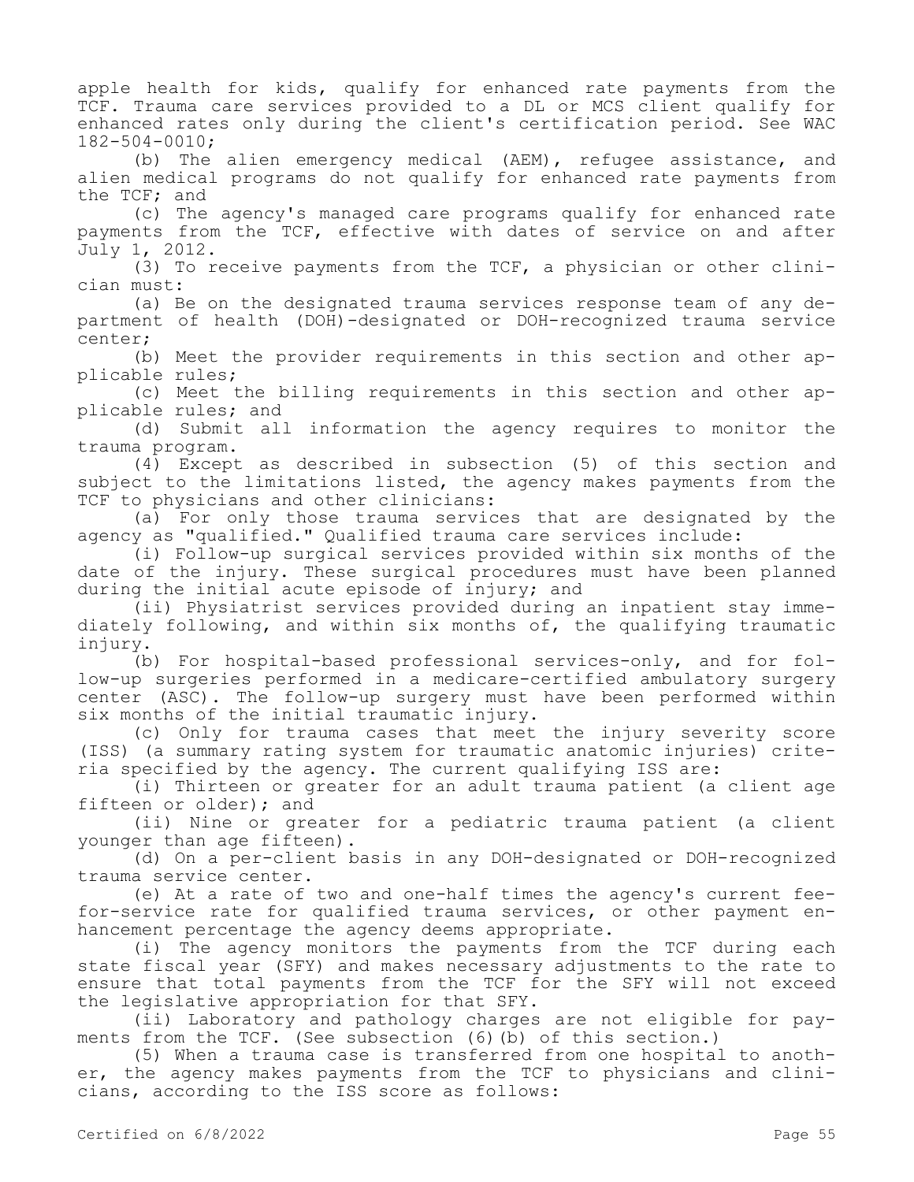apple health for kids, qualify for enhanced rate payments from the TCF. Trauma care services provided to a DL or MCS client qualify for enhanced rates only during the client's certification period. See WAC 182-504-0010;

(b) The alien emergency medical (AEM), refugee assistance, and alien medical programs do not qualify for enhanced rate payments from the TCF; and

(c) The agency's managed care programs qualify for enhanced rate payments from the TCF, effective with dates of service on and after July 1, 2012.

(3) To receive payments from the TCF, a physician or other clinician must:

(a) Be on the designated trauma services response team of any department of health (DOH)-designated or DOH-recognized trauma service center;

(b) Meet the provider requirements in this section and other applicable rules;

(c) Meet the billing requirements in this section and other applicable rules; and

(d) Submit all information the agency requires to monitor the trauma program.

(4) Except as described in subsection (5) of this section and subject to the limitations listed, the agency makes payments from the TCF to physicians and other clinicians:

(a) For only those trauma services that are designated by the agency as "qualified." Qualified trauma care services include:

(i) Follow-up surgical services provided within six months of the date of the injury. These surgical procedures must have been planned during the initial acute episode of injury; and

(ii) Physiatrist services provided during an inpatient stay immediately following, and within six months of, the qualifying traumatic injury.

(b) For hospital-based professional services-only, and for follow-up surgeries performed in a medicare-certified ambulatory surgery center (ASC). The follow-up surgery must have been performed within six months of the initial traumatic injury.

(c) Only for trauma cases that meet the injury severity score (ISS) (a summary rating system for traumatic anatomic injuries) criteria specified by the agency. The current qualifying ISS are:

(i) Thirteen or greater for an adult trauma patient (a client age fifteen or older); and

(ii) Nine or greater for a pediatric trauma patient (a client younger than age fifteen).

(d) On a per-client basis in any DOH-designated or DOH-recognized trauma service center.

(e) At a rate of two and one-half times the agency's current feefor-service rate for qualified trauma services, or other payment enhancement percentage the agency deems appropriate.

(i) The agency monitors the payments from the TCF during each state fiscal year (SFY) and makes necessary adjustments to the rate to ensure that total payments from the TCF for the SFY will not exceed the legislative appropriation for that SFY.

(ii) Laboratory and pathology charges are not eligible for payments from the TCF. (See subsection (6)(b) of this section.)

(5) When a trauma case is transferred from one hospital to another, the agency makes payments from the TCF to physicians and clinicians, according to the ISS score as follows: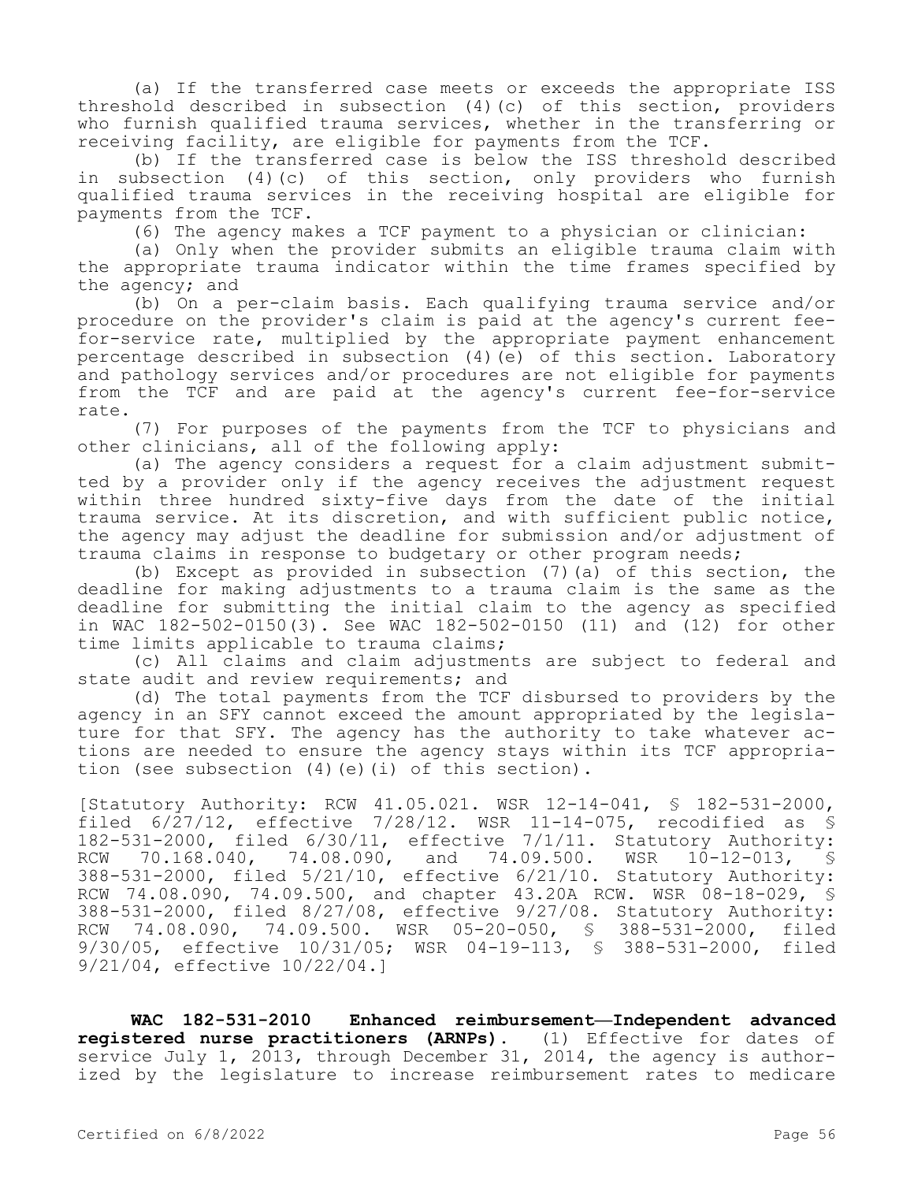(a) If the transferred case meets or exceeds the appropriate ISS threshold described in subsection (4)(c) of this section, providers who furnish qualified trauma services, whether in the transferring or receiving facility, are eligible for payments from the TCF.

(b) If the transferred case is below the ISS threshold described in subsection (4)(c) of this section, only providers who furnish qualified trauma services in the receiving hospital are eligible for payments from the TCF.

(6) The agency makes a TCF payment to a physician or clinician:

(a) Only when the provider submits an eligible trauma claim with the appropriate trauma indicator within the time frames specified by the agency; and

(b) On a per-claim basis. Each qualifying trauma service and/or procedure on the provider's claim is paid at the agency's current feefor-service rate, multiplied by the appropriate payment enhancement percentage described in subsection (4)(e) of this section. Laboratory and pathology services and/or procedures are not eligible for payments from the TCF and are paid at the agency's current fee-for-service rate.

(7) For purposes of the payments from the TCF to physicians and other clinicians, all of the following apply:

(a) The agency considers a request for a claim adjustment submitted by a provider only if the agency receives the adjustment request within three hundred sixty-five days from the date of the initial trauma service. At its discretion, and with sufficient public notice, the agency may adjust the deadline for submission and/or adjustment of trauma claims in response to budgetary or other program needs;

(b) Except as provided in subsection (7)(a) of this section, the deadline for making adjustments to a trauma claim is the same as the deadline for submitting the initial claim to the agency as specified in WAC 182-502-0150(3). See WAC 182-502-0150 (11) and (12) for other time limits applicable to trauma claims;

(c) All claims and claim adjustments are subject to federal and state audit and review requirements; and

(d) The total payments from the TCF disbursed to providers by the agency in an SFY cannot exceed the amount appropriated by the legislature for that SFY. The agency has the authority to take whatever actions are needed to ensure the agency stays within its TCF appropriation (see subsection (4)(e)(i) of this section).

[Statutory Authority: RCW 41.05.021. WSR 12-14-041, § 182-531-2000, filed  $6/27/12$ , effective  $7/28/12$ . WSR 11-14-075, recodified as § 182-531-2000, filed 6/30/11, effective 7/1/11. Statutory Authority:<br>RCW 70.168.040, 74.08.090, and 74.09.500. WSR 10-12-013, \$ RCW 70.168.040, 74.08.090, and 74.09.500. WSR 10-12-013, § 388-531-2000, filed 5/21/10, effective 6/21/10. Statutory Authority: RCW 74.08.090, 74.09.500, and chapter 43.20A RCW. WSR 08-18-029, § 388-531-2000, filed 8/27/08, effective 9/27/08. Statutory Authority: RCW 74.08.090, 74.09.500. WSR 05-20-050, § 388-531-2000, filed 9/30/05, effective 10/31/05; WSR 04-19-113, § 388-531-2000, filed 9/21/04, effective 10/22/04.]

**WAC 182-531-2010 Enhanced reimbursement—Independent advanced registered nurse practitioners (ARNPs).** (1) Effective for dates of service July 1, 2013, through December 31, 2014, the agency is authorized by the legislature to increase reimbursement rates to medicare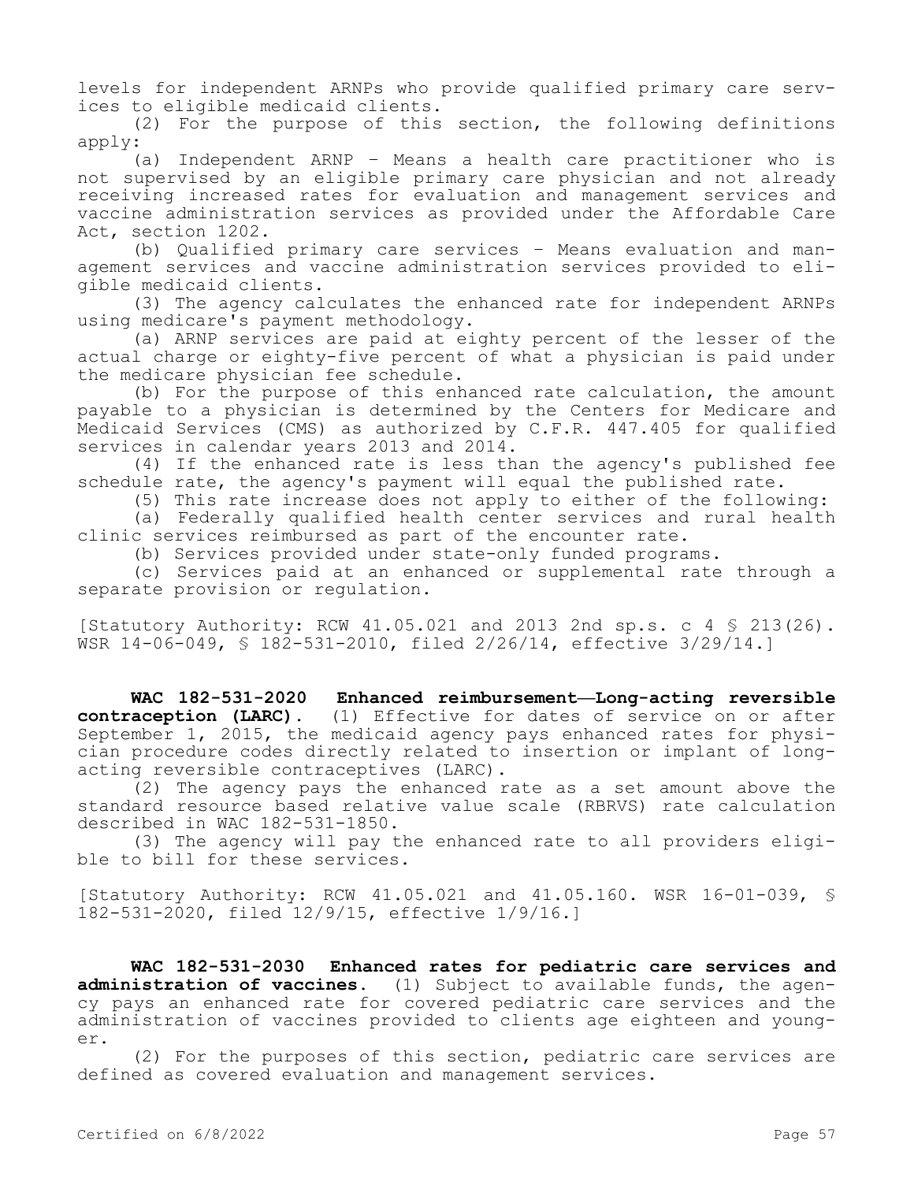levels for independent ARNPs who provide qualified primary care services to eligible medicaid clients.

(2) For the purpose of this section, the following definitions apply:

(a) Independent ARNP – Means a health care practitioner who is not supervised by an eligible primary care physician and not already receiving increased rates for evaluation and management services and vaccine administration services as provided under the Affordable Care Act, section 1202.

(b) Qualified primary care services – Means evaluation and management services and vaccine administration services provided to eligible medicaid clients.

(3) The agency calculates the enhanced rate for independent ARNPs using medicare's payment methodology.

(a) ARNP services are paid at eighty percent of the lesser of the actual charge or eighty-five percent of what a physician is paid under the medicare physician fee schedule.

(b) For the purpose of this enhanced rate calculation, the amount payable to a physician is determined by the Centers for Medicare and Medicaid Services (CMS) as authorized by C.F.R. 447.405 for qualified services in calendar years 2013 and 2014.

(4) If the enhanced rate is less than the agency's published fee schedule rate, the agency's payment will equal the published rate.

(5) This rate increase does not apply to either of the following:

(a) Federally qualified health center services and rural health clinic services reimbursed as part of the encounter rate.

(b) Services provided under state-only funded programs.

(c) Services paid at an enhanced or supplemental rate through a separate provision or regulation.

[Statutory Authority: RCW 41.05.021 and 2013 2nd sp.s. c 4 § 213(26). WSR 14-06-049, § 182-531-2010, filed 2/26/14, effective 3/29/14.]

**WAC 182-531-2020 Enhanced reimbursement—Long-acting reversible contraception (LARC).** (1) Effective for dates of service on or after September 1, 2015, the medicaid agency pays enhanced rates for physician procedure codes directly related to insertion or implant of longacting reversible contraceptives (LARC).

(2) The agency pays the enhanced rate as a set amount above the standard resource based relative value scale (RBRVS) rate calculation described in WAC 182-531-1850.

(3) The agency will pay the enhanced rate to all providers eligible to bill for these services.

[Statutory Authority: RCW 41.05.021 and 41.05.160. WSR 16-01-039, § 182-531-2020, filed 12/9/15, effective 1/9/16.]

**WAC 182-531-2030 Enhanced rates for pediatric care services and administration of vaccines.** (1) Subject to available funds, the agency pays an enhanced rate for covered pediatric care services and the administration of vaccines provided to clients age eighteen and younger.

(2) For the purposes of this section, pediatric care services are defined as covered evaluation and management services.